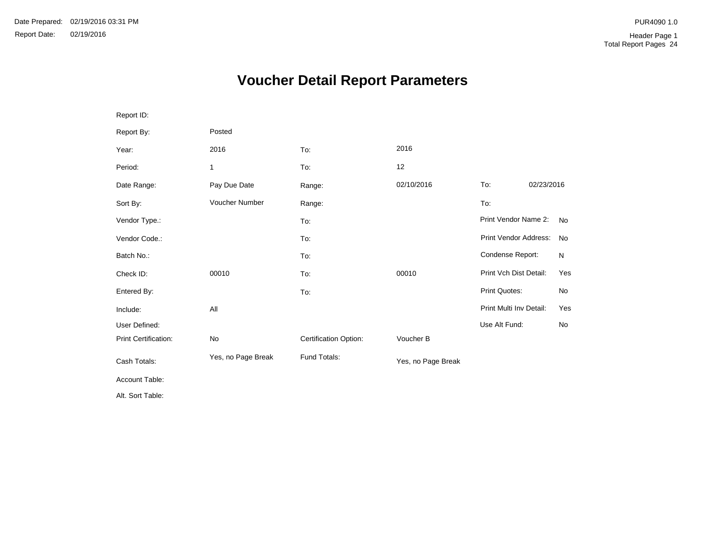# **Voucher Detail Report Parameters**

| Report ID:           |                    |                       |                    |                         |            |           |
|----------------------|--------------------|-----------------------|--------------------|-------------------------|------------|-----------|
| Report By:           | Posted             |                       |                    |                         |            |           |
| Year:                | 2016               | To:                   | 2016               |                         |            |           |
| Period:              | 1                  | To:                   | 12                 |                         |            |           |
| Date Range:          | Pay Due Date       | Range:                | 02/10/2016         | To:                     | 02/23/2016 |           |
| Sort By:             | Voucher Number     | Range:                |                    | To:                     |            |           |
| Vendor Type.:        |                    | To:                   |                    | Print Vendor Name 2:    |            | <b>No</b> |
| Vendor Code.:        |                    | To:                   |                    | Print Vendor Address:   |            | No        |
| Batch No.:           |                    | To:                   |                    | Condense Report:        |            | N         |
| Check ID:            | 00010              | To:                   | 00010              | Print Vch Dist Detail:  |            | Yes       |
| Entered By:          |                    | To:                   |                    | Print Quotes:           |            | No        |
| Include:             | All                |                       |                    | Print Multi Inv Detail: |            | Yes       |
| User Defined:        |                    |                       |                    | Use Alt Fund:           |            | No        |
| Print Certification: | No                 | Certification Option: | Voucher B          |                         |            |           |
| Cash Totals:         | Yes, no Page Break | Fund Totals:          | Yes, no Page Break |                         |            |           |
| Account Table:       |                    |                       |                    |                         |            |           |
| Alt. Sort Table:     |                    |                       |                    |                         |            |           |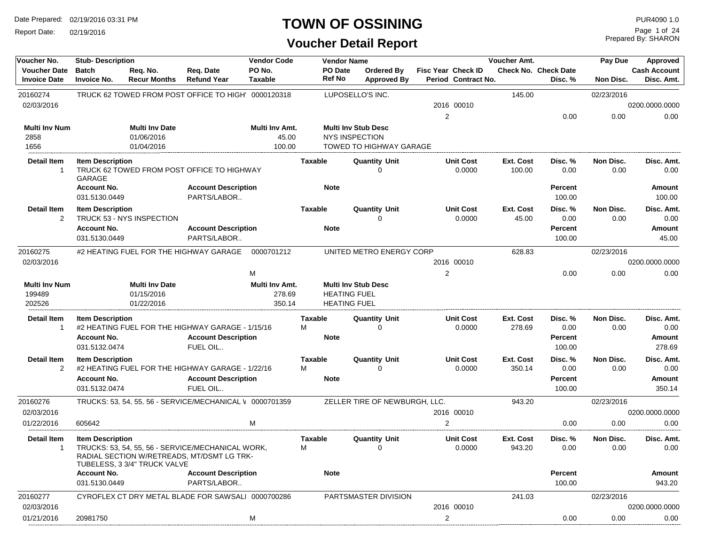Report Date: 02/19/2016

#### **TOWN OF OSSINING**

### **Voucher Detail Report**

Prepared By: SHARON Page 1 of 24

| Voucher No.                                | <b>Stub-Description</b>             |                                 |                                                                                                 | <b>Vendor Code</b>       |                | <b>Vendor Name</b>       |                                         |                |                                           | Voucher Amt.        |                                        | Pay Due           | Approved                          |
|--------------------------------------------|-------------------------------------|---------------------------------|-------------------------------------------------------------------------------------------------|--------------------------|----------------|--------------------------|-----------------------------------------|----------------|-------------------------------------------|---------------------|----------------------------------------|-------------------|-----------------------------------|
| <b>Voucher Date</b><br><b>Invoice Date</b> | <b>Batch</b><br><b>Invoice No.</b>  | Req. No.<br><b>Recur Months</b> | Req. Date<br><b>Refund Year</b>                                                                 | PO No.<br>Taxable        |                | PO Date<br><b>Ref No</b> | <b>Ordered By</b><br><b>Approved By</b> |                | Fisc Year Check ID<br>Period Contract No. |                     | <b>Check No. Check Date</b><br>Disc. % | Non Disc.         | <b>Cash Account</b><br>Disc. Amt. |
| 20160274                                   |                                     |                                 | TRUCK 62 TOWED FROM POST OFFICE TO HIGH' 0000120318                                             |                          |                |                          | LUPOSELLO'S INC.                        |                |                                           | 145.00              |                                        | 02/23/2016        |                                   |
| 02/03/2016                                 |                                     |                                 |                                                                                                 |                          |                |                          |                                         |                | 2016 00010                                |                     |                                        |                   | 0200.0000.0000                    |
|                                            |                                     |                                 |                                                                                                 |                          |                |                          |                                         | 2              |                                           |                     | 0.00                                   | 0.00              | 0.00                              |
| <b>Multi Inv Num</b>                       |                                     | <b>Multi Inv Date</b>           |                                                                                                 | Multi Inv Amt.           |                |                          | <b>Multi Inv Stub Desc</b>              |                |                                           |                     |                                        |                   |                                   |
| 2858                                       |                                     | 01/06/2016                      |                                                                                                 | 45.00                    |                | <b>NYS INSPECTION</b>    |                                         |                |                                           |                     |                                        |                   |                                   |
| 1656                                       |                                     | 01/04/2016                      |                                                                                                 | 100.00                   |                |                          | TOWED TO HIGHWAY GARAGE                 |                |                                           |                     |                                        |                   |                                   |
| <b>Detail Item</b><br>$\overline{1}$       | <b>Item Description</b><br>GARAGE   |                                 | TRUCK 62 TOWED FROM POST OFFICE TO HIGHWAY                                                      |                          | <b>Taxable</b> |                          | <b>Quantity Unit</b><br>U               |                | <b>Unit Cost</b><br>0.0000                | Ext. Cost<br>100.00 | Disc. %<br>0.00                        | Non Disc.<br>0.00 | Disc. Amt.<br>0.00                |
|                                            | <b>Account No.</b>                  |                                 | <b>Account Description</b>                                                                      |                          |                | <b>Note</b>              |                                         |                |                                           |                     | Percent                                |                   | Amount                            |
|                                            | 031.5130.0449                       |                                 | PARTS/LABOR                                                                                     |                          |                |                          |                                         |                |                                           |                     | 100.00                                 |                   | 100.00                            |
| <b>Detail Item</b>                         | <b>Item Description</b>             |                                 |                                                                                                 |                          | <b>Taxable</b> |                          | <b>Quantity Unit</b>                    |                | <b>Unit Cost</b>                          | Ext. Cost           | Disc. %                                | Non Disc.         | Disc. Amt.                        |
| 2                                          |                                     | TRUCK 53 - NYS INSPECTION       |                                                                                                 |                          |                |                          | U                                       |                | 0.0000                                    | 45.00               | 0.00                                   | 0.00              | 0.00                              |
|                                            | <b>Account No.</b><br>031.5130.0449 |                                 | <b>Account Description</b><br>PARTS/LABOR                                                       |                          |                | <b>Note</b>              |                                         |                |                                           |                     | Percent                                |                   | Amount                            |
|                                            |                                     |                                 |                                                                                                 |                          |                |                          |                                         |                |                                           |                     | 100.00                                 |                   | 45.00                             |
| 20160275                                   |                                     |                                 | #2 HEATING FUEL FOR THE HIGHWAY GARAGE                                                          | 0000701212               |                |                          | UNITED METRO ENERGY CORP                |                |                                           | 628.83              |                                        | 02/23/2016        |                                   |
| 02/03/2016                                 |                                     |                                 |                                                                                                 |                          |                |                          |                                         |                | 2016 00010                                |                     |                                        |                   | 0200.0000.0000                    |
|                                            |                                     |                                 |                                                                                                 | M                        |                |                          |                                         | 2              |                                           |                     | 0.00                                   | 0.00              | 0.00                              |
| <b>Multi Inv Num</b><br>199489             |                                     | Multi Inv Date<br>01/15/2016    |                                                                                                 | Multi Inv Amt.<br>278.69 |                | <b>HEATING FUEL</b>      | <b>Multi Inv Stub Desc</b>              |                |                                           |                     |                                        |                   |                                   |
| 202526                                     |                                     | 01/22/2016                      |                                                                                                 | 350.14                   |                | <b>HEATING FUEL</b>      |                                         |                |                                           |                     |                                        |                   |                                   |
| <b>Detail Item</b>                         | <b>Item Description</b>             |                                 |                                                                                                 |                          | Taxable        |                          | <b>Quantity Unit</b>                    |                | <b>Unit Cost</b>                          | Ext. Cost           | Disc. %                                | Non Disc.         | Disc. Amt.                        |
| -1                                         |                                     |                                 | #2 HEATING FUEL FOR THE HIGHWAY GARAGE - 1/15/16                                                |                          | м              |                          | 0                                       |                | 0.0000                                    | 278.69              | 0.00                                   | 0.00              | 0.00                              |
|                                            | <b>Account No.</b>                  |                                 | <b>Account Description</b>                                                                      |                          |                | <b>Note</b>              |                                         |                |                                           |                     | <b>Percent</b>                         |                   | Amount                            |
|                                            | 031.5132.0474                       |                                 | FUEL OIL                                                                                        |                          |                |                          |                                         |                |                                           |                     | 100.00                                 |                   | 278.69                            |
| <b>Detail Item</b>                         | <b>Item Description</b>             |                                 |                                                                                                 |                          | <b>Taxable</b> |                          | <b>Quantity Unit</b>                    |                | <b>Unit Cost</b>                          | Ext. Cost           | Disc. %                                | Non Disc.         | Disc. Amt.                        |
| 2                                          |                                     |                                 | #2 HEATING FUEL FOR THE HIGHWAY GARAGE - 1/22/16                                                |                          | м              |                          | 0                                       |                | 0.0000                                    | 350.14              | 0.00                                   | 0.00              | 0.00                              |
|                                            | <b>Account No.</b><br>031.5132.0474 |                                 | <b>Account Description</b><br>FUEL OIL                                                          |                          |                | <b>Note</b>              |                                         |                |                                           |                     | Percent<br>100.00                      |                   | Amount<br>350.14                  |
| 20160276                                   |                                     |                                 | TRUCKS: 53, 54, 55, 56 - SERVICE/MECHANICAL V 0000701359                                        |                          |                |                          | ZELLER TIRE OF NEWBURGH, LLC.           |                |                                           | 943.20              |                                        | 02/23/2016        |                                   |
| 02/03/2016                                 |                                     |                                 |                                                                                                 |                          |                |                          |                                         |                | 2016 00010                                |                     |                                        |                   | 0200.0000.0000                    |
| 01/22/2016                                 | 605642                              |                                 |                                                                                                 | м                        |                |                          |                                         | 2              |                                           |                     | 0.00                                   | 0.00              | 0.00                              |
| <b>Detail Item</b>                         | <b>Item Description</b>             |                                 |                                                                                                 |                          | <b>Taxable</b> |                          | <b>Quantity Unit</b>                    |                | <b>Unit Cost</b>                          | Ext. Cost           | Disc. %                                | Non Disc.         | Disc. Amt.                        |
| -1                                         |                                     | TUBELESS, 3 3/4" TRUCK VALVE    | TRUCKS: 53, 54, 55, 56 - SERVICE/MECHANICAL WORK,<br>RADIAL SECTION W/RETREADS, MT/DSMT LG TRK- |                          | M              |                          | 0                                       |                | 0.0000                                    | 943.20              | 0.00                                   | 0.00              | 0.00                              |
|                                            | <b>Account No.</b>                  |                                 | <b>Account Description</b>                                                                      |                          |                | <b>Note</b>              |                                         |                |                                           |                     | <b>Percent</b>                         |                   | Amount                            |
|                                            | 031.5130.0449                       |                                 | PARTS/LABOR                                                                                     |                          |                |                          |                                         |                |                                           |                     | 100.00                                 |                   | 943.20                            |
| 20160277                                   |                                     |                                 | CYROFLEX CT DRY METAL BLADE FOR SAWSALI 0000700286                                              |                          |                |                          | PARTSMASTER DIVISION                    |                |                                           | 241.03              |                                        | 02/23/2016        |                                   |
| 02/03/2016                                 |                                     |                                 |                                                                                                 |                          |                |                          |                                         |                | 2016 00010                                |                     |                                        |                   | 0200.0000.0000                    |
| 01/21/2016                                 | 20981750                            |                                 |                                                                                                 | M                        |                |                          |                                         | $\overline{c}$ |                                           |                     | 0.00                                   | 0.00              | 0.00                              |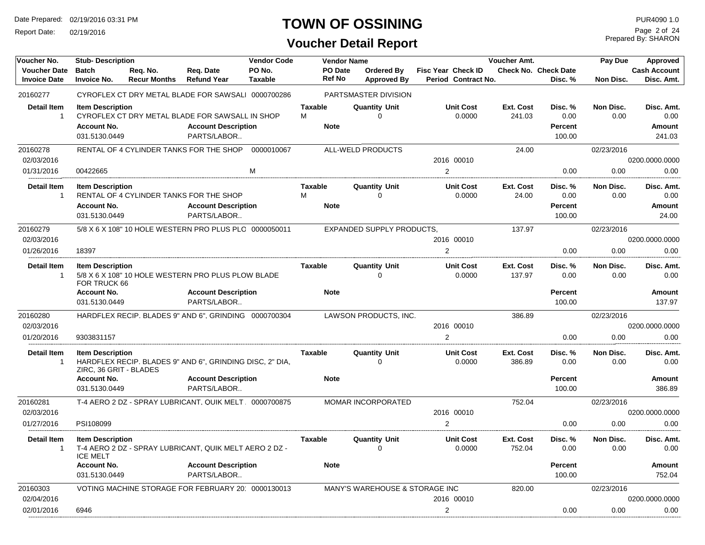Report Date: 02/19/2016

### **TOWN OF OSSINING**

### **Voucher Detail Report**

Prepared By: SHARON Page 2 of 24

| Voucher No.                        | <b>Stub-Description</b> |                     |                                                          | <b>Vendor Code</b> |                     | <b>Vendor Name</b><br>Voucher Amt. |                                  |                            |                    | Pay Due                     | Approved          |                     |
|------------------------------------|-------------------------|---------------------|----------------------------------------------------------|--------------------|---------------------|------------------------------------|----------------------------------|----------------------------|--------------------|-----------------------------|-------------------|---------------------|
| <b>Voucher Date</b>                | <b>Batch</b>            | Req. No.            | Req. Date                                                | PO No.             |                     | <b>PO</b> Date                     | <b>Ordered By</b>                | <b>Fisc Year Check ID</b>  |                    | <b>Check No. Check Date</b> |                   | <b>Cash Account</b> |
| <b>Invoice Date</b>                | <b>Invoice No.</b>      | <b>Recur Months</b> | <b>Refund Year</b>                                       | <b>Taxable</b>     |                     | <b>Ref No</b>                      | <b>Approved By</b>               | Period Contract No.        |                    | Disc. %                     | Non Disc.         | Disc. Amt.          |
| 20160277                           |                         |                     | CYROFLEX CT DRY METAL BLADE FOR SAWSALI 0000700286       |                    |                     |                                    | PARTSMASTER DIVISION             |                            |                    |                             |                   |                     |
| <b>Detail Item</b>                 | <b>Item Description</b> |                     |                                                          |                    | Taxable             |                                    | <b>Quantity Unit</b>             | <b>Unit Cost</b>           | Ext. Cost          | Disc. %                     | Non Disc.         | Disc. Amt.          |
| $\mathbf{1}$                       |                         |                     | CYROFLEX CT DRY METAL BLADE FOR SAWSALL IN SHOP          |                    | M                   |                                    | 0                                | 0.0000                     | 241.03             | 0.00                        | 0.00              | 0.00                |
|                                    | <b>Account No.</b>      |                     | <b>Account Description</b>                               |                    |                     | <b>Note</b>                        |                                  |                            |                    | <b>Percent</b>              |                   | Amount              |
|                                    | 031.5130.0449           |                     | PARTS/LABOR                                              |                    |                     |                                    |                                  |                            |                    | 100.00                      |                   | 241.03              |
| 20160278                           |                         |                     | RENTAL OF 4 CYLINDER TANKS FOR THE SHOP                  | 0000010067         |                     |                                    | ALL-WELD PRODUCTS                |                            | 24.00              |                             | 02/23/2016        |                     |
| 02/03/2016                         |                         |                     |                                                          |                    |                     |                                    |                                  | 2016 00010                 |                    |                             |                   | 0200.0000.0000      |
| 01/31/2016                         | 00422665                |                     |                                                          | M                  |                     |                                    |                                  | $\overline{2}$             |                    | 0.00                        | 0.00              | 0.00                |
|                                    |                         |                     |                                                          |                    |                     |                                    |                                  |                            |                    |                             |                   |                     |
| <b>Detail Item</b><br>$\mathbf{1}$ | <b>Item Description</b> |                     | RENTAL OF 4 CYLINDER TANKS FOR THE SHOP                  |                    | <b>Taxable</b><br>M |                                    | <b>Quantity Unit</b><br>0        | <b>Unit Cost</b><br>0.0000 | Ext. Cost<br>24.00 | Disc.%<br>0.00              | Non Disc.<br>0.00 | Disc. Amt.<br>0.00  |
|                                    | <b>Account No.</b>      |                     | <b>Account Description</b>                               |                    |                     | <b>Note</b>                        |                                  |                            |                    | <b>Percent</b>              |                   | Amount              |
|                                    | 031.5130.0449           |                     | PARTS/LABOR                                              |                    |                     |                                    |                                  |                            |                    | 100.00                      |                   | 24.00               |
| 20160279                           |                         |                     | 5/8 X 6 X 108" 10 HOLE WESTERN PRO PLUS PLC 0000050011   |                    |                     |                                    | <b>EXPANDED SUPPLY PRODUCTS.</b> |                            | 137.97             |                             | 02/23/2016        |                     |
| 02/03/2016                         |                         |                     |                                                          |                    |                     |                                    |                                  | 2016 00010                 |                    |                             |                   | 0200.0000.0000      |
| 01/26/2016                         | 18397                   |                     |                                                          |                    |                     |                                    |                                  | $\overline{2}$             |                    | 0.00                        | 0.00              | 0.00                |
|                                    |                         |                     |                                                          |                    |                     |                                    |                                  |                            |                    |                             |                   |                     |
| <b>Detail Item</b>                 | <b>Item Description</b> |                     |                                                          |                    | <b>Taxable</b>      |                                    | <b>Quantity Unit</b>             | <b>Unit Cost</b>           | Ext. Cost          | Disc. %                     | Non Disc.         | Disc. Amt.          |
| -1                                 | FOR TRUCK 66            |                     | 5/8 X 6 X 108" 10 HOLE WESTERN PRO PLUS PLOW BLADE       |                    |                     |                                    | $\Omega$                         | 0.0000                     | 137.97             | 0.00                        | 0.00              | 0.00                |
|                                    | <b>Account No.</b>      |                     | <b>Account Description</b>                               |                    |                     | <b>Note</b>                        |                                  |                            |                    | <b>Percent</b>              |                   | <b>Amount</b>       |
|                                    | 031.5130.0449           |                     | PARTS/LABOR                                              |                    |                     |                                    |                                  |                            |                    | 100.00                      |                   | 137.97              |
| 20160280                           |                         |                     | HARDFLEX RECIP. BLADES 9" AND 6", GRINDING 0000700304    |                    |                     |                                    | LAWSON PRODUCTS, INC.            |                            | 386.89             |                             | 02/23/2016        |                     |
| 02/03/2016                         |                         |                     |                                                          |                    |                     |                                    |                                  | 2016 00010                 |                    |                             |                   | 0200.0000.0000      |
| 01/20/2016                         | 9303831157              |                     |                                                          |                    |                     |                                    |                                  | $\overline{2}$             |                    | 0.00                        | 0.00              | 0.00                |
|                                    |                         |                     |                                                          |                    |                     |                                    |                                  |                            |                    |                             |                   |                     |
| <b>Detail Item</b>                 | <b>Item Description</b> |                     |                                                          |                    | <b>Taxable</b>      |                                    | <b>Quantity Unit</b>             | <b>Unit Cost</b>           | Ext. Cost          | Disc. %                     | Non Disc.         | Disc. Amt.          |
| -1                                 | ZIRC, 36 GRIT - BLADES  |                     | HARDFLEX RECIP. BLADES 9" AND 6", GRINDING DISC, 2" DIA, |                    |                     |                                    | $\Omega$                         | 0.0000                     | 386.89             | 0.00                        | 0.00              | 0.00                |
|                                    | <b>Account No.</b>      |                     | <b>Account Description</b>                               |                    |                     | <b>Note</b>                        |                                  |                            |                    | <b>Percent</b>              |                   | <b>Amount</b>       |
|                                    | 031.5130.0449           |                     | PARTS/LABOR                                              |                    |                     |                                    |                                  |                            |                    | 100.00                      |                   | 386.89              |
| 20160281                           |                         |                     | T-4 AERO 2 DZ - SPRAY LUBRICANT, QUIK MELT 0000700875    |                    |                     |                                    | MOMAR INCORPORATED               |                            | 752.04             |                             | 02/23/2016        |                     |
| 02/03/2016                         |                         |                     |                                                          |                    |                     |                                    |                                  | 2016 00010                 |                    |                             |                   | 0200.0000.0000      |
| 01/27/2016                         | PSI108099               |                     |                                                          |                    |                     |                                    |                                  | $\overline{2}$             |                    | 0.00                        | 0.00              | 0.00                |
|                                    |                         |                     |                                                          |                    |                     |                                    |                                  |                            |                    |                             |                   |                     |
| <b>Detail Item</b>                 | <b>Item Description</b> |                     |                                                          |                    | <b>Taxable</b>      |                                    | <b>Quantity Unit</b>             | <b>Unit Cost</b>           | Ext. Cost          | Disc. %                     | Non Disc.         | Disc. Amt.          |
| $\mathbf{1}$                       | <b>ICE MELT</b>         |                     | T-4 AERO 2 DZ - SPRAY LUBRICANT, QUIK MELT AERO 2 DZ -   |                    |                     |                                    | $\Omega$                         | 0.0000                     | 752.04             | 0.00                        | 0.00              | 0.00                |
|                                    | <b>Account No.</b>      |                     | <b>Account Description</b>                               |                    |                     | <b>Note</b>                        |                                  |                            |                    | <b>Percent</b>              |                   | <b>Amount</b>       |
|                                    | 031.5130.0449           |                     | PARTS/LABOR                                              |                    |                     |                                    |                                  |                            |                    | 100.00                      |                   | 752.04              |
| 20160303                           |                         |                     | VOTING MACHINE STORAGE FOR FEBRUARY 20 0000130013        |                    |                     |                                    | MANY'S WAREHOUSE & STORAGE INC   |                            | 820.00             |                             | 02/23/2016        |                     |
| 02/04/2016                         |                         |                     |                                                          |                    |                     |                                    |                                  | 2016 00010                 |                    |                             |                   | 0200.0000.0000      |
| 02/01/2016                         | 6946                    |                     |                                                          |                    |                     |                                    |                                  | $\overline{2}$             |                    | 0.00                        | 0.00              | 0.00                |
|                                    |                         |                     |                                                          |                    |                     |                                    |                                  |                            |                    |                             |                   |                     |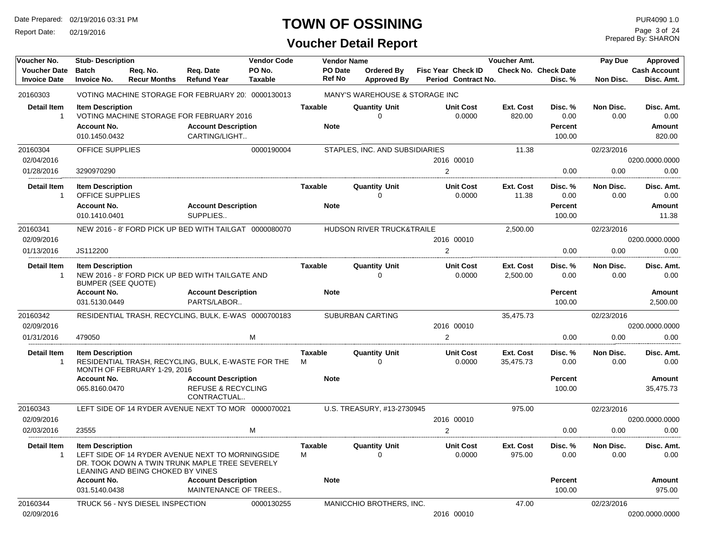Report Date: 02/19/2016

### **TOWN OF OSSINING**

Prepared By: SHARON Page 3 of 24

| Voucher No.                                   | <b>Stub-Description</b>                                                           |                                   |                                                                                                    | <b>Vendor Code</b>       |                                 | <b>Vendor Name</b>                      |                                                  | Voucher Amt.           |                                             | Pay Due           | Approved                                     |
|-----------------------------------------------|-----------------------------------------------------------------------------------|-----------------------------------|----------------------------------------------------------------------------------------------------|--------------------------|---------------------------------|-----------------------------------------|--------------------------------------------------|------------------------|---------------------------------------------|-------------------|----------------------------------------------|
| <b>Voucher Date</b><br><b>Invoice Date</b>    | <b>Batch</b><br><b>Invoice No.</b>                                                | Req. No.<br><b>Recur Months</b>   | Req. Date<br><b>Refund Year</b>                                                                    | PO No.<br><b>Taxable</b> | <b>PO</b> Date<br><b>Ref No</b> | <b>Ordered By</b><br><b>Approved By</b> | <b>Fisc Year Check ID</b><br>Period Contract No. |                        | <b>Check No. Check Date</b><br>Disc. %      | Non Disc.         | <b>Cash Account</b><br>Disc. Amt.            |
| 20160303                                      |                                                                                   |                                   | VOTING MACHINE STORAGE FOR FEBRUARY 20 0000130013                                                  |                          |                                 | MANY'S WAREHOUSE & STORAGE INC          |                                                  |                        |                                             |                   |                                              |
| <b>Detail Item</b><br>$\overline{1}$          | <b>Item Description</b><br><b>Account No.</b><br>010.1450.0432                    |                                   | VOTING MACHINE STORAGE FOR FEBRUARY 2016<br><b>Account Description</b><br>CARTING/LIGHT            |                          | Taxable<br><b>Note</b>          | <b>Quantity Unit</b><br>$\Omega$        | <b>Unit Cost</b><br>0.0000                       | Ext. Cost<br>820.00    | Disc. %<br>0.00<br><b>Percent</b><br>100.00 | Non Disc.<br>0.00 | Disc. Amt.<br>0.00<br>Amount<br>820.00       |
| 20160304                                      | OFFICE SUPPLIES                                                                   |                                   |                                                                                                    | 0000190004               |                                 | STAPLES, INC. AND SUBSIDIARIES          |                                                  | 11.38                  |                                             | 02/23/2016        |                                              |
| 02/04/2016                                    |                                                                                   |                                   |                                                                                                    |                          |                                 |                                         | 2016 00010                                       |                        |                                             |                   | 0200.0000.0000                               |
| 01/28/2016                                    | 3290970290                                                                        |                                   |                                                                                                    |                          |                                 |                                         | 2                                                |                        | 0.00                                        | 0.00              | 0.00                                         |
| <b>Detail Item</b><br>$\overline{1}$          | <b>Item Description</b><br>OFFICE SUPPLIES<br><b>Account No.</b><br>010.1410.0401 |                                   | <b>Account Description</b><br>SUPPLIES                                                             |                          | Taxable<br><b>Note</b>          | <b>Quantity Unit</b><br>$\mathbf 0$     | <b>Unit Cost</b><br>0.0000                       | Ext. Cost<br>11.38     | Disc. %<br>0.00<br><b>Percent</b><br>100.00 | Non Disc.<br>0.00 | Disc. Amt.<br>0.00<br><b>Amount</b><br>11.38 |
| 20160341                                      |                                                                                   |                                   | NEW 2016 - 8' FORD PICK UP BED WITH TAILGAT 0000080070                                             |                          |                                 | HUDSON RIVER TRUCK&TRAILE               |                                                  | 2,500.00               |                                             | 02/23/2016        |                                              |
| 02/09/2016                                    |                                                                                   |                                   |                                                                                                    |                          |                                 |                                         | 2016 00010                                       |                        |                                             |                   | 0200.0000.0000                               |
| 01/13/2016                                    | JS112200                                                                          |                                   |                                                                                                    |                          |                                 |                                         | $\overline{2}$                                   |                        | 0.00                                        | 0.00              | 0.00                                         |
| <b>Detail Item</b><br>$\overline{\mathbf{1}}$ | <b>Item Description</b><br><b>BUMPER (SEE QUOTE)</b>                              |                                   | NEW 2016 - 8' FORD PICK UP BED WITH TAILGATE AND                                                   |                          | <b>Taxable</b>                  | <b>Quantity Unit</b><br>$\Omega$        | <b>Unit Cost</b><br>0.0000                       | Ext. Cost<br>2,500.00  | Disc. %<br>0.00                             | Non Disc.<br>0.00 | Disc. Amt.<br>0.00                           |
|                                               | <b>Account No.</b><br>031.5130.0449                                               |                                   | <b>Account Description</b><br>PARTS/LABOR                                                          |                          | <b>Note</b>                     |                                         |                                                  |                        | <b>Percent</b><br>100.00                    |                   | Amount<br>2,500.00                           |
| 20160342                                      |                                                                                   |                                   | RESIDENTIAL TRASH, RECYCLING, BULK, E-WAS 0000700183                                               |                          |                                 | <b>SUBURBAN CARTING</b>                 |                                                  | 35,475.73              |                                             | 02/23/2016        |                                              |
| 02/09/2016                                    |                                                                                   |                                   |                                                                                                    |                          |                                 |                                         | 2016 00010                                       |                        |                                             |                   | 0200.0000.0000                               |
| 01/31/2016                                    | 479050                                                                            |                                   |                                                                                                    | M                        |                                 |                                         | $\overline{2}$                                   |                        | 0.00                                        | 0.00              | 0.00                                         |
| <b>Detail Item</b><br>$\overline{1}$          | <b>Item Description</b>                                                           | MONTH OF FEBRUARY 1-29, 2016      | RESIDENTIAL TRASH, RECYCLING, BULK, E-WASTE FOR THE                                                |                          | <b>Taxable</b><br>M             | <b>Quantity Unit</b><br>$\Omega$        | <b>Unit Cost</b><br>0.0000                       | Ext. Cost<br>35,475.73 | Disc. %<br>0.00                             | Non Disc.<br>0.00 | Disc. Amt.<br>0.00                           |
|                                               | <b>Account No.</b><br>065.8160.0470                                               |                                   | <b>Account Description</b><br><b>REFUSE &amp; RECYCLING</b><br>CONTRACTUAL                         |                          | <b>Note</b>                     |                                         |                                                  |                        | Percent<br>100.00                           |                   | Amount<br>35,475.73                          |
| 20160343                                      |                                                                                   |                                   | LEFT SIDE OF 14 RYDER AVENUE NEXT TO MOR 0000070021                                                |                          |                                 | U.S. TREASURY, #13-2730945              |                                                  | 975.00                 |                                             | 02/23/2016        |                                              |
| 02/09/2016                                    |                                                                                   |                                   |                                                                                                    |                          |                                 |                                         | 2016 00010                                       |                        |                                             |                   | 0200.0000.0000                               |
| 02/03/2016                                    | 23555                                                                             |                                   |                                                                                                    | M                        |                                 |                                         | $\overline{c}$                                   |                        | 0.00                                        | 0.00              | 0.00                                         |
| <b>Detail Item</b><br>$\overline{1}$          | <b>Item Description</b>                                                           | LEANING AND BEING CHOKED BY VINES | LEFT SIDE OF 14 RYDER AVENUE NEXT TO MORNINGSIDE<br>DR. TOOK DOWN A TWIN TRUNK MAPLE TREE SEVERELY |                          | <b>Taxable</b><br>М             | <b>Quantity Unit</b><br>$\Omega$        | <b>Unit Cost</b><br>0.0000                       | Ext. Cost<br>975.00    | Disc. %<br>0.00                             | Non Disc.<br>0.00 | Disc. Amt.<br>0.00                           |
|                                               | <b>Account No.</b>                                                                |                                   | <b>Account Description</b>                                                                         |                          | <b>Note</b>                     |                                         |                                                  |                        | Percent                                     |                   | Amount                                       |
|                                               | 031.5140.0438                                                                     |                                   | MAINTENANCE OF TREES                                                                               |                          |                                 |                                         |                                                  |                        | 100.00                                      |                   | 975.00                                       |
| 20160344                                      |                                                                                   | TRUCK 56 - NYS DIESEL INSPECTION  |                                                                                                    | 0000130255               |                                 | MANICCHIO BROTHERS, INC.                |                                                  | 47.00                  |                                             | 02/23/2016        |                                              |
| 02/09/2016                                    |                                                                                   |                                   |                                                                                                    |                          |                                 |                                         | 2016 00010                                       |                        |                                             |                   | 0200.0000.0000                               |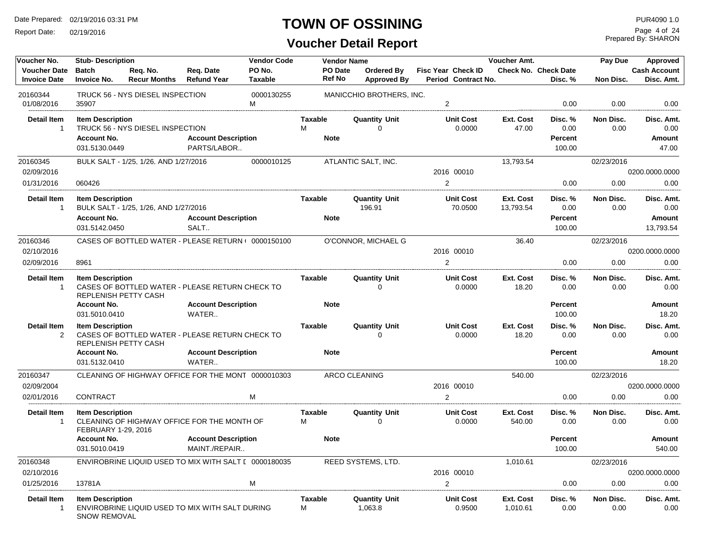Report Date: 02/19/2016

### **TOWN OF OSSINING**

Prepared By: SHARON Page 4 of 24

| Voucher No.                                | <b>Stub-Description</b>            |                                       |                                                       | <b>Vendor Code</b>       |                          | <b>Vendor Name</b>               |                                                  | Voucher Amt.       |                                 | Pay Due           | Approved                          |
|--------------------------------------------|------------------------------------|---------------------------------------|-------------------------------------------------------|--------------------------|--------------------------|----------------------------------|--------------------------------------------------|--------------------|---------------------------------|-------------------|-----------------------------------|
| <b>Voucher Date</b><br><b>Invoice Date</b> | <b>Batch</b><br><b>Invoice No.</b> | Reg. No.<br><b>Recur Months</b>       | Reg. Date<br><b>Refund Year</b>                       | PO No.<br><b>Taxable</b> | PO Date<br><b>Ref No</b> | Ordered By<br><b>Approved By</b> | <b>Fisc Year Check ID</b><br>Period Contract No. |                    | Check No. Check Date<br>Disc. % | Non Disc.         | <b>Cash Account</b><br>Disc. Amt. |
| 20160344<br>01/08/2016                     | 35907                              | TRUCK 56 - NYS DIESEL INSPECTION      |                                                       | 0000130255<br>M          |                          | MANICCHIO BROTHERS, INC.         | $\overline{2}$                                   |                    | 0.00                            | 0.00              | 0.00                              |
|                                            |                                    |                                       |                                                       |                          |                          |                                  |                                                  |                    |                                 |                   |                                   |
| Detail Item<br>$\mathbf{1}$                | <b>Item Description</b>            | TRUCK 56 - NYS DIESEL INSPECTION      |                                                       |                          | Taxable<br>M             | <b>Quantity Unit</b><br>$\Omega$ | <b>Unit Cost</b><br>0.0000                       | Ext. Cost<br>47.00 | Disc. %<br>0.00                 | Non Disc.<br>0.00 | Disc. Amt.<br>0.00                |
|                                            | <b>Account No.</b>                 |                                       | <b>Account Description</b>                            |                          | <b>Note</b>              |                                  |                                                  |                    | Percent                         |                   | Amount                            |
|                                            | 031.5130.0449                      |                                       | PARTS/LABOR                                           |                          |                          |                                  |                                                  |                    | 100.00                          |                   | 47.00                             |
|                                            |                                    |                                       |                                                       |                          |                          |                                  |                                                  |                    |                                 |                   |                                   |
| 20160345<br>02/09/2016                     |                                    | BULK SALT - 1/25, 1/26, AND 1/27/2016 |                                                       | 0000010125               |                          | ATLANTIC SALT, INC.              | 2016 00010                                       | 13,793.54          |                                 | 02/23/2016        | 0200.0000.0000                    |
| 01/31/2016                                 | 060426                             |                                       |                                                       |                          |                          |                                  | $\overline{2}$                                   |                    | 0.00                            | 0.00              | 0.00                              |
|                                            |                                    |                                       |                                                       |                          |                          |                                  |                                                  |                    |                                 |                   |                                   |
| <b>Detail Item</b>                         | <b>Item Description</b>            |                                       |                                                       |                          | <b>Taxable</b>           | <b>Quantity Unit</b>             | <b>Unit Cost</b>                                 | Ext. Cost          | Disc. %                         | Non Disc.         | Disc. Amt.                        |
| $\mathbf{1}$                               |                                    | BULK SALT - 1/25, 1/26, AND 1/27/2016 |                                                       |                          |                          | 196.91                           | 70.0500                                          | 13,793.54          | 0.00                            | 0.00              | 0.00                              |
|                                            | <b>Account No.</b>                 |                                       | <b>Account Description</b>                            |                          | <b>Note</b>              |                                  |                                                  |                    | <b>Percent</b>                  |                   | Amount                            |
|                                            | 031.5142.0450                      |                                       | SALT                                                  |                          |                          |                                  |                                                  |                    | 100.00                          |                   | 13,793.54                         |
| 20160346                                   |                                    |                                       | CASES OF BOTTLED WATER - PLEASE RETURN ( 0000150100   |                          |                          | O'CONNOR, MICHAEL G              |                                                  | 36.40              |                                 | 02/23/2016        |                                   |
| 02/10/2016                                 |                                    |                                       |                                                       |                          |                          |                                  | 2016 00010                                       |                    |                                 |                   | 0200.0000.0000                    |
| 02/09/2016                                 | 8961                               |                                       |                                                       |                          |                          |                                  | $\overline{2}$                                   |                    | 0.00                            | 0.00              | 0.00                              |
| <b>Detail Item</b>                         | <b>Item Description</b>            |                                       |                                                       |                          | <b>Taxable</b>           | <b>Quantity Unit</b>             | <b>Unit Cost</b>                                 | Ext. Cost          | Disc. %                         | Non Disc.         | Disc. Amt.                        |
| $\mathbf{1}$                               | REPLENISH PETTY CASH               |                                       | CASES OF BOTTLED WATER - PLEASE RETURN CHECK TO       |                          |                          | $\Omega$                         | 0.0000                                           | 18.20              | 0.00                            | 0.00              | 0.00                              |
|                                            | <b>Account No.</b>                 |                                       | <b>Account Description</b>                            |                          | <b>Note</b>              |                                  |                                                  |                    | <b>Percent</b>                  |                   | Amount                            |
|                                            | 031.5010.0410                      |                                       | WATER                                                 |                          |                          |                                  |                                                  |                    | 100.00                          |                   | 18.20                             |
| <b>Detail Item</b>                         | <b>Item Description</b>            |                                       |                                                       |                          | <b>Taxable</b>           | <b>Quantity Unit</b>             | <b>Unit Cost</b>                                 | Ext. Cost          | Disc. %                         | Non Disc.         | Disc. Amt.                        |
| 2                                          | <b>REPLENISH PETTY CASH</b>        |                                       | CASES OF BOTTLED WATER - PLEASE RETURN CHECK TO       |                          |                          | $\Omega$                         | 0.0000                                           | 18.20              | 0.00                            | 0.00              | 0.00                              |
|                                            | <b>Account No.</b>                 |                                       | <b>Account Description</b>                            |                          | <b>Note</b>              |                                  |                                                  |                    | <b>Percent</b>                  |                   | Amount                            |
|                                            | 031.5132.0410                      |                                       | WATER                                                 |                          |                          |                                  |                                                  |                    | 100.00                          |                   | 18.20                             |
| 20160347                                   |                                    |                                       | CLEANING OF HIGHWAY OFFICE FOR THE MONT 0000010303    |                          |                          | <b>ARCO CLEANING</b>             |                                                  | 540.00             |                                 | 02/23/2016        |                                   |
| 02/09/2004                                 |                                    |                                       |                                                       |                          |                          |                                  | 2016 00010                                       |                    |                                 |                   | 0200.0000.0000                    |
| 02/01/2016                                 | <b>CONTRACT</b>                    |                                       |                                                       | M                        |                          |                                  | 2                                                |                    | 0.00                            | 0.00              | 0.00                              |
| <b>Detail Item</b>                         | <b>Item Description</b>            |                                       |                                                       |                          | <b>Taxable</b>           | <b>Quantity Unit</b>             | <b>Unit Cost</b>                                 | Ext. Cost          | Disc. %                         | Non Disc.         | Disc. Amt.                        |
| $\overline{1}$                             | FEBRUARY 1-29, 2016                |                                       | CLEANING OF HIGHWAY OFFICE FOR THE MONTH OF           |                          | M                        | $\Omega$                         | 0.0000                                           | 540.00             | 0.00                            | 0.00              | 0.00                              |
|                                            | <b>Account No.</b>                 |                                       | <b>Account Description</b>                            |                          | <b>Note</b>              |                                  |                                                  |                    | Percent                         |                   | <b>Amount</b>                     |
|                                            | 031.5010.0419                      |                                       | MAINT./REPAIR                                         |                          |                          |                                  |                                                  |                    | 100.00                          |                   | 540.00                            |
| 20160348                                   |                                    |                                       | ENVIROBRINE LIQUID USED TO MIX WITH SALT [ 0000180035 |                          |                          | REED SYSTEMS, LTD.               |                                                  | 1,010.61           |                                 | 02/23/2016        |                                   |
| 02/10/2016                                 |                                    |                                       |                                                       |                          |                          |                                  | 2016 00010                                       |                    |                                 |                   | 0200.0000.0000                    |
| 01/25/2016                                 | 13781A                             |                                       |                                                       | M                        |                          |                                  | 2                                                |                    | 0.00                            | 0.00              | 0.00                              |
| <b>Detail Item</b>                         | <b>Item Description</b>            |                                       |                                                       |                          | <b>Taxable</b>           | <b>Quantity Unit</b>             | <b>Unit Cost</b>                                 | Ext. Cost          | Disc. %                         | Non Disc.         | Disc. Amt.                        |
| $\overline{1}$                             | <b>SNOW REMOVAL</b>                |                                       | ENVIROBRINE LIQUID USED TO MIX WITH SALT DURING       |                          | м                        | 1,063.8                          | 0.9500                                           | 1,010.61           | 0.00                            | 0.00              | 0.00                              |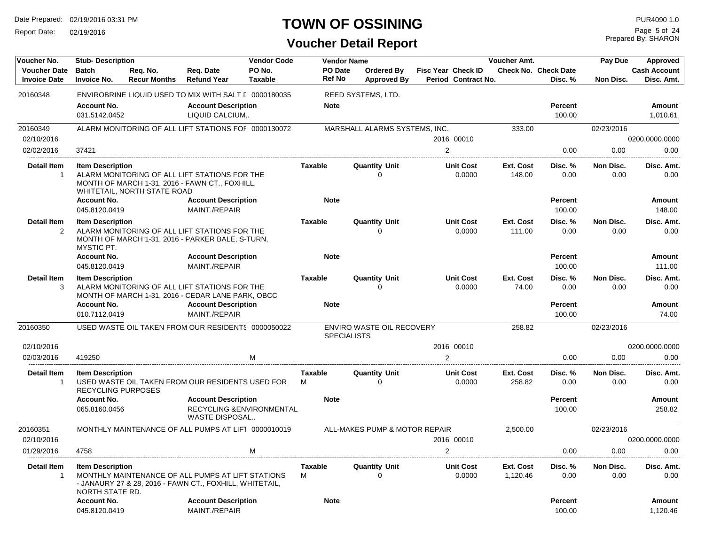Report Date: 02/19/2016

#### **TOWN OF OSSINING**

Prepared By: SHARON Page 5 of 24

| Voucher No.                                | <b>Stub-Description</b>                              |                                 |                                                                                                              | <b>Vendor Code</b>       |                          | <b>Vendor Name</b>                              |                                                  | <b>Voucher Amt.</b>   |                                        | Pay Due           | Approved                          |
|--------------------------------------------|------------------------------------------------------|---------------------------------|--------------------------------------------------------------------------------------------------------------|--------------------------|--------------------------|-------------------------------------------------|--------------------------------------------------|-----------------------|----------------------------------------|-------------------|-----------------------------------|
| <b>Voucher Date</b><br><b>Invoice Date</b> | <b>Batch</b><br><b>Invoice No.</b>                   | Req. No.<br><b>Recur Months</b> | Req. Date<br><b>Refund Year</b>                                                                              | PO No.<br><b>Taxable</b> | PO Date<br><b>Ref No</b> | <b>Ordered By</b><br><b>Approved By</b>         | <b>Fisc Year Check ID</b><br>Period Contract No. |                       | <b>Check No. Check Date</b><br>Disc. % | Non Disc.         | <b>Cash Account</b><br>Disc. Amt. |
| 20160348                                   |                                                      |                                 | ENVIROBRINE LIQUID USED TO MIX WITH SALT [ 0000180035                                                        |                          |                          | REED SYSTEMS, LTD.                              |                                                  |                       |                                        |                   |                                   |
|                                            | <b>Account No.</b><br>031.5142.0452                  |                                 | <b>Account Description</b><br>LIQUID CALCIUM                                                                 |                          | <b>Note</b>              |                                                 |                                                  |                       | <b>Percent</b><br>100.00               |                   | Amount<br>1,010.61                |
| 20160349                                   |                                                      |                                 | ALARM MONITORING OF ALL LIFT STATIONS FOF 0000130072                                                         |                          |                          | MARSHALL ALARMS SYSTEMS, INC.                   |                                                  | 333.00                |                                        | 02/23/2016        |                                   |
| 02/10/2016                                 |                                                      |                                 |                                                                                                              |                          |                          |                                                 | 2016 00010                                       |                       |                                        |                   | 0200.0000.0000                    |
| 02/02/2016                                 | 37421                                                |                                 |                                                                                                              |                          |                          |                                                 | $\overline{2}$                                   |                       | 0.00                                   | 0.00              | 0.00                              |
| <b>Detail Item</b><br>$\mathbf{1}$         | <b>Item Description</b>                              | WHITETAIL, NORTH STATE ROAD     | ALARM MONITORING OF ALL LIFT STATIONS FOR THE<br>MONTH OF MARCH 1-31, 2016 - FAWN CT., FOXHILL,              |                          | Taxable                  | <b>Quantity Unit</b><br>$\Omega$                | <b>Unit Cost</b><br>0.0000                       | Ext. Cost<br>148.00   | Disc. %<br>0.00                        | Non Disc.<br>0.00 | Disc. Amt.<br>0.00                |
|                                            | <b>Account No.</b><br>045.8120.0419                  |                                 | <b>Account Description</b><br>MAINT./REPAIR                                                                  |                          | <b>Note</b>              |                                                 |                                                  |                       | <b>Percent</b><br>100.00               |                   | Amount<br>148.00                  |
| <b>Detail Item</b><br>2                    | <b>Item Description</b><br>MYSTIC PT.                |                                 | ALARM MONITORING OF ALL LIFT STATIONS FOR THE<br>MONTH OF MARCH 1-31, 2016 - PARKER BALE, S-TURN,            |                          | <b>Taxable</b>           | <b>Quantity Unit</b><br>$\Omega$                | <b>Unit Cost</b><br>0.0000                       | Ext. Cost<br>111.00   | Disc. %<br>0.00                        | Non Disc.<br>0.00 | Disc. Amt.<br>0.00                |
|                                            | <b>Account No.</b>                                   |                                 | <b>Account Description</b>                                                                                   |                          | <b>Note</b>              |                                                 |                                                  |                       | <b>Percent</b>                         |                   | <b>Amount</b>                     |
|                                            | 045.8120.0419                                        |                                 | MAINT./REPAIR                                                                                                |                          |                          |                                                 |                                                  |                       | 100.00                                 |                   | 111.00                            |
| <b>Detail Item</b><br>3                    | <b>Item Description</b>                              |                                 | ALARM MONITORING OF ALL LIFT STATIONS FOR THE<br>MONTH OF MARCH 1-31, 2016 - CEDAR LANE PARK, OBCC           |                          | <b>Taxable</b>           | <b>Quantity Unit</b><br>U                       | <b>Unit Cost</b><br>0.0000                       | Ext. Cost<br>74.00    | Disc. %<br>0.00                        | Non Disc.<br>0.00 | Disc. Amt.<br>0.00                |
|                                            | <b>Account No.</b>                                   |                                 | <b>Account Description</b>                                                                                   |                          | <b>Note</b>              |                                                 |                                                  |                       | <b>Percent</b>                         |                   | Amount                            |
|                                            | 010.7112.0419                                        |                                 | MAINT./REPAIR                                                                                                |                          |                          |                                                 |                                                  |                       | 100.00                                 |                   | 74.00                             |
| 20160350                                   |                                                      |                                 | USED WASTE OIL TAKEN FROM OUR RESIDENT  0000050022                                                           |                          |                          | ENVIRO WASTE OIL RECOVERY<br><b>SPECIALISTS</b> |                                                  | 258.82                |                                        | 02/23/2016        |                                   |
| 02/10/2016                                 |                                                      |                                 |                                                                                                              |                          |                          |                                                 | 2016 00010                                       |                       |                                        |                   | 0200.0000.0000                    |
| 02/03/2016                                 | 419250                                               |                                 | M                                                                                                            |                          |                          |                                                 | 2                                                |                       | 0.00                                   | 0.00              | 0.00                              |
| <b>Detail Item</b><br>$\overline{1}$       | <b>Item Description</b><br><b>RECYCLING PURPOSES</b> |                                 | USED WASTE OIL TAKEN FROM OUR RESIDENTS USED FOR                                                             |                          | <b>Taxable</b><br>M      | <b>Quantity Unit</b><br>$\Omega$                | <b>Unit Cost</b><br>0.0000                       | Ext. Cost<br>258.82   | Disc. %<br>0.00                        | Non Disc.<br>0.00 | Disc. Amt.<br>0.00                |
|                                            | <b>Account No.</b>                                   |                                 | <b>Account Description</b>                                                                                   |                          | <b>Note</b>              |                                                 |                                                  |                       | Percent                                |                   | Amount                            |
|                                            | 065.8160.0456                                        |                                 | RECYCLING & ENVIRONMENTAL<br><b>WASTE DISPOSAL</b>                                                           |                          |                          |                                                 |                                                  |                       | 100.00                                 |                   | 258.82                            |
| 20160351                                   |                                                      |                                 | MONTHLY MAINTENANCE OF ALL PUMPS AT LIFT 0000010019                                                          |                          |                          | ALL-MAKES PUMP & MOTOR REPAIR                   |                                                  | 2,500.00              |                                        | 02/23/2016        |                                   |
| 02/10/2016                                 |                                                      |                                 |                                                                                                              |                          |                          |                                                 | 2016 00010                                       |                       |                                        |                   | 0200.0000.0000                    |
| 01/29/2016                                 | 4758                                                 |                                 | M                                                                                                            |                          |                          |                                                 | $\overline{2}$                                   |                       | 0.00                                   | 0.00              | 0.00                              |
| <b>Detail Item</b><br>$\overline{1}$       | <b>Item Description</b><br>NORTH STATE RD.           |                                 | MONTHLY MAINTENANCE OF ALL PUMPS AT LIFT STATIONS<br>- JANAURY 27 & 28, 2016 - FAWN CT., FOXHILL, WHITETAIL, |                          | <b>Taxable</b><br>M      | <b>Quantity Unit</b><br>$\mathbf 0$             | <b>Unit Cost</b><br>0.0000                       | Ext. Cost<br>1,120.46 | Disc. %<br>0.00                        | Non Disc.<br>0.00 | Disc. Amt.<br>0.00                |
|                                            | <b>Account No.</b><br>045.8120.0419                  |                                 | <b>Account Description</b><br>MAINT./REPAIR                                                                  |                          | <b>Note</b>              |                                                 |                                                  |                       | <b>Percent</b><br>100.00               |                   | Amount<br>1,120.46                |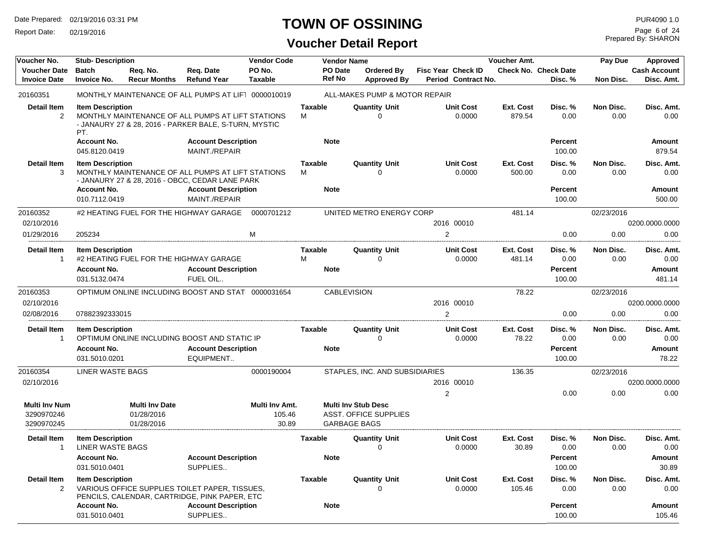Report Date: 02/19/2016

### **TOWN OF OSSINING**

Prepared By: SHARON Page 6 of 24

| Voucher No.                                      | <b>Stub-Description</b>                                 |                                                   |                                                                                                            | <b>Vendor Code</b>                |                     | <b>Vendor Name</b>       |                                                     | Voucher Amt.                                     | Pay Due             | <b>Approved</b>                        |                   |                                   |
|--------------------------------------------------|---------------------------------------------------------|---------------------------------------------------|------------------------------------------------------------------------------------------------------------|-----------------------------------|---------------------|--------------------------|-----------------------------------------------------|--------------------------------------------------|---------------------|----------------------------------------|-------------------|-----------------------------------|
| <b>Voucher Date</b><br><b>Invoice Date</b>       | <b>Batch</b><br><b>Invoice No.</b>                      | Req. No.<br><b>Recur Months</b>                   | Req. Date<br><b>Refund Year</b>                                                                            | PO No.<br><b>Taxable</b>          |                     | PO Date<br><b>Ref No</b> | Ordered By<br><b>Approved By</b>                    | <b>Fisc Year Check ID</b><br>Period Contract No. |                     | <b>Check No. Check Date</b><br>Disc. % | Non Disc.         | <b>Cash Account</b><br>Disc. Amt. |
| 20160351                                         |                                                         |                                                   | MONTHLY MAINTENANCE OF ALL PUMPS AT LIFT 0000010019                                                        |                                   |                     |                          | ALL-MAKES PUMP & MOTOR REPAIR                       |                                                  |                     |                                        |                   |                                   |
| <b>Detail Item</b><br>2                          | <b>Item Description</b><br>PT.                          |                                                   | MONTHLY MAINTENANCE OF ALL PUMPS AT LIFT STATIONS<br>- JANAURY 27 & 28, 2016 - PARKER BALE, S-TURN, MYSTIC |                                   | Taxable<br>M        |                          | <b>Quantity Unit</b><br>0                           | <b>Unit Cost</b><br>0.0000                       | Ext. Cost<br>879.54 | Disc. %<br>0.00                        | Non Disc.<br>0.00 | Disc. Amt.<br>0.00                |
|                                                  | <b>Account No.</b><br>045.8120.0419                     |                                                   | <b>Account Description</b><br>MAINT./REPAIR                                                                |                                   |                     | <b>Note</b>              |                                                     |                                                  |                     | <b>Percent</b><br>100.00               |                   | Amount<br>879.54                  |
| <b>Detail Item</b><br>3                          | <b>Item Description</b>                                 |                                                   | MONTHLY MAINTENANCE OF ALL PUMPS AT LIFT STATIONS<br>- JANAURY 27 & 28, 2016 - OBCC, CEDAR LANE PARK       |                                   | <b>Taxable</b><br>м |                          | <b>Quantity Unit</b><br>0                           | <b>Unit Cost</b><br>0.0000                       | Ext. Cost<br>500.00 | Disc. %<br>0.00                        | Non Disc.<br>0.00 | Disc. Amt.<br>0.00                |
|                                                  | <b>Account No.</b><br>010.7112.0419                     |                                                   | <b>Account Description</b><br>MAINT./REPAIR                                                                |                                   |                     | <b>Note</b>              |                                                     |                                                  |                     | <b>Percent</b><br>100.00               |                   | Amount<br>500.00                  |
| 20160352<br>02/10/2016                           |                                                         |                                                   | #2 HEATING FUEL FOR THE HIGHWAY GARAGE                                                                     | 0000701212                        |                     |                          | UNITED METRO ENERGY CORP                            | 2016 00010                                       | 481.14              |                                        | 02/23/2016        | 0200.0000.0000                    |
| 01/29/2016                                       | 205234                                                  |                                                   |                                                                                                            | M                                 |                     |                          |                                                     | $\overline{2}$                                   |                     | 0.00                                   | 0.00              | 0.00                              |
| <b>Detail Item</b><br>$\mathbf 1$                | <b>Item Description</b>                                 |                                                   | #2 HEATING FUEL FOR THE HIGHWAY GARAGE                                                                     |                                   | <b>Taxable</b><br>м |                          | <b>Quantity Unit</b><br>0                           | <b>Unit Cost</b><br>0.0000                       | Ext. Cost<br>481.14 | Disc. %<br>0.00                        | Non Disc.<br>0.00 | Disc. Amt.<br>0.00                |
|                                                  | <b>Account No.</b><br>031.5132.0474                     |                                                   | <b>Account Description</b><br>FUEL OIL                                                                     |                                   |                     | <b>Note</b>              |                                                     |                                                  |                     | <b>Percent</b><br>100.00               |                   | Amount<br>481.14                  |
| 20160353                                         |                                                         |                                                   | OPTIMUM ONLINE INCLUDING BOOST AND STATI 0000031654                                                        |                                   |                     | <b>CABLEVISION</b>       |                                                     |                                                  | 78.22               |                                        | 02/23/2016        |                                   |
| 02/10/2016                                       |                                                         |                                                   |                                                                                                            |                                   |                     |                          |                                                     | 2016 00010                                       |                     |                                        |                   | 0200.0000.0000                    |
| 02/08/2016                                       | 07882392333015                                          |                                                   |                                                                                                            |                                   |                     |                          |                                                     | 2                                                |                     | 0.00                                   | 0.00              | 0.00                              |
| <b>Detail Item</b><br>$\overline{1}$             | <b>Item Description</b>                                 |                                                   | OPTIMUM ONLINE INCLUDING BOOST AND STATIC IP                                                               |                                   | Taxable             |                          | <b>Quantity Unit</b><br>∩                           | <b>Unit Cost</b><br>0.0000                       | Ext. Cost<br>78.22  | Disc. %<br>0.00                        | Non Disc.<br>0.00 | Disc. Amt.<br>0.00                |
|                                                  | <b>Account No.</b>                                      |                                                   | <b>Account Description</b>                                                                                 |                                   |                     | <b>Note</b>              |                                                     |                                                  |                     | <b>Percent</b>                         |                   | Amount                            |
|                                                  | 031.5010.0201                                           |                                                   | EQUIPMENT                                                                                                  |                                   |                     |                          |                                                     |                                                  |                     | 100.00                                 |                   | 78.22                             |
| 20160354<br>02/10/2016                           | LINER WASTE BAGS                                        |                                                   |                                                                                                            | 0000190004                        |                     |                          | STAPLES, INC. AND SUBSIDIARIES                      | 2016 00010                                       | 136.35              |                                        | 02/23/2016        | 0200.0000.0000                    |
| <b>Multi Inv Num</b><br>3290970246<br>3290970245 |                                                         | <b>Multi Inv Date</b><br>01/28/2016<br>01/28/2016 |                                                                                                            | Multi Inv Amt.<br>105.46<br>30.89 |                     | <b>GARBAGE BAGS</b>      | <b>Multi Inv Stub Desc</b><br>ASST. OFFICE SUPPLIES | $\overline{2}$                                   |                     | 0.00                                   | 0.00              | 0.00                              |
| Detail Item                                      | <b>Item Description</b>                                 |                                                   |                                                                                                            |                                   | Taxable             |                          | <b>Quantity Unit</b>                                | <b>Unit Cost</b>                                 | Ext. Cost           | Disc. %                                | Non Disc.         | Disc. Amt.                        |
| $\mathbf 1$                                      | LINER WASTE BAGS<br><b>Account No.</b><br>031.5010.0401 |                                                   | <b>Account Description</b><br>SUPPLIES                                                                     |                                   |                     | <b>Note</b>              | 0                                                   | 0.0000                                           | 30.89               | 0.00<br><b>Percent</b><br>100.00       | 0.00              | 0.00<br>Amount<br>30.89           |
| Detail Item                                      | <b>Item Description</b>                                 |                                                   |                                                                                                            |                                   | <b>Taxable</b>      |                          | <b>Quantity Unit</b>                                | <b>Unit Cost</b>                                 | Ext. Cost           | Disc. %                                | Non Disc.         | Disc. Amt.                        |
| $\overline{2}$                                   |                                                         |                                                   | VARIOUS OFFICE SUPPLIES TOILET PAPER. TISSUES.<br>PENCILS, CALENDAR, CARTRIDGE, PINK PAPER, ETC            |                                   |                     |                          |                                                     | 0.0000                                           | 105.46              | 0.00                                   | 0.00              | 0.00                              |
|                                                  | <b>Account No.</b><br>031.5010.0401                     |                                                   | <b>Account Description</b><br>SUPPLIES                                                                     |                                   |                     | <b>Note</b>              |                                                     |                                                  |                     | Percent<br>100.00                      |                   | Amount<br>105.46                  |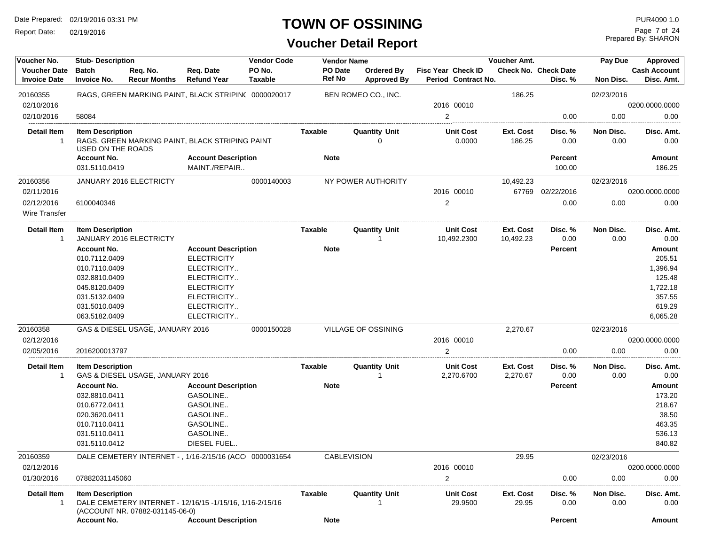Report Date: 02/19/2016

#### **TOWN OF OSSINING** PURA090 1.0

| Voucher No.                                | <b>Stub-Description</b>                      |                                  |                                                          | <b>Vendor Code</b>       | <b>Vendor Name</b>       |                                         |                                                  | Voucher Amt.           |                                        | Pay Due           | <b>Approved</b>                   |
|--------------------------------------------|----------------------------------------------|----------------------------------|----------------------------------------------------------|--------------------------|--------------------------|-----------------------------------------|--------------------------------------------------|------------------------|----------------------------------------|-------------------|-----------------------------------|
| <b>Voucher Date</b><br><b>Invoice Date</b> | <b>Batch</b><br><b>Invoice No.</b>           | Req. No.<br><b>Recur Months</b>  | Req. Date<br><b>Refund Year</b>                          | PO No.<br><b>Taxable</b> | PO Date<br><b>Ref No</b> | <b>Ordered By</b><br><b>Approved By</b> | <b>Fisc Year Check ID</b><br>Period Contract No. |                        | <b>Check No. Check Date</b><br>Disc. % | Non Disc.         | <b>Cash Account</b><br>Disc. Amt. |
| 20160355                                   |                                              |                                  | RAGS, GREEN MARKING PAINT, BLACK STRIPIN( 0000020017     |                          |                          | BEN ROMEO CO., INC.                     |                                                  | 186.25                 |                                        | 02/23/2016        |                                   |
| 02/10/2016                                 |                                              |                                  |                                                          |                          |                          |                                         | 2016 00010                                       |                        |                                        |                   | 0200.0000.0000                    |
| 02/10/2016                                 | 58084                                        |                                  |                                                          |                          |                          |                                         | $\overline{2}$                                   |                        | 0.00                                   | 0.00              | 0.00                              |
| <b>Detail Item</b>                         | <b>Item Description</b><br>USED ON THE ROADS |                                  | RAGS, GREEN MARKING PAINT, BLACK STRIPING PAINT          |                          | Taxable                  | <b>Quantity Unit</b><br>0               | <b>Unit Cost</b><br>0.0000                       | Ext. Cost<br>186.25    | Disc. %<br>0.00                        | Non Disc.<br>0.00 | Disc. Amt.<br>0.00                |
|                                            | <b>Account No.</b><br>031.5110.0419          |                                  | <b>Account Description</b><br>MAINT./REPAIR              |                          | <b>Note</b>              |                                         |                                                  |                        | Percent<br>100.00                      |                   | Amount<br>186.25                  |
| 20160356                                   |                                              | <b>JANUARY 2016 ELECTRICTY</b>   |                                                          | 0000140003               |                          | NY POWER AUTHORITY                      |                                                  | 10,492.23              |                                        | 02/23/2016        |                                   |
| 02/11/2016                                 |                                              |                                  |                                                          |                          |                          |                                         | 2016 00010                                       | 67769                  | 02/22/2016                             |                   | 0200.0000.0000                    |
| 02/12/2016<br>Wire Transfer                | 6100040346                                   |                                  |                                                          |                          |                          |                                         | $\overline{c}$                                   |                        | 0.00                                   | 0.00              | 0.00                              |
| Detail Item<br>-1                          | <b>Item Description</b>                      | JANUARY 2016 ELECTRICTY          |                                                          |                          | Taxable                  | <b>Quantity Unit</b>                    | <b>Unit Cost</b><br>10,492.2300                  | Ext. Cost<br>10,492.23 | Disc.%<br>0.00                         | Non Disc.<br>0.00 | Disc. Amt.<br>0.00                |
|                                            | <b>Account No.</b>                           |                                  | <b>Account Description</b>                               |                          | <b>Note</b>              |                                         |                                                  |                        | <b>Percent</b>                         |                   | <b>Amount</b>                     |
|                                            | 010.7112.0409                                |                                  | <b>ELECTRICITY</b>                                       |                          |                          |                                         |                                                  |                        |                                        |                   | 205.51                            |
|                                            | 010.7110.0409                                |                                  | ELECTRICITY                                              |                          |                          |                                         |                                                  |                        |                                        |                   | 1,396.94                          |
|                                            | 032.8810.0409                                |                                  | ELECTRICITY                                              |                          |                          |                                         |                                                  |                        |                                        |                   | 125.48                            |
|                                            | 045.8120.0409                                |                                  | <b>ELECTRICITY</b>                                       |                          |                          |                                         |                                                  |                        |                                        |                   | 1,722.18                          |
|                                            | 031.5132.0409                                |                                  | ELECTRICITY                                              |                          |                          |                                         |                                                  |                        |                                        |                   | 357.55                            |
|                                            | 031.5010.0409                                |                                  | ELECTRICITY                                              |                          |                          |                                         |                                                  |                        |                                        |                   | 619.29                            |
|                                            | 063.5182.0409                                |                                  | ELECTRICITY                                              |                          |                          |                                         |                                                  |                        |                                        |                   | 6,065.28                          |
| 20160358                                   |                                              | GAS & DIESEL USAGE, JANUARY 2016 |                                                          | 0000150028               |                          | VILLAGE OF OSSINING                     |                                                  | 2,270.67               |                                        | 02/23/2016        |                                   |
| 02/12/2016                                 |                                              |                                  |                                                          |                          |                          |                                         | 2016 00010                                       |                        |                                        |                   | 0200.0000.0000                    |
| 02/05/2016                                 | 2016200013797                                |                                  |                                                          |                          |                          |                                         | $\overline{2}$                                   |                        | 0.00                                   | 0.00              | 0.00                              |
| <b>Detail Item</b>                         | <b>Item Description</b>                      |                                  |                                                          |                          | Taxable                  | <b>Quantity Unit</b>                    | <b>Unit Cost</b>                                 | Ext. Cost              | Disc. %                                | Non Disc.         | Disc. Amt.                        |
| -1                                         |                                              | GAS & DIESEL USAGE, JANUARY 2016 |                                                          |                          |                          |                                         | 2,270.6700                                       | 2,270.67               | 0.00                                   | 0.00              | 0.00                              |
|                                            | <b>Account No.</b>                           |                                  | <b>Account Description</b>                               |                          | <b>Note</b>              |                                         |                                                  |                        | Percent                                |                   | <b>Amount</b>                     |
|                                            | 032.8810.0411                                |                                  | GASOLINE                                                 |                          |                          |                                         |                                                  |                        |                                        |                   | 173.20                            |
|                                            | 010.6772.0411                                |                                  | GASOLINE                                                 |                          |                          |                                         |                                                  |                        |                                        |                   | 218.67                            |
|                                            | 020.3620.0411                                |                                  | GASOLINE                                                 |                          |                          |                                         |                                                  |                        |                                        |                   | 38.50                             |
|                                            | 010.7110.0411                                |                                  | GASOLINE                                                 |                          |                          |                                         |                                                  |                        |                                        |                   | 463.35                            |
|                                            | 031.5110.0411                                |                                  | GASOLINE                                                 |                          |                          |                                         |                                                  |                        |                                        |                   | 536.13                            |
|                                            | 031.5110.0412                                |                                  | DIESEL FUEL                                              |                          |                          |                                         |                                                  |                        |                                        |                   | 840.82                            |
| 20160359                                   |                                              |                                  | DALE CEMETERY INTERNET - , 1/16-2/15/16 (ACC 0000031654  |                          | <b>CABLEVISION</b>       |                                         |                                                  | 29.95                  |                                        | 02/23/2016        |                                   |
| 02/12/2016                                 |                                              |                                  |                                                          |                          |                          |                                         | 2016 00010                                       |                        |                                        |                   | 0200.0000.0000                    |
| 01/30/2016                                 | 07882031145060                               |                                  |                                                          |                          |                          |                                         | $\overline{2}$                                   |                        | 0.00                                   | 0.00              | 0.00                              |
| Detail Item<br>-1                          | <b>Item Description</b>                      | (ACCOUNT NR. 07882-031145-06-0)  | DALE CEMETERY INTERNET - 12/16/15 -1/15/16, 1/16-2/15/16 |                          | Taxable                  | <b>Quantity Unit</b>                    | <b>Unit Cost</b><br>29.9500                      | Ext. Cost<br>29.95     | Disc. %<br>0.00                        | Non Disc.<br>0.00 | Disc. Amt.<br>0.00                |
|                                            | <b>Account No.</b>                           |                                  | <b>Account Description</b>                               |                          | <b>Note</b>              |                                         |                                                  |                        | Percent                                |                   | Amount                            |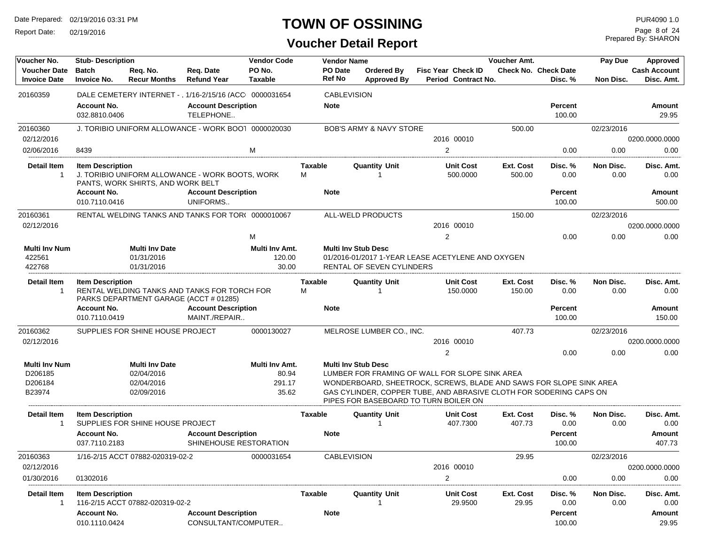Report Date: 02/19/2016

### **TOWN OF OSSINING**

Prepared By: SHARON Page 8 of 24

| Voucher No.                                | <b>Stub-Description</b>             |                                        |                                                         | <b>Vendor Code</b>       |              | <b>Vendor Name</b> |                                                                                                             |                |                                                  | Voucher Amt.        |                                        | Pay Due           | Approved                          |
|--------------------------------------------|-------------------------------------|----------------------------------------|---------------------------------------------------------|--------------------------|--------------|--------------------|-------------------------------------------------------------------------------------------------------------|----------------|--------------------------------------------------|---------------------|----------------------------------------|-------------------|-----------------------------------|
| <b>Voucher Date</b><br><b>Invoice Date</b> | <b>Batch</b><br><b>Invoice No.</b>  | Req. No.<br><b>Recur Months</b>        | Reg. Date<br><b>Refund Year</b>                         | PO No.<br><b>Taxable</b> |              | PO Date<br>Ref No  | Ordered By<br><b>Approved By</b>                                                                            |                | <b>Fisc Year Check ID</b><br>Period Contract No. |                     | <b>Check No. Check Date</b><br>Disc. % | Non Disc.         | <b>Cash Account</b><br>Disc. Amt. |
| 20160359                                   |                                     |                                        | DALE CEMETERY INTERNET - , 1/16-2/15/16 (ACC 0000031654 |                          |              | <b>CABLEVISION</b> |                                                                                                             |                |                                                  |                     |                                        |                   |                                   |
|                                            | <b>Account No.</b>                  |                                        | <b>Account Description</b>                              |                          |              | <b>Note</b>        |                                                                                                             |                |                                                  |                     | Percent                                |                   | Amount                            |
|                                            | 032.8810.0406                       |                                        | TELEPHONE                                               |                          |              |                    |                                                                                                             |                |                                                  |                     | 100.00                                 |                   | 29.95                             |
| 20160360                                   |                                     |                                        | J. TORIBIO UNIFORM ALLOWANCE - WORK BOOT 0000020030     |                          |              |                    | <b>BOB'S ARMY &amp; NAVY STORE</b>                                                                          |                |                                                  | 500.00              |                                        | 02/23/2016        |                                   |
| 02/12/2016                                 |                                     |                                        |                                                         |                          |              |                    |                                                                                                             |                | 2016 00010                                       |                     |                                        |                   | 0200.0000.0000                    |
| 02/06/2016                                 | 8439                                |                                        |                                                         | м                        |              |                    |                                                                                                             | 2              |                                                  |                     | 0.00                                   | 0.00              | 0.00                              |
| <b>Detail Item</b><br>-1                   | <b>Item Description</b>             | PANTS, WORK SHIRTS, AND WORK BELT      | J. TORIBIO UNIFORM ALLOWANCE - WORK BOOTS, WORK         |                          | Taxable<br>м |                    | <b>Quantity Unit</b><br>-1                                                                                  |                | <b>Unit Cost</b><br>500.0000                     | Ext. Cost<br>500.00 | Disc. %<br>0.00                        | Non Disc.<br>0.00 | Disc. Amt.<br>0.00                |
|                                            | <b>Account No.</b>                  |                                        | <b>Account Description</b>                              |                          |              | <b>Note</b>        |                                                                                                             |                |                                                  |                     | <b>Percent</b>                         |                   | Amount                            |
|                                            | 010.7110.0416                       |                                        | UNIFORMS                                                |                          |              |                    |                                                                                                             |                |                                                  |                     | 100.00                                 |                   | 500.00                            |
| 20160361                                   |                                     |                                        | RENTAL WELDING TANKS AND TANKS FOR TOR( 0000010067      |                          |              |                    | ALL-WELD PRODUCTS                                                                                           |                |                                                  | 150.00              |                                        | 02/23/2016        |                                   |
| 02/12/2016                                 |                                     |                                        |                                                         |                          |              |                    |                                                                                                             |                | 2016 00010                                       |                     |                                        |                   | 0200.0000.0000                    |
|                                            |                                     |                                        |                                                         | м                        |              |                    |                                                                                                             | $\overline{2}$ |                                                  |                     | 0.00                                   | 0.00              | 0.00                              |
| <b>Multi Inv Num</b>                       |                                     | <b>Multi Inv Date</b>                  |                                                         | Multi Inv Amt.           |              |                    | <b>Multi Inv Stub Desc</b>                                                                                  |                |                                                  |                     |                                        |                   |                                   |
| 422561                                     |                                     | 01/31/2016                             |                                                         | 120.00                   |              |                    | 01/2016-01/2017 1-YEAR LEASE ACETYLENE AND OXYGEN                                                           |                |                                                  |                     |                                        |                   |                                   |
| 422768                                     |                                     | 01/31/2016                             |                                                         | 30.00                    |              |                    | RENTAL OF SEVEN CYLINDERS                                                                                   |                |                                                  |                     |                                        |                   |                                   |
| Detail Item<br>-1                          | <b>Item Description</b>             | PARKS DEPARTMENT GARAGE (ACCT # 01285) | RENTAL WELDING TANKS AND TANKS FOR TORCH FOR            |                          | Taxable<br>м |                    | <b>Quantity Unit</b>                                                                                        |                | <b>Unit Cost</b><br>150.0000                     | Ext. Cost<br>150.00 | Disc. %<br>0.00                        | Non Disc.<br>0.00 | Disc. Amt.<br>0.00                |
|                                            | <b>Account No.</b><br>010.7110.0419 |                                        | <b>Account Description</b><br>MAINT./REPAIR             |                          |              | <b>Note</b>        |                                                                                                             |                |                                                  |                     | Percent<br>100.00                      |                   | Amount<br>150.00                  |
| 20160362                                   |                                     | SUPPLIES FOR SHINE HOUSE PROJECT       |                                                         | 0000130027               |              |                    | MELROSE LUMBER CO., INC.                                                                                    |                |                                                  | 407.73              |                                        | 02/23/2016        |                                   |
| 02/12/2016                                 |                                     |                                        |                                                         |                          |              |                    |                                                                                                             |                | 2016 00010                                       |                     |                                        |                   | 0200.0000.0000                    |
|                                            |                                     |                                        |                                                         |                          |              |                    |                                                                                                             | $\overline{2}$ |                                                  |                     | 0.00                                   | 0.00              | 0.00                              |
| <b>Multi Inv Num</b>                       |                                     | Multi Inv Date                         |                                                         | Multi Inv Amt.           |              |                    | <b>Multi Inv Stub Desc</b>                                                                                  |                |                                                  |                     |                                        |                   |                                   |
| D206185                                    |                                     | 02/04/2016                             |                                                         | 80.94                    |              |                    | LUMBER FOR FRAMING OF WALL FOR SLOPE SINK AREA                                                              |                |                                                  |                     |                                        |                   |                                   |
| D206184                                    |                                     | 02/04/2016                             |                                                         | 291.17                   |              |                    | WONDERBOARD, SHEETROCK, SCREWS, BLADE AND SAWS FOR SLOPE SINK AREA                                          |                |                                                  |                     |                                        |                   |                                   |
| B23974                                     |                                     | 02/09/2016                             |                                                         | 35.62                    |              |                    | GAS CYLINDER, COPPER TUBE, AND ABRASIVE CLOTH FOR SODERING CAPS ON<br>PIPES FOR BASEBOARD TO TURN BOILER ON |                |                                                  |                     |                                        |                   |                                   |
| Detail Item                                | <b>Item Description</b>             | SUPPLIES FOR SHINE HOUSE PROJECT       |                                                         |                          | Taxable      |                    | <b>Quantity Unit</b>                                                                                        |                | <b>Unit Cost</b><br>407.7300                     | Ext. Cost<br>407.73 | Disc. %<br>0.00                        | Non Disc.<br>0.00 | Disc. Amt.<br>0.00                |
|                                            | <b>Account No.</b><br>037.7110.2183 |                                        | <b>Account Description</b><br>SHINEHOUSE RESTORATION    |                          |              | <b>Note</b>        |                                                                                                             |                |                                                  |                     | Percent<br>100.00                      |                   | Amount<br>407.73                  |
| 20160363                                   |                                     | 1/16-2/15 ACCT 07882-020319-02-2       |                                                         | 0000031654               |              | <b>CABLEVISION</b> |                                                                                                             |                |                                                  | 29.95               |                                        | 02/23/2016        |                                   |
| 02/12/2016                                 |                                     |                                        |                                                         |                          |              |                    |                                                                                                             |                | 2016 00010                                       |                     |                                        |                   | 0200.0000.0000                    |
| 01/30/2016                                 | 01302016                            |                                        |                                                         |                          |              |                    |                                                                                                             | 2              |                                                  |                     | 0.00                                   | 0.00              | 0.00                              |
| <b>Detail Item</b><br>-1                   | <b>Item Description</b>             | 116-2/15 ACCT 07882-020319-02-2        |                                                         |                          | Taxable      |                    | <b>Quantity Unit</b>                                                                                        |                | <b>Unit Cost</b><br>29.9500                      | Ext. Cost<br>29.95  | Disc. %<br>0.00                        | Non Disc.<br>0.00 | Disc. Amt.<br>0.00                |
|                                            | <b>Account No.</b>                  |                                        | <b>Account Description</b>                              |                          |              | <b>Note</b>        |                                                                                                             |                |                                                  |                     | Percent                                |                   | Amount                            |
|                                            | 010.1110.0424                       |                                        | CONSULTANT/COMPUTER                                     |                          |              |                    |                                                                                                             |                |                                                  |                     | 100.00                                 |                   | 29.95                             |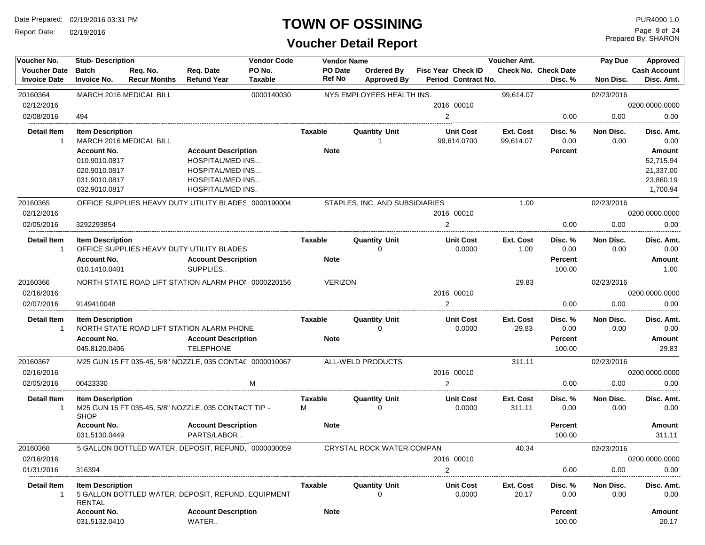Report Date: 02/19/2016

#### **TOWN OF OSSINING**

| Voucher No.                                | <b>Stub-Description</b>                                                                                                                                       |                                                          |                                                                                                                                  | <b>Vendor Code</b>     | <b>Vendor Name</b>               |                                  |                            |                                                  | Voucher Amt.                                |                                        | Pay Due                               | Approved                                                  |
|--------------------------------------------|---------------------------------------------------------------------------------------------------------------------------------------------------------------|----------------------------------------------------------|----------------------------------------------------------------------------------------------------------------------------------|------------------------|----------------------------------|----------------------------------|----------------------------|--------------------------------------------------|---------------------------------------------|----------------------------------------|---------------------------------------|-----------------------------------------------------------|
| <b>Voucher Date</b><br><b>Invoice Date</b> | <b>Batch</b><br><b>Invoice No.</b>                                                                                                                            | Req. No.<br><b>Recur Months</b>                          | Req. Date<br><b>Refund Year</b>                                                                                                  | PO No.<br>Taxable      | PO Date<br>Ref No                | Ordered By<br><b>Approved By</b> |                            | <b>Fisc Year Check ID</b><br>Period Contract No. |                                             | <b>Check No. Check Date</b><br>Disc. % | Non Disc.                             | <b>Cash Account</b><br>Disc. Amt.                         |
| 20160364                                   |                                                                                                                                                               | <b>MARCH 2016 MEDICAL BILL</b>                           |                                                                                                                                  | 0000140030             |                                  | NYS EMPLOYEES HEALTH INS.        |                            |                                                  | 99,614.07                                   |                                        | 02/23/2016                            |                                                           |
| 02/12/2016                                 |                                                                                                                                                               |                                                          |                                                                                                                                  |                        |                                  |                                  |                            | 2016 00010                                       |                                             |                                        |                                       | 0200.0000.0000                                            |
| 02/08/2016                                 | 494                                                                                                                                                           |                                                          |                                                                                                                                  |                        |                                  |                                  | $\overline{2}$             |                                                  |                                             | 0.00                                   | 0.00                                  | 0.00                                                      |
| <b>Detail Item</b><br>$\mathbf{1}$         | <b>Item Description</b>                                                                                                                                       | MARCH 2016 MEDICAL BILL                                  |                                                                                                                                  |                        | Taxable                          | <b>Quantity Unit</b><br>-1       |                            | <b>Unit Cost</b><br>99,614.0700                  | <b>Ext. Cost</b><br>99,614.07               | Disc. %<br>0.00                        | Non Disc.<br>0.00                     | Disc. Amt.<br>0.00                                        |
|                                            | <b>Account No.</b><br>010.9010.0817<br>020.9010.0817<br>031.9010.0817<br>032.9010.0817                                                                        |                                                          | <b>Account Description</b><br><b>HOSPITAL/MED INS</b><br><b>HOSPITAL/MED INS</b><br><b>HOSPITAL/MED INS</b><br>HOSPITAL/MED INS. |                        | <b>Note</b>                      |                                  |                            |                                                  |                                             | Percent                                |                                       | Amount<br>52,715.94<br>21,337.00<br>23,860.19<br>1,700.94 |
| 20160365                                   |                                                                                                                                                               | OFFICE SUPPLIES HEAVY DUTY UTILITY BLADES 0000190004     |                                                                                                                                  |                        |                                  | STAPLES, INC. AND SUBSIDIARIES   |                            |                                                  | 1.00                                        |                                        | 02/23/2016                            |                                                           |
| 02/12/2016                                 |                                                                                                                                                               |                                                          |                                                                                                                                  |                        |                                  |                                  |                            | 2016 00010                                       |                                             |                                        |                                       | 0200.0000.0000                                            |
| 02/05/2016                                 | 3292293854                                                                                                                                                    |                                                          |                                                                                                                                  |                        |                                  |                                  | $\overline{2}$             |                                                  |                                             | 0.00                                   | 0.00                                  | 0.00                                                      |
| <b>Detail Item</b><br>-1                   | <b>Item Description</b><br><b>Account No.</b><br>010.1410.0401                                                                                                | OFFICE SUPPLIES HEAVY DUTY UTILITY BLADES                | <b>Account Description</b><br>SUPPLIES                                                                                           |                        | Taxable<br><b>Note</b>           | <b>Quantity Unit</b><br>$\Omega$ |                            | <b>Unit Cost</b><br>0.0000                       | Ext. Cost<br>1.00                           | Disc. %<br>0.00<br>Percent<br>100.00   | Non Disc.<br>0.00                     | Disc. Amt.<br>0.00<br>Amount<br>1.00                      |
| 20160366                                   |                                                                                                                                                               | NORTH STATE ROAD LIFT STATION ALARM PHOI 0000220156      |                                                                                                                                  |                        | <b>VERIZON</b>                   |                                  |                            |                                                  | 29.83                                       |                                        | 02/23/2016                            |                                                           |
| 02/16/2016                                 |                                                                                                                                                               |                                                          |                                                                                                                                  |                        |                                  |                                  |                            | 2016 00010                                       |                                             |                                        |                                       | 0200.0000.0000                                            |
| 02/07/2016                                 | 9149410048                                                                                                                                                    |                                                          |                                                                                                                                  |                        |                                  |                                  | $\overline{2}$             |                                                  |                                             | 0.00                                   | 0.00                                  | 0.00                                                      |
| <b>Detail Item</b><br>1                    | <b>Item Description</b><br>NORTH STATE ROAD LIFT STATION ALARM PHONE<br><b>Account No.</b><br><b>Account Description</b><br><b>TELEPHONE</b><br>045.8120.0406 |                                                          |                                                                                                                                  | Taxable<br><b>Note</b> | <b>Quantity Unit</b><br>$\Omega$ |                                  | <b>Unit Cost</b><br>0.0000 | <b>Ext. Cost</b><br>29.83                        | Disc. %<br>0.00<br><b>Percent</b><br>100.00 | Non Disc.<br>0.00                      | Disc. Amt.<br>0.00<br>Amount<br>29.83 |                                                           |
| 20160367                                   |                                                                                                                                                               | M25 GUN 15 FT 035-45, 5/8" NOZZLE, 035 CONTA( 0000010067 |                                                                                                                                  |                        |                                  | ALL-WELD PRODUCTS                |                            |                                                  | 311.11                                      |                                        | 02/23/2016                            |                                                           |
| 02/16/2016                                 |                                                                                                                                                               |                                                          |                                                                                                                                  |                        |                                  |                                  |                            | 2016 00010                                       |                                             |                                        |                                       | 0200.0000.0000                                            |
| 02/05/2016                                 | 00423330                                                                                                                                                      |                                                          |                                                                                                                                  | M                      |                                  |                                  | $\overline{2}$             |                                                  |                                             | 0.00                                   | 0.00                                  | 0.00                                                      |
| <b>Detail Item</b>                         | <b>Item Description</b><br><b>SHOP</b>                                                                                                                        | M25 GUN 15 FT 035-45, 5/8" NOZZLE, 035 CONTACT TIP -     |                                                                                                                                  |                        | Taxable<br>м                     | <b>Quantity Unit</b><br>$\Omega$ |                            | <b>Unit Cost</b><br>0.0000                       | <b>Ext. Cost</b><br>311.11                  | Disc. %<br>0.00                        | Non Disc.<br>0.00                     | Disc. Amt.<br>0.00                                        |
|                                            | <b>Account No.</b><br>031.5130.0449                                                                                                                           |                                                          | <b>Account Description</b><br>PARTS/LABOR                                                                                        |                        | <b>Note</b>                      |                                  |                            |                                                  |                                             | <b>Percent</b><br>100.00               |                                       | Amount<br>311.11                                          |
| 20160368                                   |                                                                                                                                                               | 5 GALLON BOTTLED WATER. DEPOSIT. REFUND. 0000030059      |                                                                                                                                  |                        |                                  | CRYSTAL ROCK WATER COMPAN        |                            |                                                  | 40.34                                       |                                        | 02/23/2016                            |                                                           |
| 02/16/2016                                 |                                                                                                                                                               |                                                          |                                                                                                                                  |                        |                                  |                                  |                            | 2016 00010                                       |                                             |                                        |                                       | 0200.0000.0000                                            |
| 01/31/2016                                 | 316394                                                                                                                                                        |                                                          |                                                                                                                                  |                        |                                  |                                  | $\overline{2}$             |                                                  |                                             | 0.00                                   | 0.00                                  | 0.00                                                      |
| <b>Detail Item</b><br>$\mathbf{1}$         | <b>Item Description</b><br><b>RENTAL</b>                                                                                                                      | 5 GALLON BOTTLED WATER, DEPOSIT, REFUND, EQUIPMENT       |                                                                                                                                  |                        | Taxable                          | Quantity Unit<br>∩               |                            | <b>Unit Cost</b><br>0.0000                       | Ext. Cost<br>20.17                          | Disc. %<br>0.00                        | Non Disc.<br>0.00                     | Disc. Amt.<br>0.00                                        |
|                                            | <b>Account No.</b><br>031.5132.0410                                                                                                                           |                                                          | <b>Account Description</b><br>WATER                                                                                              |                        | <b>Note</b>                      |                                  |                            |                                                  |                                             | Percent<br>100.00                      |                                       | Amount<br>20.17                                           |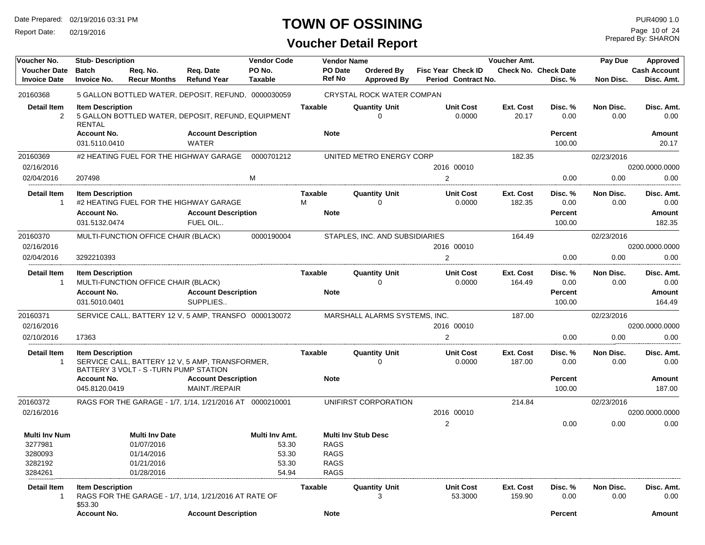Report Date: 02/19/2016

### **TOWN OF OSSINING**

| Voucher No.                                | <b>Stub-Description</b>                                        |                                       |                                                                                  | <b>Vendor Code</b> |                               | <b>Vendor Name</b> |                                  |                           |                             | Voucher Amt.        |                                             | Pay Due           | Approved                               |
|--------------------------------------------|----------------------------------------------------------------|---------------------------------------|----------------------------------------------------------------------------------|--------------------|-------------------------------|--------------------|----------------------------------|---------------------------|-----------------------------|---------------------|---------------------------------------------|-------------------|----------------------------------------|
| <b>Voucher Date</b><br><b>Invoice Date</b> | <b>Batch</b><br><b>Invoice No.</b>                             | Req. No.<br><b>Recur Months</b>       | Req. Date<br><b>Refund Year</b>                                                  | PO No.<br>Taxable  | PO Date<br><b>Ref No</b>      |                    | Ordered By<br><b>Approved By</b> | <b>Fisc Year Check ID</b> | Period Contract No.         |                     | <b>Check No. Check Date</b><br>Disc. %      | Non Disc.         | <b>Cash Account</b><br>Disc. Amt.      |
| 20160368                                   |                                                                |                                       | 5 GALLON BOTTLED WATER, DEPOSIT, REFUND, 0000030059                              |                    |                               |                    | CRYSTAL ROCK WATER COMPAN        |                           |                             |                     |                                             |                   |                                        |
| <b>Detail Item</b><br>$\overline{2}$       | <b>Item Description</b><br>RENTAL<br><b>Account No.</b>        |                                       | 5 GALLON BOTTLED WATER, DEPOSIT, REFUND, EQUIPMENT<br><b>Account Description</b> |                    | <b>Taxable</b><br><b>Note</b> |                    | <b>Quantity Unit</b><br>0        |                           | <b>Unit Cost</b><br>0.0000  | Ext. Cost<br>20.17  | Disc. %<br>0.00<br>Percent                  | Non Disc.<br>0.00 | Disc. Amt.<br>0.00<br>Amount           |
|                                            | 031.5110.0410                                                  |                                       | WATER                                                                            |                    |                               |                    |                                  |                           |                             |                     | 100.00                                      |                   | 20.17                                  |
| 20160369                                   |                                                                |                                       | #2 HEATING FUEL FOR THE HIGHWAY GARAGE                                           | 0000701212         |                               |                    | UNITED METRO ENERGY CORP         |                           |                             | 182.35              |                                             | 02/23/2016        |                                        |
| 02/16/2016                                 |                                                                |                                       |                                                                                  |                    |                               |                    |                                  |                           | 2016 00010                  |                     |                                             |                   | 0200.0000.0000                         |
| 02/04/2016                                 | 207498                                                         |                                       |                                                                                  | M                  |                               |                    |                                  | 2                         |                             |                     | 0.00                                        | 0.00              | 0.00                                   |
| <b>Detail Item</b>                         | <b>Item Description</b>                                        |                                       |                                                                                  |                    | Taxable                       |                    | <b>Quantity Unit</b>             |                           | <b>Unit Cost</b>            | Ext. Cost           | Disc. %                                     | Non Disc.         | Disc. Amt.                             |
| $\mathbf{1}$                               | <b>Account No.</b>                                             |                                       | #2 HEATING FUEL FOR THE HIGHWAY GARAGE<br><b>Account Description</b>             |                    | м<br><b>Note</b>              |                    | 0                                |                           | 0.0000                      | 182.35              | 0.00<br>Percent                             | 0.00              | 0.00<br>Amount                         |
|                                            | 031.5132.0474                                                  |                                       | FUEL OIL                                                                         |                    |                               |                    |                                  |                           |                             |                     | 100.00                                      |                   | 182.35                                 |
| 20160370                                   |                                                                | MULTI-FUNCTION OFFICE CHAIR (BLACK)   |                                                                                  | 0000190004         |                               |                    | STAPLES, INC. AND SUBSIDIARIES   |                           |                             | 164.49              |                                             | 02/23/2016        |                                        |
| 02/16/2016                                 |                                                                |                                       |                                                                                  |                    |                               |                    |                                  |                           | 2016 00010                  |                     |                                             |                   | 0200.0000.0000                         |
| 02/04/2016                                 | 3292210393                                                     |                                       |                                                                                  |                    |                               |                    |                                  | 2                         |                             |                     | 0.00                                        | 0.00              | 0.00                                   |
| <b>Detail Item</b><br>1                    | <b>Item Description</b><br><b>Account No.</b><br>031.5010.0401 | MULTI-FUNCTION OFFICE CHAIR (BLACK)   | <b>Account Description</b><br>SUPPLIES                                           |                    | Taxable<br><b>Note</b>        |                    | <b>Quantity Unit</b><br>0        |                           | <b>Unit Cost</b><br>0.0000  | Ext. Cost<br>164.49 | Disc. %<br>0.00<br><b>Percent</b><br>100.00 | Non Disc.<br>0.00 | Disc. Amt.<br>0.00<br>Amount<br>164.49 |
| 20160371                                   |                                                                |                                       | SERVICE CALL, BATTERY 12 V, 5 AMP, TRANSFO 0000130072                            |                    |                               |                    | MARSHALL ALARMS SYSTEMS, INC.    |                           |                             | 187.00              |                                             | 02/23/2016        |                                        |
| 02/16/2016                                 |                                                                |                                       |                                                                                  |                    |                               |                    |                                  |                           | 2016 00010                  |                     |                                             |                   | 0200.0000.0000                         |
| 02/10/2016                                 | 17363                                                          |                                       |                                                                                  |                    |                               |                    |                                  | $\overline{2}$            |                             |                     | 0.00                                        | 0.00              | 0.00                                   |
| <b>Detail Item</b><br>$\mathbf{1}$         | <b>Item Description</b>                                        | BATTERY 3 VOLT - S -TURN PUMP STATION | SERVICE CALL, BATTERY 12 V, 5 AMP, TRANSFORMER,                                  |                    | Taxable                       |                    | <b>Quantity Unit</b><br>0        |                           | <b>Unit Cost</b><br>0.0000  | Ext. Cost<br>187.00 | Disc. %<br>0.00                             | Non Disc.<br>0.00 | Disc. Amt.<br>0.00                     |
|                                            | <b>Account No.</b><br>045.8120.0419                            |                                       | <b>Account Description</b><br>MAINT./REPAIR                                      |                    | <b>Note</b>                   |                    |                                  |                           |                             |                     | Percent<br>100.00                           |                   | Amount<br>187.00                       |
| 20160372                                   |                                                                |                                       | RAGS FOR THE GARAGE - 1/7, 1/14, 1/21/2016 AT 0000210001                         |                    |                               |                    | UNIFIRST CORPORATION             |                           |                             | 214.84              |                                             | 02/23/2016        |                                        |
| 02/16/2016                                 |                                                                |                                       |                                                                                  |                    |                               |                    |                                  |                           | 2016 00010                  |                     |                                             |                   | 0200.0000.0000                         |
| Multi Inv Num                              |                                                                | <b>Multi Inv Date</b>                 |                                                                                  | Multi Inv Amt.     |                               |                    | <b>Multi Inv Stub Desc</b>       | 2                         |                             |                     | 0.00                                        | 0.00              | 0.00                                   |
| 3277981                                    |                                                                | 01/07/2016                            |                                                                                  | 53.30              | <b>RAGS</b>                   |                    |                                  |                           |                             |                     |                                             |                   |                                        |
| 3280093                                    |                                                                | 01/14/2016                            |                                                                                  | 53.30              | <b>RAGS</b>                   |                    |                                  |                           |                             |                     |                                             |                   |                                        |
| 3282192<br>3284261                         |                                                                | 01/21/2016<br>01/28/2016              |                                                                                  | 53.30<br>54.94     | <b>RAGS</b><br><b>RAGS</b>    |                    |                                  |                           |                             |                     |                                             |                   |                                        |
|                                            |                                                                |                                       |                                                                                  |                    |                               |                    |                                  |                           |                             |                     |                                             |                   |                                        |
| Detail Item<br>$\mathbf{1}$                | <b>Item Description</b><br>\$53.30                             |                                       | RAGS FOR THE GARAGE - 1/7, 1/14, 1/21/2016 AT RATE OF                            |                    | Taxable                       |                    | <b>Quantity Unit</b><br>3        |                           | <b>Unit Cost</b><br>53.3000 | Ext. Cost<br>159.90 | Disc. %<br>0.00                             | Non Disc.<br>0.00 | Disc. Amt.<br>0.00                     |
|                                            | <b>Account No.</b>                                             |                                       | <b>Account Description</b>                                                       |                    | <b>Note</b>                   |                    |                                  |                           |                             |                     | <b>Percent</b>                              |                   | Amount                                 |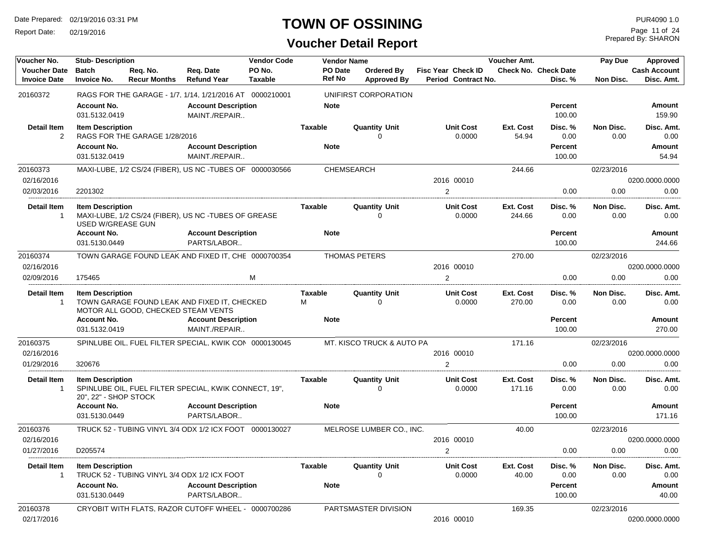Report Date: 02/19/2016

### **TOWN OF OSSINING**

Prepared By: SHARON Page 11 of 24

| Voucher No.                                | <b>Stub-Description</b>                          |                                     |                                                          | <b>Vendor Code</b>       |                          | <b>Vendor Name</b>               |                                                  | Voucher Amt.        |                                        | Pay Due           | Approved                          |
|--------------------------------------------|--------------------------------------------------|-------------------------------------|----------------------------------------------------------|--------------------------|--------------------------|----------------------------------|--------------------------------------------------|---------------------|----------------------------------------|-------------------|-----------------------------------|
| <b>Voucher Date</b><br><b>Invoice Date</b> | <b>Batch</b><br><b>Invoice No.</b>               | Reg. No.<br><b>Recur Months</b>     | Reg. Date<br><b>Refund Year</b>                          | PO No.<br><b>Taxable</b> | PO Date<br><b>Ref No</b> | Ordered By<br><b>Approved By</b> | <b>Fisc Year Check ID</b><br>Period Contract No. |                     | <b>Check No. Check Date</b><br>Disc. % | Non Disc.         | <b>Cash Account</b><br>Disc. Amt. |
| 20160372                                   |                                                  |                                     | RAGS FOR THE GARAGE - 1/7, 1/14, 1/21/2016 AT 0000210001 |                          |                          | UNIFIRST CORPORATION             |                                                  |                     |                                        |                   |                                   |
|                                            | <b>Account No.</b><br>031.5132.0419              |                                     | <b>Account Description</b><br>MAINT./REPAIR              |                          | <b>Note</b>              |                                  |                                                  |                     | <b>Percent</b><br>100.00               |                   | Amount<br>159.90                  |
| <b>Detail Item</b><br>2                    | <b>Item Description</b>                          | RAGS FOR THE GARAGE 1/28/2016       |                                                          |                          | <b>Taxable</b>           | <b>Quantity Unit</b><br>$\Omega$ | <b>Unit Cost</b><br>0.0000                       | Ext. Cost<br>54.94  | Disc. %<br>0.00                        | Non Disc.<br>0.00 | Disc. Amt.<br>0.00                |
|                                            | <b>Account No.</b><br>031.5132.0419              |                                     | <b>Account Description</b><br>MAINT./REPAIR              |                          | <b>Note</b>              |                                  |                                                  |                     | <b>Percent</b><br>100.00               |                   | Amount<br>54.94                   |
| 20160373                                   |                                                  |                                     | MAXI-LUBE, 1/2 CS/24 (FIBER), US NC -TUBES OF 0000030566 |                          |                          | CHEMSEARCH                       |                                                  | 244.66              |                                        | 02/23/2016        |                                   |
| 02/16/2016                                 |                                                  |                                     |                                                          |                          |                          |                                  | 2016 00010                                       |                     |                                        |                   | 0200.0000.0000                    |
| 02/03/2016                                 | 2201302                                          |                                     |                                                          |                          |                          |                                  | $\overline{2}$                                   |                     | 0.00                                   | 0.00              | 0.00                              |
| <b>Detail Item</b><br>$\mathbf{1}$         | <b>Item Description</b><br>USED W/GREASE GUN     |                                     | MAXI-LUBE, 1/2 CS/24 (FIBER), US NC -TUBES OF GREASE     |                          | <b>Taxable</b>           | <b>Quantity Unit</b><br>$\Omega$ | <b>Unit Cost</b><br>0.0000                       | Ext. Cost<br>244.66 | Disc. %<br>0.00                        | Non Disc.<br>0.00 | Disc. Amt.<br>0.00                |
|                                            | <b>Account No.</b><br>031.5130.0449              |                                     | <b>Account Description</b><br>PARTS/LABOR                |                          | <b>Note</b>              |                                  |                                                  |                     | <b>Percent</b><br>100.00               |                   | Amount<br>244.66                  |
| 20160374                                   |                                                  |                                     | TOWN GARAGE FOUND LEAK AND FIXED IT, CHE 0000700354      |                          |                          | <b>THOMAS PETERS</b>             |                                                  | 270.00              |                                        | 02/23/2016        |                                   |
| 02/16/2016                                 |                                                  |                                     |                                                          |                          |                          |                                  | 2016 00010                                       |                     |                                        |                   | 0200.0000.0000                    |
| 02/09/2016                                 | 175465                                           |                                     |                                                          | м                        |                          |                                  | 2                                                |                     | 0.00                                   | 0.00              | 0.00                              |
| Detail Item<br>$\mathbf{1}$                | <b>Item Description</b>                          | MOTOR ALL GOOD, CHECKED STEAM VENTS | TOWN GARAGE FOUND LEAK AND FIXED IT, CHECKED             |                          | <b>Taxable</b><br>М      | <b>Quantity Unit</b><br>$\Omega$ | <b>Unit Cost</b><br>0.0000                       | Ext. Cost<br>270.00 | Disc. %<br>0.00                        | Non Disc.<br>0.00 | Disc. Amt.<br>0.00                |
|                                            | <b>Account No.</b><br>031.5132.0419              |                                     | <b>Account Description</b><br>MAINT./REPAIR              |                          | <b>Note</b>              |                                  |                                                  |                     | <b>Percent</b><br>100.00               |                   | <b>Amount</b><br>270.00           |
| 20160375<br>02/16/2016                     |                                                  |                                     | SPINLUBE OIL, FUEL FILTER SPECIAL, KWIK CON 0000130045   |                          |                          | MT. KISCO TRUCK & AUTO PA        | 2016 00010                                       | 171.16              |                                        | 02/23/2016        | 0200.0000.0000                    |
| 01/29/2016                                 | 320676                                           |                                     |                                                          |                          |                          |                                  | 2                                                |                     | 0.00                                   | 0.00              | 0.00                              |
| <b>Detail Item</b><br>$\mathbf{1}$         | <b>Item Description</b><br>20", 22" - SHOP STOCK |                                     | SPINLUBE OIL, FUEL FILTER SPECIAL, KWIK CONNECT, 19",    |                          | <b>Taxable</b>           | <b>Quantity Unit</b><br>$\Omega$ | <b>Unit Cost</b><br>0.0000                       | Ext. Cost<br>171.16 | Disc. %<br>0.00                        | Non Disc.<br>0.00 | Disc. Amt.<br>0.00                |
|                                            | <b>Account No.</b><br>031.5130.0449              |                                     | <b>Account Description</b><br>PARTS/LABOR                |                          | <b>Note</b>              |                                  |                                                  |                     | <b>Percent</b><br>100.00               |                   | Amount<br>171.16                  |
| 20160376<br>02/16/2016                     |                                                  |                                     | TRUCK 52 - TUBING VINYL 3/4 ODX 1/2 ICX FOOT 0000130027  |                          |                          | MELROSE LUMBER CO., INC.         | 2016 00010                                       | 40.00               |                                        | 02/23/2016        | 0200.0000.0000                    |
| 01/27/2016                                 | D205574                                          |                                     |                                                          |                          |                          |                                  | $\overline{2}$                                   |                     | 0.00                                   | 0.00              | 0.00                              |
| <b>Detail Item</b><br>$\mathbf{1}$         | <b>Item Description</b>                          |                                     | TRUCK 52 - TUBING VINYL 3/4 ODX 1/2 ICX FOOT             |                          | Taxable                  | <b>Quantity Unit</b><br>$\Omega$ | <b>Unit Cost</b><br>0.0000                       | Ext. Cost<br>40.00  | Disc. %<br>0.00                        | Non Disc.<br>0.00 | Disc. Amt.<br>0.00                |
|                                            | <b>Account No.</b><br>031.5130.0449              |                                     | <b>Account Description</b><br>PARTS/LABOR                |                          | <b>Note</b>              |                                  |                                                  |                     | <b>Percent</b><br>100.00               |                   | Amount<br>40.00                   |
| 20160378<br>02/17/2016                     |                                                  |                                     | CRYOBIT WITH FLATS, RAZOR CUTOFF WHEEL - 0000700286      |                          |                          | PARTSMASTER DIVISION             | 2016 00010                                       | 169.35              |                                        | 02/23/2016        | 0200.0000.0000                    |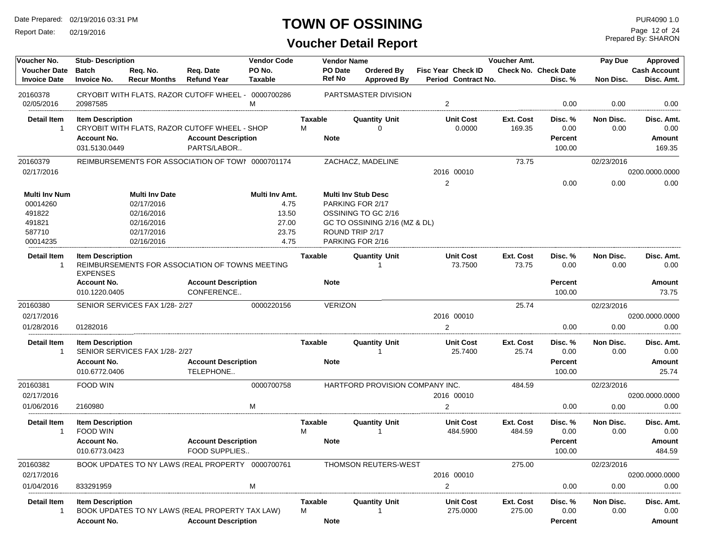Report Date: 02/19/2016

### **TOWN OF OSSINING**

Prepared By: SHARON Page 12 of 24

| Voucher No.                                | <b>Stub-Description</b>                    |                                 |                                                     | <b>Vendor Code</b>       |                     | <b>Vendor Name</b>       |                                  |                                                  | Voucher Amt.        |                                        | Pay Due           | Approved                          |
|--------------------------------------------|--------------------------------------------|---------------------------------|-----------------------------------------------------|--------------------------|---------------------|--------------------------|----------------------------------|--------------------------------------------------|---------------------|----------------------------------------|-------------------|-----------------------------------|
| <b>Voucher Date</b><br><b>Invoice Date</b> | <b>Batch</b><br><b>Invoice No.</b>         | Req. No.<br><b>Recur Months</b> | Reg. Date<br><b>Refund Year</b>                     | PO No.<br><b>Taxable</b> |                     | PO Date<br><b>Ref No</b> | Ordered By<br><b>Approved By</b> | <b>Fisc Year Check ID</b><br>Period Contract No. |                     | <b>Check No. Check Date</b><br>Disc. % | Non Disc.         | <b>Cash Account</b><br>Disc. Amt. |
| 20160378<br>02/05/2016                     | 20987585                                   |                                 | CRYOBIT WITH FLATS, RAZOR CUTOFF WHEEL - 0000700286 | м                        |                     |                          | PARTSMASTER DIVISION             | $\overline{2}$                                   |                     | 0.00                                   | 0.00              | 0.00                              |
| <b>Detail Item</b>                         | <b>Item Description</b>                    |                                 |                                                     |                          | Taxable             |                          | <b>Quantity Unit</b>             | <b>Unit Cost</b>                                 | Ext. Cost           | Disc. %                                | Non Disc.         | Disc. Amt.                        |
| $\overline{1}$                             |                                            |                                 | CRYOBIT WITH FLATS, RAZOR CUTOFF WHEEL - SHOP       |                          | М                   |                          | 0                                | 0.0000                                           | 169.35              | 0.00                                   | 0.00              | 0.00                              |
|                                            | <b>Account No.</b>                         |                                 | <b>Account Description</b>                          |                          |                     | <b>Note</b>              |                                  |                                                  |                     | Percent                                |                   | Amount                            |
|                                            | 031.5130.0449                              |                                 | PARTS/LABOR                                         |                          |                     |                          |                                  |                                                  |                     | 100.00                                 |                   | 169.35                            |
| 20160379                                   |                                            |                                 | REIMBURSEMENTS FOR ASSOCIATION OF TOWI 0000701174   |                          |                     |                          | ZACHACZ, MADELINE                |                                                  | 73.75               |                                        | 02/23/2016        |                                   |
| 02/17/2016                                 |                                            |                                 |                                                     |                          |                     |                          |                                  | 2016 00010                                       |                     |                                        |                   | 0200.0000.0000                    |
|                                            |                                            |                                 |                                                     |                          |                     |                          |                                  | 2                                                |                     | 0.00                                   | 0.00              | 0.00                              |
| <b>Multi Inv Num</b>                       |                                            | <b>Multi Inv Date</b>           |                                                     | Multi Inv Amt.           |                     |                          | <b>Multi Inv Stub Desc</b>       |                                                  |                     |                                        |                   |                                   |
| 00014260                                   |                                            | 02/17/2016                      |                                                     | 4.75                     |                     |                          | PARKING FOR 2/17                 |                                                  |                     |                                        |                   |                                   |
| 491822                                     |                                            | 02/16/2016                      |                                                     | 13.50                    |                     |                          | OSSINING TO GC 2/16              |                                                  |                     |                                        |                   |                                   |
| 491821                                     |                                            | 02/16/2016                      |                                                     | 27.00                    |                     |                          | GC TO OSSINING 2/16 (MZ & DL)    |                                                  |                     |                                        |                   |                                   |
| 587710                                     |                                            | 02/17/2016                      |                                                     | 23.75                    |                     |                          | ROUND TRIP 2/17                  |                                                  |                     |                                        |                   |                                   |
| 00014235                                   |                                            | 02/16/2016                      |                                                     | 4.75                     |                     |                          | PARKING FOR 2/16                 |                                                  |                     |                                        |                   |                                   |
| <b>Detail Item</b><br>$\overline{1}$       | <b>Item Description</b><br><b>EXPENSES</b> |                                 | REIMBURSEMENTS FOR ASSOCIATION OF TOWNS MEETING     |                          | <b>Taxable</b>      |                          | <b>Quantity Unit</b>             | <b>Unit Cost</b><br>73.7500                      | Ext. Cost<br>73.75  | Disc. %<br>0.00                        | Non Disc.<br>0.00 | Disc. Amt.<br>0.00                |
|                                            | <b>Account No.</b><br>010.1220.0405        |                                 | <b>Account Description</b><br>CONFERENCE            |                          |                     | <b>Note</b>              |                                  |                                                  |                     | Percent<br>100.00                      |                   | <b>Amount</b><br>73.75            |
| 20160380                                   |                                            | SENIOR SERVICES FAX 1/28-2/27   |                                                     | 0000220156               |                     | <b>VERIZON</b>           |                                  |                                                  | 25.74               |                                        | 02/23/2016        |                                   |
| 02/17/2016                                 |                                            |                                 |                                                     |                          |                     |                          |                                  | 2016 00010                                       |                     |                                        |                   | 0200.0000.0000                    |
| 01/28/2016                                 | 01282016                                   |                                 |                                                     |                          |                     |                          |                                  | $\overline{2}$                                   |                     | 0.00                                   | 0.00              | 0.00                              |
| <b>Detail Item</b><br>-1                   | <b>Item Description</b>                    | SENIOR SERVICES FAX 1/28-2/27   |                                                     |                          | Taxable             |                          | <b>Quantity Unit</b>             | <b>Unit Cost</b><br>25.7400                      | Ext. Cost<br>25.74  | Disc. %<br>0.00                        | Non Disc.<br>0.00 | Disc. Amt.<br>0.00                |
|                                            | <b>Account No.</b>                         |                                 | <b>Account Description</b>                          |                          |                     | <b>Note</b>              |                                  |                                                  |                     | Percent                                |                   | Amount                            |
|                                            | 010.6772.0406                              |                                 | TELEPHONE                                           |                          |                     |                          |                                  |                                                  |                     | 100.00                                 |                   | 25.74                             |
| 20160381                                   | FOOD WIN                                   |                                 |                                                     | 0000700758               |                     |                          | HARTFORD PROVISION COMPANY INC.  |                                                  | 484.59              |                                        | 02/23/2016        |                                   |
| 02/17/2016                                 |                                            |                                 |                                                     |                          |                     |                          |                                  | 2016 00010                                       |                     |                                        |                   | 0200.0000.0000                    |
| 01/06/2016                                 | 2160980                                    |                                 |                                                     | M                        |                     |                          |                                  | 2                                                |                     | 0.00                                   | 0.00              | 0.00                              |
| <b>Detail Item</b><br>$\overline{1}$       | <b>Item Description</b><br><b>FOOD WIN</b> |                                 |                                                     |                          | <b>Taxable</b><br>M |                          | <b>Quantity Unit</b><br>1        | <b>Unit Cost</b><br>484.5900                     | Ext. Cost<br>484.59 | Disc. %<br>0.00                        | Non Disc.<br>0.00 | Disc. Amt.<br>0.00                |
|                                            | <b>Account No.</b>                         |                                 | <b>Account Description</b>                          |                          |                     | <b>Note</b>              |                                  |                                                  |                     | <b>Percent</b>                         |                   | Amount                            |
|                                            | 010.6773.0423                              |                                 | <b>FOOD SUPPLIES</b>                                |                          |                     |                          |                                  |                                                  |                     | 100.00                                 |                   | 484.59                            |
| 20160382                                   |                                            |                                 | BOOK UPDATES TO NY LAWS (REAL PROPERTY 0000700761   |                          |                     |                          | <b>THOMSON REUTERS-WEST</b>      |                                                  | 275.00              |                                        | 02/23/2016        |                                   |
| 02/17/2016                                 |                                            |                                 |                                                     |                          |                     |                          |                                  | 2016 00010                                       |                     |                                        |                   | 0200.0000.0000                    |
| 01/04/2016                                 | 833291959                                  |                                 |                                                     | м                        |                     |                          |                                  | $\overline{2}$                                   |                     | 0.00                                   | 0.00              | 0.00                              |
| <b>Detail Item</b><br>$\overline{1}$       | <b>Item Description</b>                    |                                 | BOOK UPDATES TO NY LAWS (REAL PROPERTY TAX LAW)     |                          | <b>Taxable</b><br>М |                          | <b>Quantity Unit</b>             | <b>Unit Cost</b><br>275.0000                     | Ext. Cost<br>275.00 | Disc. %<br>0.00                        | Non Disc.<br>0.00 | Disc. Amt.<br>0.00                |
|                                            | <b>Account No.</b>                         |                                 | <b>Account Description</b>                          |                          |                     | <b>Note</b>              |                                  |                                                  |                     | Percent                                |                   | Amount                            |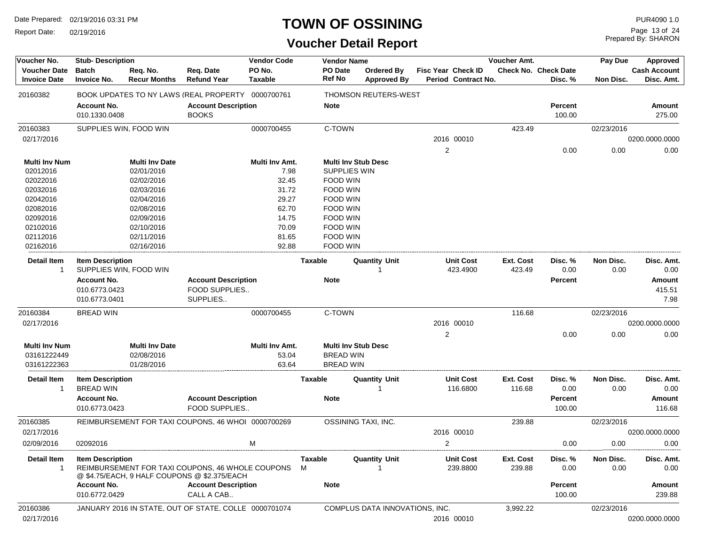Report Date: 02/19/2016

### **TOWN OF OSSINING**

Prepared By: SHARON Page 13 of 24

| Voucher No.                                | <b>Stub- Description</b>                    |                                 |                                                                                                  | <b>Vendor Code</b>       |                          | <b>Vendor Name</b>  |                                  |   |                                                  | Voucher Amt.        |                                 | Pay Due           | Approved                          |
|--------------------------------------------|---------------------------------------------|---------------------------------|--------------------------------------------------------------------------------------------------|--------------------------|--------------------------|---------------------|----------------------------------|---|--------------------------------------------------|---------------------|---------------------------------|-------------------|-----------------------------------|
| <b>Voucher Date</b><br><b>Invoice Date</b> | <b>Batch</b><br><b>Invoice No.</b>          | Req. No.<br><b>Recur Months</b> | Req. Date<br><b>Refund Year</b>                                                                  | PO No.<br><b>Taxable</b> | PO Date<br><b>Ref No</b> |                     | Ordered By<br><b>Approved By</b> |   | <b>Fisc Year Check ID</b><br>Period Contract No. |                     | Check No. Check Date<br>Disc. % | Non Disc.         | <b>Cash Account</b><br>Disc. Amt. |
| 20160382                                   |                                             |                                 | BOOK UPDATES TO NY LAWS (REAL PROPERTY 0000700761                                                |                          |                          |                     | <b>THOMSON REUTERS-WEST</b>      |   |                                                  |                     |                                 |                   |                                   |
|                                            | <b>Account No.</b><br>010.1330.0408         |                                 | <b>Account Description</b><br><b>BOOKS</b>                                                       |                          | <b>Note</b>              |                     |                                  |   |                                                  |                     | <b>Percent</b><br>100.00        |                   | <b>Amount</b><br>275.00           |
| 20160383                                   |                                             | SUPPLIES WIN, FOOD WIN          |                                                                                                  | 0000700455               | C-TOWN                   |                     |                                  |   |                                                  | 423.49              |                                 | 02/23/2016        |                                   |
| 02/17/2016                                 |                                             |                                 |                                                                                                  |                          |                          |                     |                                  |   | 2016 00010                                       |                     |                                 |                   | 0200.0000.0000                    |
|                                            |                                             |                                 |                                                                                                  |                          |                          |                     |                                  | 2 |                                                  |                     | 0.00                            | 0.00              | 0.00                              |
| <b>Multi Inv Num</b>                       |                                             | <b>Multi Inv Date</b>           |                                                                                                  | Multi Inv Amt.           |                          |                     | <b>Multi Inv Stub Desc</b>       |   |                                                  |                     |                                 |                   |                                   |
| 02012016                                   |                                             | 02/01/2016                      |                                                                                                  | 7.98                     |                          | <b>SUPPLIES WIN</b> |                                  |   |                                                  |                     |                                 |                   |                                   |
| 02022016                                   |                                             | 02/02/2016                      |                                                                                                  | 32.45                    |                          | FOOD WIN            |                                  |   |                                                  |                     |                                 |                   |                                   |
| 02032016                                   |                                             | 02/03/2016                      |                                                                                                  | 31.72                    |                          | FOOD WIN            |                                  |   |                                                  |                     |                                 |                   |                                   |
| 02042016                                   |                                             | 02/04/2016                      |                                                                                                  | 29.27                    |                          | FOOD WIN            |                                  |   |                                                  |                     |                                 |                   |                                   |
| 02082016                                   |                                             | 02/08/2016                      |                                                                                                  | 62.70                    |                          | FOOD WIN            |                                  |   |                                                  |                     |                                 |                   |                                   |
| 02092016                                   |                                             | 02/09/2016                      |                                                                                                  | 14.75                    |                          | FOOD WIN            |                                  |   |                                                  |                     |                                 |                   |                                   |
| 02102016                                   |                                             | 02/10/2016                      |                                                                                                  | 70.09                    |                          | FOOD WIN            |                                  |   |                                                  |                     |                                 |                   |                                   |
| 02112016                                   |                                             | 02/11/2016                      |                                                                                                  | 81.65                    |                          | FOOD WIN            |                                  |   |                                                  |                     |                                 |                   |                                   |
| 02162016                                   |                                             | 02/16/2016                      |                                                                                                  | 92.88                    |                          | FOOD WIN            |                                  |   |                                                  |                     |                                 |                   |                                   |
| Detail Item<br>$\mathbf{1}$                | <b>Item Description</b>                     | SUPPLIES WIN, FOOD WIN          |                                                                                                  |                          | <b>Taxable</b>           |                     | <b>Quantity Unit</b>             |   | <b>Unit Cost</b><br>423.4900                     | Ext. Cost<br>423.49 | Disc. %<br>0.00                 | Non Disc.<br>0.00 | Disc. Amt.<br>0.00                |
|                                            | <b>Account No.</b>                          |                                 | <b>Account Description</b>                                                                       |                          | <b>Note</b>              |                     |                                  |   |                                                  |                     | <b>Percent</b>                  |                   | <b>Amount</b>                     |
|                                            | 010.6773.0423                               |                                 | FOOD SUPPLIES                                                                                    |                          |                          |                     |                                  |   |                                                  |                     |                                 |                   | 415.51                            |
|                                            | 010.6773.0401                               |                                 | SUPPLIES                                                                                         |                          |                          |                     |                                  |   |                                                  |                     |                                 |                   | 7.98                              |
| 20160384                                   | <b>BREAD WIN</b>                            |                                 |                                                                                                  | 0000700455               |                          | C-TOWN              |                                  |   |                                                  | 116.68              |                                 | 02/23/2016        |                                   |
| 02/17/2016                                 |                                             |                                 |                                                                                                  |                          |                          |                     |                                  |   | 2016 00010                                       |                     |                                 |                   | 0200.0000.0000                    |
|                                            |                                             |                                 |                                                                                                  |                          |                          |                     |                                  | 2 |                                                  |                     | 0.00                            | 0.00              | 0.00                              |
| <b>Multi Inv Num</b>                       |                                             | <b>Multi Inv Date</b>           |                                                                                                  | Multi Inv Amt.           |                          |                     | <b>Multi Inv Stub Desc</b>       |   |                                                  |                     |                                 |                   |                                   |
| 03161222449                                |                                             | 02/08/2016                      |                                                                                                  | 53.04                    |                          | <b>BREAD WIN</b>    |                                  |   |                                                  |                     |                                 |                   |                                   |
| 03161222363                                |                                             | 01/28/2016                      |                                                                                                  | 63.64                    |                          | <b>BREAD WIN</b>    |                                  |   |                                                  |                     |                                 |                   |                                   |
| <b>Detail Item</b><br>$\mathbf{1}$         | <b>Item Description</b><br><b>BREAD WIN</b> |                                 |                                                                                                  |                          | <b>Taxable</b>           |                     | <b>Quantity Unit</b>             |   | <b>Unit Cost</b><br>116.6800                     | Ext. Cost           | Disc. %<br>0.00                 | Non Disc.         | Disc. Amt.<br>0.00                |
|                                            |                                             |                                 |                                                                                                  |                          |                          |                     |                                  |   |                                                  | 116.68              |                                 | 0.00              |                                   |
|                                            | <b>Account No.</b><br>010.6773.0423         |                                 | <b>Account Description</b><br>FOOD SUPPLIES                                                      |                          | <b>Note</b>              |                     |                                  |   |                                                  |                     | <b>Percent</b><br>100.00        |                   | Amount<br>116.68                  |
| 20160385                                   |                                             |                                 | REIMBURSEMENT FOR TAXI COUPONS, 46 WHOI 0000700269                                               |                          |                          |                     | OSSINING TAXI, INC.              |   |                                                  | 239.88              |                                 | 02/23/2016        |                                   |
| 02/17/2016                                 |                                             |                                 |                                                                                                  |                          |                          |                     |                                  |   | 2016 00010                                       |                     |                                 |                   | 0200.0000.0000                    |
| 02/09/2016                                 | 02092016                                    |                                 |                                                                                                  | М                        |                          |                     |                                  | 2 |                                                  |                     | 0.00                            | 0.00              | 0.00                              |
| Detail Item                                | <b>Item Description</b>                     |                                 |                                                                                                  |                          | Taxable                  |                     | <b>Quantity Unit</b>             |   | <b>Unit Cost</b>                                 | Ext. Cost           | Disc. %                         | Non Disc.         | Disc. Amt.                        |
| $\overline{1}$                             |                                             |                                 | REIMBURSEMENT FOR TAXI COUPONS, 46 WHOLE COUPONS<br>@ \$4.75/EACH, 9 HALF COUPONS @ \$2.375/EACH |                          | М                        |                     |                                  |   | 239.8800                                         | 239.88              | 0.00                            | 0.00              | 0.00                              |
|                                            | <b>Account No.</b>                          |                                 | <b>Account Description</b>                                                                       |                          | <b>Note</b>              |                     |                                  |   |                                                  |                     | <b>Percent</b>                  |                   | <b>Amount</b>                     |
|                                            | 010.6772.0429                               |                                 | CALL A CAB                                                                                       |                          |                          |                     |                                  |   |                                                  |                     | 100.00                          |                   | 239.88                            |
| 20160386                                   |                                             |                                 | JANUARY 2016 IN STATE, OUT OF STATE, COLLE 0000701074                                            |                          |                          |                     | COMPLUS DATA INNOVATIONS, INC.   |   |                                                  | 3,992.22            |                                 | 02/23/2016        |                                   |
| 02/17/2016                                 |                                             |                                 |                                                                                                  |                          |                          |                     |                                  |   | 2016 00010                                       |                     |                                 |                   | 0200.0000.0000                    |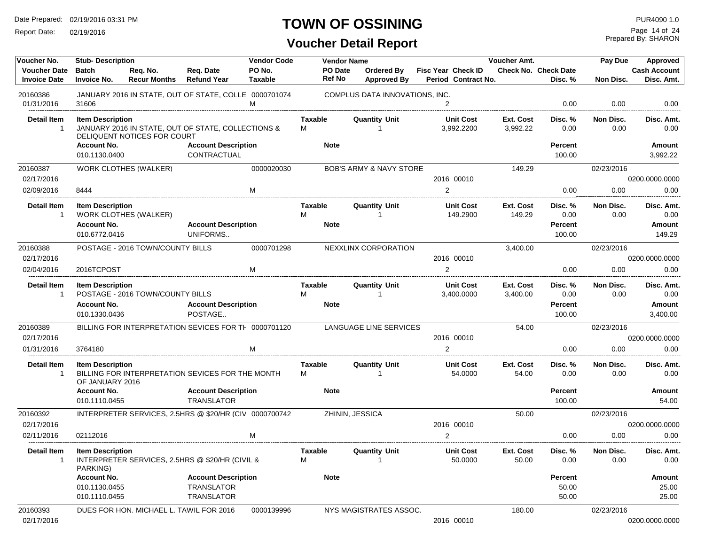Report Date: 02/19/2016

### **TOWN OF OSSINING**

Prepared By: SHARON Page 14 of 24

| Voucher No.                                | <b>Stub-Description</b>                    |                                         |                                                        | <b>Vendor Code</b>       |                     | <b>Vendor Name</b> |                                      |                                                  | Voucher Amt.          |                                 | Pay Due           | Approved                          |
|--------------------------------------------|--------------------------------------------|-----------------------------------------|--------------------------------------------------------|--------------------------|---------------------|--------------------|--------------------------------------|--------------------------------------------------|-----------------------|---------------------------------|-------------------|-----------------------------------|
| <b>Voucher Date</b><br><b>Invoice Date</b> | <b>Batch</b><br><b>Invoice No.</b>         | Req. No.<br><b>Recur Months</b>         | Req. Date<br><b>Refund Year</b>                        | PO No.<br><b>Taxable</b> |                     | PO Date<br>Ref No  | Ordered By<br><b>Approved By</b>     | <b>Fisc Year Check ID</b><br>Period Contract No. |                       | Check No. Check Date<br>Disc. % | Non Disc.         | <b>Cash Account</b><br>Disc. Amt. |
| 20160386                                   | 31606                                      |                                         | JANUARY 2016 IN STATE, OUT OF STATE, COLLE 0000701074  | M                        |                     |                    | COMPLUS DATA INNOVATIONS, INC.       |                                                  |                       |                                 |                   |                                   |
| 01/31/2016                                 |                                            |                                         |                                                        |                          |                     |                    |                                      | $\overline{2}$                                   |                       | 0.00                            | 0.00              | 0.00                              |
| <b>Detail Item</b><br>$\overline{1}$       | <b>Item Description</b>                    | DELIQUENT NOTICES FOR COURT             | JANUARY 2016 IN STATE, OUT OF STATE, COLLECTIONS &     |                          | <b>Taxable</b><br>М |                    | <b>Quantity Unit</b>                 | <b>Unit Cost</b><br>3,992.2200                   | Ext. Cost<br>3,992.22 | Disc. %<br>0.00                 | Non Disc.<br>0.00 | Disc. Amt.<br>0.00                |
|                                            | <b>Account No.</b><br>010.1130.0400        |                                         | <b>Account Description</b><br>CONTRACTUAL              |                          |                     | <b>Note</b>        |                                      |                                                  |                       | <b>Percent</b><br>100.00        |                   | <b>Amount</b><br>3,992.22         |
| 20160387<br>02/17/2016                     |                                            | <b>WORK CLOTHES (WALKER)</b>            |                                                        | 0000020030               |                     |                    | <b>BOB'S ARMY &amp; NAVY STORE</b>   | 2016 00010                                       | 149.29                |                                 | 02/23/2016        | 0200.0000.0000                    |
| 02/09/2016                                 | 8444                                       |                                         |                                                        | M                        |                     |                    |                                      | 2                                                |                       | 0.00                            | 0.00              | 0.00                              |
| <b>Detail Item</b><br>$\overline{1}$       | <b>Item Description</b>                    | <b>WORK CLOTHES (WALKER)</b>            |                                                        |                          | Taxable<br>М        |                    | <b>Quantity Unit</b>                 | <b>Unit Cost</b><br>149.2900                     | Ext. Cost<br>149.29   | Disc. %<br>0.00                 | Non Disc.<br>0.00 | Disc. Amt.<br>0.00                |
|                                            | <b>Account No.</b><br>010.6772.0416        |                                         | <b>Account Description</b><br>UNIFORMS                 |                          |                     | <b>Note</b>        |                                      |                                                  |                       | <b>Percent</b><br>100.00        |                   | <b>Amount</b><br>149.29           |
| 20160388                                   |                                            | POSTAGE - 2016 TOWN/COUNTY BILLS        |                                                        | 0000701298               |                     |                    | NEXXLINX CORPORATION                 |                                                  | 3,400.00              |                                 | 02/23/2016        |                                   |
| 02/17/2016                                 |                                            |                                         |                                                        |                          |                     |                    |                                      | 2016 00010                                       |                       |                                 |                   | 0200.0000.0000                    |
| 02/04/2016                                 | 2016TCPOST                                 |                                         |                                                        | M                        |                     |                    |                                      | $\overline{2}$                                   |                       | 0.00                            | 0.00              | 0.00                              |
| <b>Detail Item</b><br>$\overline{1}$       | <b>Item Description</b>                    | POSTAGE - 2016 TOWN/COUNTY BILLS        |                                                        |                          | Taxable<br>м        |                    | <b>Quantity Unit</b><br>1            | <b>Unit Cost</b><br>3,400.0000                   | Ext. Cost<br>3,400.00 | Disc. %<br>0.00                 | Non Disc.<br>0.00 | Disc. Amt.<br>0.00                |
|                                            | <b>Account No.</b><br>010.1330.0436        |                                         | <b>Account Description</b><br>POSTAGE                  |                          |                     | <b>Note</b>        |                                      |                                                  |                       | <b>Percent</b><br>100.00        |                   | Amount<br>3,400.00                |
| 20160389                                   |                                            |                                         | BILLING FOR INTERPRETATION SEVICES FOR TH 0000701120   |                          |                     |                    | LANGUAGE LINE SERVICES               |                                                  | 54.00                 |                                 | 02/23/2016        |                                   |
| 02/17/2016                                 |                                            |                                         |                                                        |                          |                     |                    |                                      | 2016 00010                                       |                       |                                 |                   | 0200.0000.0000                    |
| 01/31/2016                                 | 3764180                                    |                                         |                                                        | м                        |                     |                    |                                      | $\overline{2}$                                   |                       | 0.00                            | 0.00              | 0.00                              |
| <b>Detail Item</b><br>$\overline{1}$       | <b>Item Description</b><br>OF JANUARY 2016 |                                         | BILLING FOR INTERPRETATION SEVICES FOR THE MONTH       |                          | Taxable<br>м        |                    | <b>Quantity Unit</b>                 | <b>Unit Cost</b><br>54.0000                      | Ext. Cost<br>54.00    | Disc. %<br>0.00                 | Non Disc.<br>0.00 | Disc. Amt.<br>0.00                |
|                                            | <b>Account No.</b><br>010.1110.0455        |                                         | <b>Account Description</b><br><b>TRANSLATOR</b>        |                          |                     | <b>Note</b>        |                                      |                                                  |                       | <b>Percent</b><br>100.00        |                   | Amount<br>54.00                   |
| 20160392<br>02/17/2016                     |                                            |                                         | INTERPRETER SERVICES. 2.5HRS @ \$20/HR (CIV 0000700742 |                          |                     |                    | ZHININ, JESSICA                      | 2016 00010                                       | 50.00                 |                                 | 02/23/2016        | 0200.0000.0000                    |
| 02/11/2016                                 | 02112016                                   |                                         |                                                        | M                        |                     |                    |                                      | $\overline{2}$                                   |                       | 0.00                            | 0.00              | 0.00                              |
| <b>Detail Item</b><br>$\mathbf{1}$         | <b>Item Description</b>                    |                                         | INTERPRETER SERVICES, 2.5HRS @ \$20/HR (CIVIL &        |                          | Taxable<br>м        |                    | <b>Quantity Unit</b><br>$\mathbf{1}$ | <b>Unit Cost</b><br>50.0000                      | Ext. Cost<br>50.00    | Disc. %<br>0.00                 | Non Disc.<br>0.00 | Disc. Amt.<br>0.00                |
|                                            | PARKING)<br><b>Account No.</b>             |                                         | <b>Account Description</b>                             |                          |                     | <b>Note</b>        |                                      |                                                  |                       | <b>Percent</b>                  |                   | Amount                            |
|                                            | 010.1130.0455                              |                                         | <b>TRANSLATOR</b>                                      |                          |                     |                    |                                      |                                                  |                       | 50.00                           |                   | 25.00                             |
|                                            | 010.1110.0455                              |                                         | TRANSLATOR                                             |                          |                     |                    |                                      |                                                  |                       | 50.00                           |                   | 25.00                             |
| 20160393                                   |                                            | DUES FOR HON. MICHAEL L. TAWIL FOR 2016 |                                                        | 0000139996               |                     |                    | NYS MAGISTRATES ASSOC.               |                                                  | 180.00                |                                 | 02/23/2016        |                                   |
| 02/17/2016                                 |                                            |                                         |                                                        |                          |                     |                    |                                      | 2016 00010                                       |                       |                                 |                   | 0200.0000.0000                    |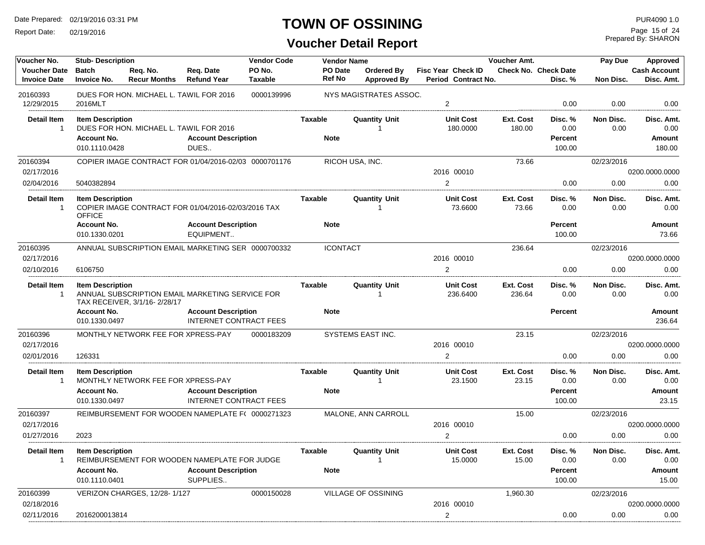Report Date: 02/19/2016

### **TOWN OF OSSINING**

Prepared By: SHARON Page 15 of 24

| Voucher No.                                | <b>Stub- Description</b>           |                                    |                                                       | <b>Vendor Code</b>       |                   | <b>Vendor Name</b>               |                                                  | Voucher Amt.        |                                        | Pay Due           | Approved                          |
|--------------------------------------------|------------------------------------|------------------------------------|-------------------------------------------------------|--------------------------|-------------------|----------------------------------|--------------------------------------------------|---------------------|----------------------------------------|-------------------|-----------------------------------|
| <b>Voucher Date</b><br><b>Invoice Date</b> | <b>Batch</b><br><b>Invoice No.</b> | Req. No.<br><b>Recur Months</b>    | Req. Date<br><b>Refund Year</b>                       | PO No.<br><b>Taxable</b> | PO Date<br>Ref No | Ordered By<br><b>Approved By</b> | <b>Fisc Year Check ID</b><br>Period Contract No. |                     | <b>Check No. Check Date</b><br>Disc. % | Non Disc.         | <b>Cash Account</b><br>Disc. Amt. |
| 20160393<br>12/29/2015                     | 2016MLT                            |                                    | DUES FOR HON. MICHAEL L. TAWIL FOR 2016               | 0000139996               |                   | NYS MAGISTRATES ASSOC.           | 2                                                |                     | 0.00                                   | 0.00              | 0.00                              |
|                                            |                                    |                                    |                                                       |                          |                   |                                  |                                                  |                     |                                        |                   |                                   |
| Detail Item<br>$\mathbf{1}$                | <b>Item Description</b>            |                                    | DUES FOR HON. MICHAEL L. TAWIL FOR 2016               |                          | Taxable           | <b>Quantity Unit</b>             | <b>Unit Cost</b><br>180.0000                     | Ext. Cost<br>180.00 | Disc. %<br>0.00                        | Non Disc.<br>0.00 | Disc. Amt.<br>0.00                |
|                                            | <b>Account No.</b>                 |                                    | <b>Account Description</b>                            |                          | <b>Note</b>       |                                  |                                                  |                     | <b>Percent</b>                         |                   | Amount                            |
|                                            | 010.1110.0428                      |                                    | DUES                                                  |                          |                   |                                  |                                                  |                     | 100.00                                 |                   | 180.00                            |
| 20160394                                   |                                    |                                    | COPIER IMAGE CONTRACT FOR 01/04/2016-02/03 0000701176 |                          |                   | RICOH USA, INC.                  |                                                  | 73.66               |                                        | 02/23/2016        |                                   |
| 02/17/2016                                 |                                    |                                    |                                                       |                          |                   |                                  | 2016 00010                                       |                     |                                        |                   | 0200.0000.0000                    |
| 02/04/2016                                 | 5040382894                         |                                    |                                                       |                          |                   |                                  | $\overline{2}$                                   |                     | 0.00                                   | 0.00              | 0.00                              |
| <b>Detail Item</b>                         | <b>Item Description</b>            |                                    |                                                       |                          | Taxable           | <b>Quantity Unit</b>             | <b>Unit Cost</b>                                 | Ext. Cost           | Disc.%                                 | Non Disc.         | Disc. Amt.                        |
| $\overline{1}$                             | <b>OFFICE</b>                      |                                    | COPIER IMAGE CONTRACT FOR 01/04/2016-02/03/2016 TAX   |                          |                   | -1                               | 73.6600                                          | 73.66               | 0.00                                   | 0.00              | 0.00                              |
|                                            | <b>Account No.</b>                 |                                    | <b>Account Description</b>                            |                          | <b>Note</b>       |                                  |                                                  |                     | <b>Percent</b>                         |                   | <b>Amount</b>                     |
|                                            | 010.1330.0201                      |                                    | EQUIPMENT                                             |                          |                   |                                  |                                                  |                     | 100.00                                 |                   | 73.66                             |
| 20160395                                   |                                    |                                    | ANNUAL SUBSCRIPTION EMAIL MARKETING SER 0000700332    |                          | <b>ICONTACT</b>   |                                  |                                                  | 236.64              |                                        | 02/23/2016        |                                   |
| 02/17/2016                                 |                                    |                                    |                                                       |                          |                   |                                  | 2016 00010                                       |                     |                                        |                   | 0200.0000.0000                    |
| 02/10/2016                                 | 6106750                            |                                    |                                                       |                          |                   |                                  | 2                                                |                     | 0.00                                   | 0.00              | 0.00                              |
| <b>Detail Item</b>                         | <b>Item Description</b>            |                                    |                                                       |                          | Taxable           | <b>Quantity Unit</b>             | <b>Unit Cost</b>                                 | Ext. Cost           | Disc. %                                | Non Disc.         | Disc. Amt.                        |
| $\overline{1}$                             |                                    |                                    | ANNUAL SUBSCRIPTION EMAIL MARKETING SERVICE FOR       |                          |                   |                                  | 236.6400                                         | 236.64              | 0.00                                   | 0.00              | 0.00                              |
|                                            | <b>Account No.</b>                 | TAX RECEIVER, 3/1/16-2/28/17       | <b>Account Description</b>                            |                          | <b>Note</b>       |                                  |                                                  |                     | <b>Percent</b>                         |                   | <b>Amount</b>                     |
|                                            | 010.1330.0497                      |                                    | INTERNET CONTRACT FEES                                |                          |                   |                                  |                                                  |                     |                                        |                   | 236.64                            |
| 20160396                                   |                                    | MONTHLY NETWORK FEE FOR XPRESS-PAY |                                                       | 0000183209               |                   | SYSTEMS EAST INC.                |                                                  | 23.15               |                                        | 02/23/2016        |                                   |
| 02/17/2016                                 |                                    |                                    |                                                       |                          |                   |                                  | 2016 00010                                       |                     |                                        |                   | 0200.0000.0000                    |
| 02/01/2016                                 | 126331                             |                                    |                                                       |                          |                   |                                  | $\mathcal{P}$                                    |                     | 0.00                                   | 0.00              | 0.00                              |
| Detail Item                                | <b>Item Description</b>            |                                    |                                                       |                          | Taxable           | <b>Quantity Unit</b>             | <b>Unit Cost</b>                                 | Ext. Cost           | Disc. %                                | Non Disc.         | Disc. Amt.                        |
| -1                                         |                                    | MONTHLY NETWORK FEE FOR XPRESS-PAY |                                                       |                          |                   |                                  | 23.1500                                          | 23.15               | 0.00                                   | 0.00              | 0.00                              |
|                                            | <b>Account No.</b>                 |                                    | <b>Account Description</b>                            |                          | <b>Note</b>       |                                  |                                                  |                     | <b>Percent</b>                         |                   | Amount                            |
|                                            | 010.1330.0497                      |                                    | <b>INTERNET CONTRACT FEES</b>                         |                          |                   |                                  |                                                  |                     | 100.00                                 |                   | 23.15                             |
| 20160397                                   |                                    |                                    | REIMBURSEMENT FOR WOODEN NAMEPLATE F( 0000271323      |                          |                   | MALONE, ANN CARROLL              | 2016 00010                                       | 15.00               |                                        | 02/23/2016        |                                   |
| 02/17/2016<br>01/27/2016                   | 2023                               |                                    |                                                       |                          |                   |                                  | 2                                                |                     | 0.00                                   | 0.00              | 0200.0000.0000<br>0.00            |
|                                            |                                    |                                    |                                                       |                          |                   |                                  |                                                  |                     |                                        |                   |                                   |
| <b>Detail Item</b><br>1                    | <b>Item Description</b>            |                                    | REIMBURSEMENT FOR WOODEN NAMEPLATE FOR JUDGE          |                          | Taxable           | <b>Quantity Unit</b>             | <b>Unit Cost</b><br>15.0000                      | Ext. Cost<br>15.00  | Disc. %<br>0.00                        | Non Disc.<br>0.00 | Disc. Amt.<br>0.00                |
|                                            | <b>Account No.</b>                 |                                    | <b>Account Description</b>                            |                          | <b>Note</b>       |                                  |                                                  |                     | <b>Percent</b>                         |                   | Amount                            |
|                                            | 010.1110.0401                      |                                    | SUPPLIES                                              |                          |                   |                                  |                                                  |                     | 100.00                                 |                   | 15.00                             |
| 20160399                                   |                                    | VERIZON CHARGES, 12/28-1/127       |                                                       | 0000150028               |                   | VILLAGE OF OSSINING              |                                                  | 1,960.30            |                                        | 02/23/2016        |                                   |
| 02/18/2016                                 |                                    |                                    |                                                       |                          |                   |                                  | 2016 00010                                       |                     |                                        |                   | 0200.0000.0000                    |
| 02/11/2016                                 | 2016200013814                      |                                    |                                                       |                          |                   |                                  | 2                                                |                     | 0.00                                   | 0.00              | 0.00                              |
|                                            |                                    |                                    |                                                       |                          |                   |                                  |                                                  |                     |                                        |                   |                                   |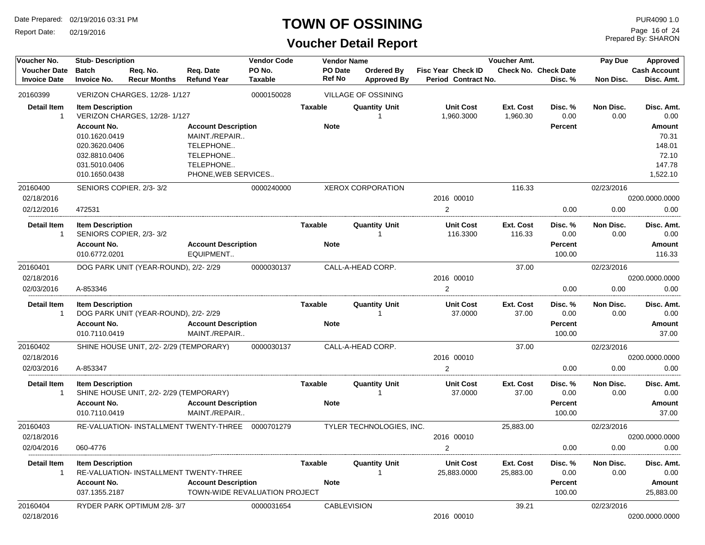Report Date: 02/19/2016

#### **TOWN OF OSSINING**

### **Voucher Detail Report**

Prepared By: SHARON Page 16 of 24

| Voucher No.                                | <b>Stub-Description</b>                              |                                        |                                                             | <b>Vendor Code</b>       |                          | <b>Vendor Name</b>               |                                                  | Voucher Amt.           |                                        | Pay Due           | Approved                          |
|--------------------------------------------|------------------------------------------------------|----------------------------------------|-------------------------------------------------------------|--------------------------|--------------------------|----------------------------------|--------------------------------------------------|------------------------|----------------------------------------|-------------------|-----------------------------------|
| <b>Voucher Date</b><br><b>Invoice Date</b> | <b>Batch</b><br><b>Invoice No.</b>                   | Req. No.<br><b>Recur Months</b>        | Req. Date<br><b>Refund Year</b>                             | PO No.<br><b>Taxable</b> | PO Date<br><b>Ref No</b> | <b>Ordered By</b><br>Approved By | <b>Fisc Year Check ID</b><br>Period Contract No. |                        | <b>Check No. Check Date</b><br>Disc. % | Non Disc.         | <b>Cash Account</b><br>Disc. Amt. |
| 20160399                                   |                                                      | VERIZON CHARGES, 12/28-1/127           |                                                             | 0000150028               |                          | <b>VILLAGE OF OSSINING</b>       |                                                  |                        |                                        |                   |                                   |
| <b>Detail Item</b><br>-1                   | <b>Item Description</b>                              | VERIZON CHARGES, 12/28-1/127           |                                                             |                          | <b>Taxable</b>           | <b>Quantity Unit</b>             | <b>Unit Cost</b><br>1,960.3000                   | Ext. Cost<br>1,960.30  | Disc. %<br>0.00                        | Non Disc.<br>0.00 | Disc. Amt.<br>0.00                |
|                                            | <b>Account No.</b><br>010.1620.0419<br>020.3620.0406 |                                        | <b>Account Description</b><br>MAINT./REPAIR<br>TELEPHONE    |                          | <b>Note</b>              |                                  |                                                  |                        | <b>Percent</b>                         |                   | Amount<br>70.31<br>148.01         |
|                                            | 032.8810.0406<br>031.5010.0406<br>010.1650.0438      |                                        | TELEPHONE<br>TELEPHONE<br>PHONE, WEB SERVICES               |                          |                          |                                  |                                                  |                        |                                        |                   | 72.10<br>147.78<br>1,522.10       |
| 20160400                                   |                                                      | SENIORS COPIER, 2/3-3/2                |                                                             | 0000240000               |                          | <b>XEROX CORPORATION</b>         |                                                  | 116.33                 |                                        | 02/23/2016        |                                   |
| 02/18/2016                                 |                                                      |                                        |                                                             |                          |                          |                                  | 2016 00010                                       |                        |                                        |                   | 0200.0000.0000                    |
| 02/12/2016                                 | 472531                                               |                                        |                                                             |                          |                          |                                  | $\mathbf{2}$                                     |                        | 0.00                                   | 0.00              | 0.00                              |
| <b>Detail Item</b><br>$\mathbf{1}$         | <b>Item Description</b>                              | SENIORS COPIER, 2/3-3/2                |                                                             |                          | <b>Taxable</b>           | <b>Quantity Unit</b>             | <b>Unit Cost</b><br>116.3300                     | Ext. Cost<br>116.33    | Disc. %<br>0.00                        | Non Disc.<br>0.00 | Disc. Amt.<br>0.00                |
|                                            | <b>Account No.</b><br>010.6772.0201                  |                                        | <b>Account Description</b><br>EQUIPMENT                     |                          | <b>Note</b>              |                                  |                                                  |                        | <b>Percent</b><br>100.00               |                   | Amount<br>116.33                  |
| 20160401                                   |                                                      | DOG PARK UNIT (YEAR-ROUND), 2/2-2/29   |                                                             | 0000030137               |                          | CALL-A-HEAD CORP.                |                                                  | 37.00                  |                                        | 02/23/2016        |                                   |
| 02/18/2016                                 |                                                      |                                        |                                                             |                          |                          |                                  | 2016 00010                                       |                        |                                        |                   | 0200.0000.0000                    |
| 02/03/2016                                 | A-853346                                             |                                        |                                                             |                          |                          |                                  | $\overline{2}$                                   |                        | 0.00                                   | 0.00              | 0.00                              |
| <b>Detail Item</b><br>1                    | <b>Item Description</b>                              | DOG PARK UNIT (YEAR-ROUND), 2/2-2/29   |                                                             |                          | <b>Taxable</b>           | <b>Quantity Unit</b>             | <b>Unit Cost</b><br>37.0000                      | Ext. Cost<br>37.00     | Disc. %<br>0.00                        | Non Disc.<br>0.00 | Disc. Amt.<br>0.00                |
|                                            | <b>Account No.</b><br>010.7110.0419                  |                                        | <b>Account Description</b><br>MAINT./REPAIR                 |                          | <b>Note</b>              |                                  |                                                  |                        | <b>Percent</b><br>100.00               |                   | Amount<br>37.00                   |
| 20160402                                   |                                                      | SHINE HOUSE UNIT, 2/2-2/29 (TEMPORARY) |                                                             | 0000030137               |                          | CALL-A-HEAD CORP.                |                                                  | 37.00                  |                                        | 02/23/2016        |                                   |
| 02/18/2016<br>02/03/2016                   | A-853347                                             |                                        |                                                             |                          |                          |                                  | 2016 00010<br>$\overline{2}$                     |                        | 0.00                                   | 0.00              | 0200.0000.0000<br>0.00            |
| <b>Detail Item</b><br>-1                   | <b>Item Description</b>                              | SHINE HOUSE UNIT, 2/2-2/29 (TEMPORARY) |                                                             |                          | <b>Taxable</b>           | <b>Quantity Unit</b>             | <b>Unit Cost</b><br>37.0000                      | Ext. Cost<br>37.00     | Disc. %<br>0.00                        | Non Disc.<br>0.00 | Disc. Amt.<br>0.00                |
|                                            | <b>Account No.</b><br>010.7110.0419                  |                                        | <b>Account Description</b><br>MAINT./REPAIR                 |                          | <b>Note</b>              |                                  |                                                  |                        | <b>Percent</b><br>100.00               |                   | Amount<br>37.00                   |
| 20160403<br>02/18/2016                     |                                                      |                                        | RE-VALUATION- INSTALLMENT TWENTY-THREE                      | 0000701279               |                          | TYLER TECHNOLOGIES, INC.         | 2016 00010                                       | 25,883.00              |                                        | 02/23/2016        | 0200.0000.0000                    |
| 02/04/2016                                 | 060-4776                                             |                                        |                                                             |                          |                          |                                  | $\overline{2}$                                   |                        | 0.00                                   | 0.00              | 0.00                              |
| <b>Detail Item</b><br>-1                   | <b>Item Description</b>                              |                                        | RE-VALUATION- INSTALLMENT TWENTY-THREE                      |                          | <b>Taxable</b>           | <b>Quantity Unit</b>             | <b>Unit Cost</b><br>25,883.0000                  | Ext. Cost<br>25,883.00 | Disc. %<br>0.00                        | Non Disc.<br>0.00 | Disc. Amt.<br>0.00                |
|                                            | <b>Account No.</b><br>037.1355.2187                  |                                        | <b>Account Description</b><br>TOWN-WIDE REVALUATION PROJECT |                          | <b>Note</b>              |                                  |                                                  |                        | <b>Percent</b><br>100.00               |                   | Amount<br>25,883.00               |
| 20160404<br>02/18/2016                     |                                                      | RYDER PARK OPTIMUM 2/8-3/7             |                                                             | 0000031654               |                          | <b>CABLEVISION</b>               | 2016 00010                                       | 39.21                  |                                        | 02/23/2016        | 0200.0000.0000                    |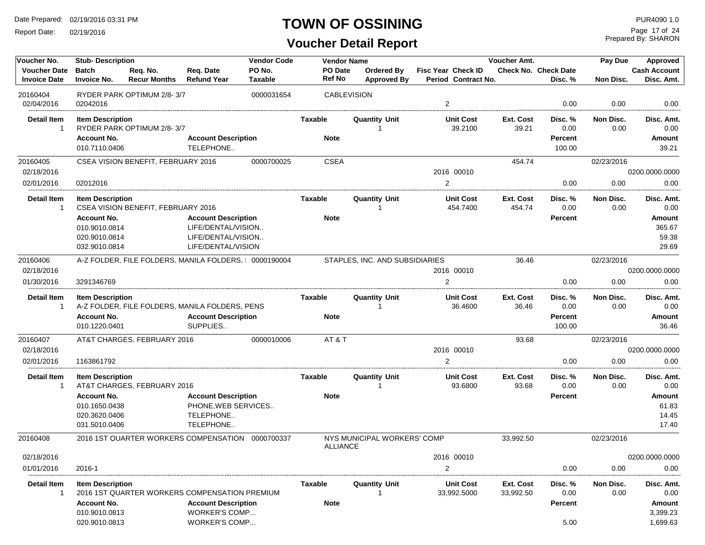Report Date: 02/19/2016

#### **TOWN OF OSSINING**

Prepared By: SHARON Page 17 of 24

| Voucher No.                                | <b>Vendor Code</b><br><b>Stub-Description</b><br><b>Vendor Name</b><br>Voucher Amt.                                                               |                                               |                                                                                              |                          |                               |                                  |                                                  | Pay Due                | Approved                                    |                    |                                                          |
|--------------------------------------------|---------------------------------------------------------------------------------------------------------------------------------------------------|-----------------------------------------------|----------------------------------------------------------------------------------------------|--------------------------|-------------------------------|----------------------------------|--------------------------------------------------|------------------------|---------------------------------------------|--------------------|----------------------------------------------------------|
| <b>Voucher Date</b><br><b>Invoice Date</b> | <b>Batch</b><br><b>Invoice No.</b>                                                                                                                | Req. No.<br><b>Recur Months</b>               | Req. Date<br><b>Refund Year</b>                                                              | PO No.<br><b>Taxable</b> | PO Date<br>Ref No             | Ordered By<br><b>Approved By</b> | <b>Fisc Year Check ID</b><br>Period Contract No. |                        | <b>Check No. Check Date</b><br>Disc. %      | Non Disc.          | <b>Cash Account</b><br>Disc. Amt.                        |
| 20160404<br>02/04/2016                     | 02042016                                                                                                                                          | RYDER PARK OPTIMUM 2/8-3/7                    |                                                                                              | 0000031654               |                               | <b>CABLEVISION</b>               | $\overline{2}$                                   |                        | 0.00                                        | 0.00               | 0.00                                                     |
| <b>Detail Item</b><br>$\overline{1}$       | <b>Item Description</b><br><b>Account No.</b><br>010.7110.0406                                                                                    | RYDER PARK OPTIMUM 2/8-3/7                    | <b>Account Description</b><br>TELEPHONE                                                      |                          | Taxable<br><b>Note</b>        | <b>Quantity Unit</b>             | <b>Unit Cost</b><br>39.2100                      | Ext. Cost<br>39.21     | Disc. %<br>0.00<br><b>Percent</b><br>100.00 | Non Disc.<br>0.00  | Disc. Amt.<br>0.00<br>Amount<br>39.21                    |
| 20160405<br>02/18/2016<br>02/01/2016       | 02012016                                                                                                                                          | CSEA VISION BENEFIT. FEBRUARY 2016            |                                                                                              | 0000700025               | <b>CSEA</b>                   |                                  | 2016 00010<br>2                                  | 454.74                 | 0.00                                        | 02/23/2016<br>0.00 | 0200.0000.0000<br>0.00                                   |
| <b>Detail Item</b><br>-1                   | <b>Item Description</b><br><b>Account No.</b><br>010.9010.0814<br>020.9010.0814<br>032.9010.0814                                                  | CSEA VISION BENEFIT, FEBRUARY 2016            | <b>Account Description</b><br>LIFE/DENTAL/VISION<br>LIFE/DENTAL/VISION<br>LIFE/DENTAL/VISION |                          | Taxable<br><b>Note</b>        | <b>Quantity Unit</b>             | <b>Unit Cost</b><br>454.7400                     | Ext. Cost<br>454.74    | Disc. %<br>0.00<br><b>Percent</b>           | Non Disc.<br>0.00  | Disc. Amt.<br>0.00<br>Amount<br>365.67<br>59.38<br>29.69 |
| 20160406<br>02/18/2016<br>01/30/2016       | A-Z FOLDER. FILE FOLDERS. MANILA FOLDERS.   0000190004<br>3291346769<br><b>Item Description</b><br>A-Z FOLDER, FILE FOLDERS, MANILA FOLDERS, PENS |                                               |                                                                                              |                          |                               | STAPLES, INC. AND SUBSIDIARIES   | 2016 00010<br>2                                  | 36.46                  | 0.00                                        | 02/23/2016<br>0.00 | 0200.0000.0000<br>0.00                                   |
| <b>Detail Item</b><br>$\mathbf{1}$         | <b>Account No.</b><br>010.1220.0401                                                                                                               |                                               | <b>Account Description</b><br>SUPPLIES                                                       |                          | <b>Taxable</b><br><b>Note</b> | <b>Quantity Unit</b><br>1        | <b>Unit Cost</b><br>36.4600                      | Ext. Cost<br>36.46     | Disc. %<br>0.00<br><b>Percent</b><br>100.00 | Non Disc.<br>0.00  | Disc. Amt.<br>0.00<br>Amount<br>36.46                    |
| 20160407<br>02/18/2016<br>02/01/2016       | 1163861792                                                                                                                                        | AT&T CHARGES, FEBRUARY 2016                   |                                                                                              | 0000010006               | AT&T                          |                                  | 2016 00010<br>2                                  | 93.68                  | 0.00                                        | 02/23/2016<br>0.00 | 0200.0000.0000<br>0.00                                   |
| <b>Detail Item</b><br>$\mathbf{1}$         | <b>Item Description</b><br><b>Account No.</b><br>010.1650.0438<br>020.3620.0406<br>031.5010.0406                                                  | AT&T CHARGES, FEBRUARY 2016                   | <b>Account Description</b><br>PHONE, WEB SERVICES<br>TELEPHONE<br>TELEPHONE                  |                          | Taxable<br><b>Note</b>        | <b>Quantity Unit</b>             | <b>Unit Cost</b><br>93.6800                      | Ext. Cost<br>93.68     | Disc. %<br>0.00<br><b>Percent</b>           | Non Disc.<br>0.00  | Disc. Amt.<br>0.00<br>Amount<br>61.83<br>14.45<br>17.40  |
| 20160408                                   |                                                                                                                                                   | 2016 1ST QUARTER WORKERS COMPENSATION         |                                                                                              | 0000700337               | <b>ALLIANCE</b>               | NYS MUNICIPAL WORKERS' COMP      |                                                  | 33,992.50              |                                             | 02/23/2016         |                                                          |
| 02/18/2016<br>01/01/2016                   | 2016-1                                                                                                                                            |                                               |                                                                                              |                          |                               |                                  | 2016 00010<br>2                                  |                        | 0.00                                        | 0.00               | 0200.0000.0000<br>0.00                                   |
| Detail Item<br>-1                          | <b>Item Description</b><br><b>Account No.</b><br>010.9010.0813<br>020.9010.0813                                                                   | 2016 1ST QUARTER WORKERS COMPENSATION PREMIUM | <b>Account Description</b><br>WORKER'S COMP<br>WORKER'S COMP                                 |                          | <b>Taxable</b><br><b>Note</b> | <b>Quantity Unit</b>             | <b>Unit Cost</b><br>33,992.5000                  | Ext. Cost<br>33,992.50 | Disc. %<br>0.00<br><b>Percent</b><br>5.00   | Non Disc.<br>0.00  | Disc. Amt.<br>0.00<br>Amount<br>3,399.23<br>1,699.63     |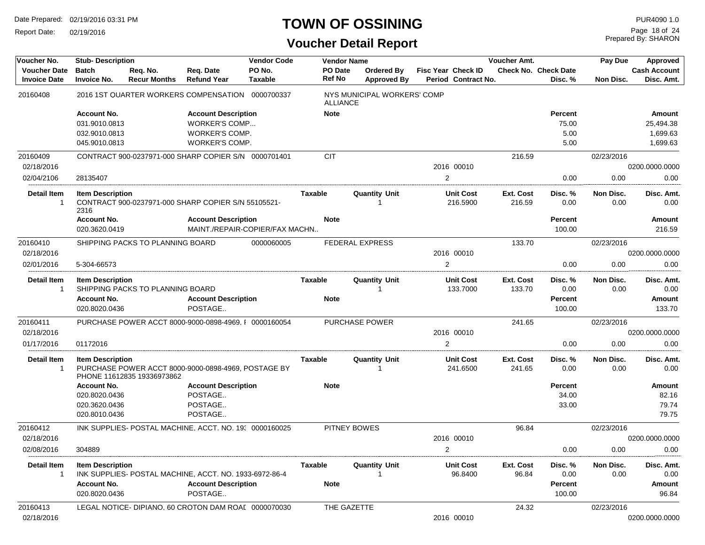Report Date: 02/19/2016

### **TOWN OF OSSINING**

Prepared By: SHARON Page 18 of 24

| Voucher No.                                | <b>Stub-Description</b>             |                                  |                                                              | <b>Vendor Code</b> |                          | <b>Vendor Name</b>     |                                  |                           |                              | <b>Voucher Amt.</b> |                                        | Pay Due           | Approved                          |
|--------------------------------------------|-------------------------------------|----------------------------------|--------------------------------------------------------------|--------------------|--------------------------|------------------------|----------------------------------|---------------------------|------------------------------|---------------------|----------------------------------------|-------------------|-----------------------------------|
| <b>Voucher Date</b><br><b>Invoice Date</b> | <b>Batch</b><br><b>Invoice No.</b>  | Req. No.<br><b>Recur Months</b>  | Req. Date<br><b>Refund Year</b>                              | PO No.<br>Taxable  | <b>PO Date</b><br>Ref No |                        | Ordered By<br><b>Approved By</b> | <b>Fisc Year Check ID</b> | Period Contract No.          |                     | <b>Check No. Check Date</b><br>Disc. % | Non Disc.         | <b>Cash Account</b><br>Disc. Amt. |
| 20160408                                   |                                     |                                  | 2016 1ST QUARTER WORKERS COMPENSATION 0000700337             |                    |                          | ALLIANCE               | NYS MUNICIPAL WORKERS' COMP      |                           |                              |                     |                                        |                   |                                   |
|                                            | <b>Account No.</b>                  |                                  | <b>Account Description</b>                                   |                    | <b>Note</b>              |                        |                                  |                           |                              |                     | <b>Percent</b>                         |                   | Amount                            |
|                                            | 031.9010.0813                       |                                  | <b>WORKER'S COMP</b>                                         |                    |                          |                        |                                  |                           |                              |                     | 75.00                                  |                   | 25,494.38                         |
|                                            | 032.9010.0813                       |                                  | WORKER'S COMP.                                               |                    |                          |                        |                                  |                           |                              |                     | 5.00                                   |                   | 1,699.63                          |
|                                            | 045.9010.0813                       |                                  | WORKER'S COMP.                                               |                    |                          |                        |                                  |                           |                              |                     | 5.00                                   |                   | 1,699.63                          |
| 20160409                                   |                                     |                                  | CONTRACT 900-0237971-000 SHARP COPIER S/N 0000701401         |                    | <b>CIT</b>               |                        |                                  |                           |                              | 216.59              |                                        | 02/23/2016        |                                   |
| 02/18/2016                                 |                                     |                                  |                                                              |                    |                          |                        |                                  |                           | 2016 00010                   |                     |                                        |                   | 0200.0000.0000                    |
| 02/04/2106                                 | 28135407                            |                                  |                                                              |                    |                          |                        |                                  | 2                         |                              |                     | 0.00                                   | 0.00              | 0.00                              |
| Detail Item<br>$\mathbf{1}$                | <b>Item Description</b><br>2316     |                                  | CONTRACT 900-0237971-000 SHARP COPIER S/N 55105521-          |                    | Taxable                  |                        | <b>Quantity Unit</b>             |                           | <b>Unit Cost</b><br>216.5900 | Ext. Cost<br>216.59 | Disc. %<br>0.00                        | Non Disc.<br>0.00 | Disc. Amt.<br>0.00                |
|                                            | <b>Account No.</b><br>020.3620.0419 |                                  | <b>Account Description</b><br>MAINT./REPAIR-COPIER/FAX MACHN |                    | <b>Note</b>              |                        |                                  |                           |                              |                     | <b>Percent</b><br>100.00               |                   | Amount<br>216.59                  |
| 20160410                                   |                                     | SHIPPING PACKS TO PLANNING BOARD |                                                              | 0000060005         |                          | <b>FEDERAL EXPRESS</b> |                                  |                           |                              | 133.70              |                                        | 02/23/2016        |                                   |
| 02/18/2016                                 |                                     |                                  |                                                              |                    |                          |                        |                                  |                           | 2016 00010                   |                     |                                        |                   | 0200.0000.0000                    |
| 02/01/2016                                 | 5-304-66573                         |                                  |                                                              |                    |                          |                        |                                  | 2                         |                              |                     | 0.00                                   | 0.00              | 0.00                              |
| <b>Detail Item</b><br>1                    | <b>Item Description</b>             | SHIPPING PACKS TO PLANNING BOARD |                                                              |                    | <b>Taxable</b>           |                        | <b>Quantity Unit</b>             |                           | <b>Unit Cost</b><br>133.7000 | Ext. Cost<br>133.70 | Disc. %<br>0.00                        | Non Disc.<br>0.00 | Disc. Amt.<br>0.00                |
|                                            | <b>Account No.</b><br>020.8020.0436 |                                  | <b>Account Description</b><br>POSTAGE                        |                    | <b>Note</b>              |                        |                                  |                           |                              |                     | Percent<br>100.00                      |                   | Amount<br>133.70                  |
| 20160411                                   |                                     |                                  | PURCHASE POWER ACCT 8000-9000-0898-4969, I 0000160054        |                    |                          | <b>PURCHASE POWER</b>  |                                  |                           |                              | 241.65              |                                        | 02/23/2016        |                                   |
| 02/18/2016                                 |                                     |                                  |                                                              |                    |                          |                        |                                  |                           | 2016 00010                   |                     |                                        |                   | 0200.0000.0000                    |
| 01/17/2016                                 | 01172016                            |                                  |                                                              |                    |                          |                        |                                  | $\overline{2}$            |                              |                     | 0.00                                   | 0.00              | 0.00                              |
| <b>Detail Item</b><br>$\mathbf 1$          | <b>Item Description</b>             | PHONE 11612835 19336973862       | PURCHASE POWER ACCT 8000-9000-0898-4969, POSTAGE BY          |                    | Taxable                  |                        | <b>Quantity Unit</b><br>-1       |                           | <b>Unit Cost</b><br>241.6500 | Ext. Cost<br>241.65 | Disc. %<br>0.00                        | Non Disc.<br>0.00 | Disc. Amt.<br>0.00                |
|                                            | <b>Account No.</b>                  |                                  | <b>Account Description</b>                                   |                    | <b>Note</b>              |                        |                                  |                           |                              |                     | Percent                                |                   | Amount                            |
|                                            | 020.8020.0436                       |                                  | POSTAGE                                                      |                    |                          |                        |                                  |                           |                              |                     | 34.00                                  |                   | 82.16                             |
|                                            | 020.3620.0436                       |                                  | POSTAGE                                                      |                    |                          |                        |                                  |                           |                              |                     | 33.00                                  |                   | 79.74                             |
|                                            | 020.8010.0436                       |                                  | POSTAGE                                                      |                    |                          |                        |                                  |                           |                              |                     |                                        |                   | 79.75                             |
| 20160412                                   |                                     |                                  | INK SUPPLIES- POSTAL MACHINE, ACCT. NO. 19: 0000160025       |                    |                          | PITNEY BOWES           |                                  |                           |                              | 96.84               |                                        | 02/23/2016        |                                   |
| 02/18/2016                                 |                                     |                                  |                                                              |                    |                          |                        |                                  |                           | 2016 00010                   |                     |                                        |                   | 0200.0000.0000                    |
| 02/08/2016                                 | 304889                              |                                  |                                                              |                    |                          |                        |                                  | 2                         |                              |                     | 0.00                                   | 0.00              | 0.00                              |
| <b>Detail Item</b><br>$\mathbf{1}$         | <b>Item Description</b>             |                                  | INK SUPPLIES- POSTAL MACHINE, ACCT. NO. 1933-6972-86-4       |                    | Taxable                  |                        | <b>Quantity Unit</b>             |                           | <b>Unit Cost</b><br>96.8400  | Ext. Cost<br>96.84  | Disc. %<br>0.00                        | Non Disc.<br>0.00 | Disc. Amt.<br>0.00                |
|                                            | <b>Account No.</b><br>020.8020.0436 |                                  | <b>Account Description</b><br>POSTAGE                        |                    | <b>Note</b>              |                        |                                  |                           |                              |                     | Percent<br>100.00                      |                   | Amount<br>96.84                   |
| 20160413                                   |                                     |                                  | LEGAL NOTICE- DIPIANO, 60 CROTON DAM ROAL 0000070030         |                    |                          | THE GAZETTE            |                                  |                           |                              | 24.32               |                                        | 02/23/2016        |                                   |
| 02/18/2016                                 |                                     |                                  |                                                              |                    |                          |                        |                                  |                           | 2016 00010                   |                     |                                        |                   | 0200.0000.0000                    |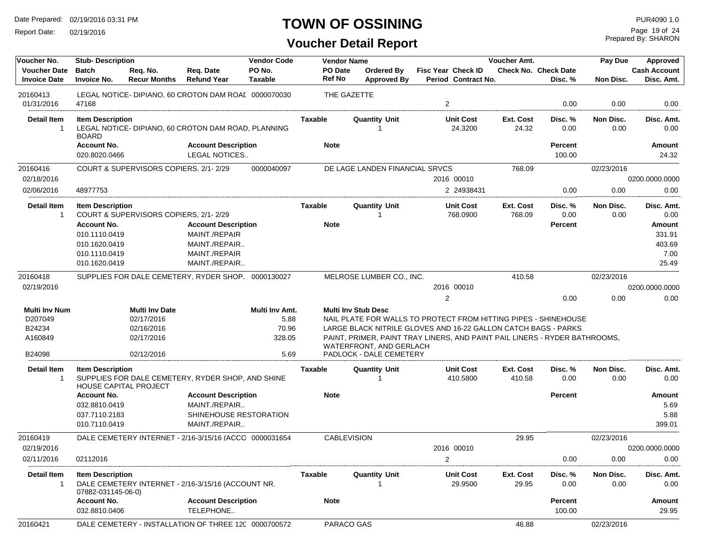Report Date: 02/19/2016

#### **TOWN OF OSSINING**

Prepared By: SHARON Page 19 of 24

| Voucher No.              | <b>Stub-Description</b> |                                       |                                                        | <b>Vendor Code</b> | <b>Vendor Name</b> |                                | Voucher Amt.                                                               |                    | Pay Due                     | Approved   |                     |
|--------------------------|-------------------------|---------------------------------------|--------------------------------------------------------|--------------------|--------------------|--------------------------------|----------------------------------------------------------------------------|--------------------|-----------------------------|------------|---------------------|
| <b>Voucher Date</b>      | <b>Batch</b>            | Reg. No.                              | Req. Date                                              | PO No.             | PO Date            | Ordered By                     | <b>Fisc Year Check ID</b>                                                  |                    | <b>Check No. Check Date</b> |            | <b>Cash Account</b> |
| <b>Invoice Date</b>      | <b>Invoice No.</b>      | <b>Recur Months</b>                   | <b>Refund Year</b>                                     | <b>Taxable</b>     | <b>Ref No</b>      | <b>Approved By</b>             | Period Contract No.                                                        |                    | Disc. %                     | Non Disc.  | Disc. Amt.          |
| 20160413                 |                         |                                       | LEGAL NOTICE-DIPIANO, 60 CROTON DAM ROAL 0000070030    |                    |                    | THE GAZETTE                    |                                                                            |                    |                             |            |                     |
| 01/31/2016               | 47168                   |                                       |                                                        |                    |                    |                                | $\overline{2}$                                                             |                    | 0.00                        | 0.00       | 0.00                |
|                          |                         |                                       |                                                        |                    |                    |                                |                                                                            |                    |                             |            |                     |
| <b>Detail Item</b>       | <b>Item Description</b> |                                       |                                                        |                    | Taxable            | <b>Quantity Unit</b>           | <b>Unit Cost</b>                                                           | Ext. Cost          | Disc. %                     | Non Disc.  | Disc. Amt.          |
| -1                       | <b>BOARD</b>            |                                       | LEGAL NOTICE- DIPIANO, 60 CROTON DAM ROAD, PLANNING    |                    |                    |                                | 24.3200                                                                    | 24.32              | 0.00                        | 0.00       | 0.00                |
|                          | <b>Account No.</b>      |                                       | <b>Account Description</b>                             |                    | <b>Note</b>        |                                |                                                                            |                    | <b>Percent</b>              |            | Amount              |
|                          | 020.8020.0466           |                                       | LEGAL NOTICES                                          |                    |                    |                                |                                                                            |                    | 100.00                      |            | 24.32               |
| 20160416                 |                         | COURT & SUPERVISORS COPIERS, 2/1-2/29 |                                                        | 0000040097         |                    | DE LAGE LANDEN FINANCIAL SRVCS |                                                                            | 768.09             |                             | 02/23/2016 |                     |
| 02/18/2016               |                         |                                       |                                                        |                    |                    |                                | 2016 00010                                                                 |                    |                             |            | 0200.0000.0000      |
| 02/06/2016               | 48977753                |                                       |                                                        |                    |                    |                                | 2 24938431                                                                 |                    | 0.00                        | 0.00       | 0.00                |
|                          |                         |                                       |                                                        |                    |                    |                                |                                                                            |                    |                             |            |                     |
| <b>Detail Item</b>       | <b>Item Description</b> |                                       |                                                        |                    | Taxable            | <b>Quantity Unit</b>           | <b>Unit Cost</b>                                                           | Ext. Cost          | Disc. %                     | Non Disc.  | Disc. Amt.          |
| -1                       |                         | COURT & SUPERVISORS COPIERS, 2/1-2/29 |                                                        |                    |                    |                                | 768.0900                                                                   | 768.09             | 0.00                        | 0.00       | 0.00                |
|                          | <b>Account No.</b>      |                                       | <b>Account Description</b>                             |                    | <b>Note</b>        |                                |                                                                            |                    | <b>Percent</b>              |            | Amount              |
|                          | 010.1110.0419           |                                       | MAINT./REPAIR                                          |                    |                    |                                |                                                                            |                    |                             |            | 331.91              |
|                          | 010.1620.0419           |                                       | MAINT./REPAIR                                          |                    |                    |                                |                                                                            |                    |                             |            | 403.69              |
|                          | 010.1110.0419           |                                       | MAINT./REPAIR                                          |                    |                    |                                |                                                                            |                    |                             |            | 7.00                |
|                          | 010.1620.0419           |                                       | MAINT./REPAIR                                          |                    |                    |                                |                                                                            |                    |                             |            | 25.49               |
| 20160418                 |                         |                                       | SUPPLIES FOR DALE CEMETERY, RYDER SHOP. 0000130027     |                    |                    | MELROSE LUMBER CO., INC.       |                                                                            | 410.58             |                             | 02/23/2016 |                     |
| 02/19/2016               |                         |                                       |                                                        |                    |                    |                                | 2016 00010                                                                 |                    |                             |            | 0200.0000.0000      |
|                          |                         |                                       |                                                        |                    |                    |                                | $\overline{2}$                                                             |                    | 0.00                        | 0.00       | 0.00                |
| Multi Inv Num            |                         | <b>Multi Inv Date</b>                 |                                                        | Multi Inv Amt.     |                    | <b>Multi Inv Stub Desc</b>     |                                                                            |                    |                             |            |                     |
| D207049                  |                         | 02/17/2016                            |                                                        | 5.88               |                    |                                | NAIL PLATE FOR WALLS TO PROTECT FROM HITTING PIPES - SHINEHOUSE            |                    |                             |            |                     |
| B24234                   |                         | 02/16/2016                            |                                                        | 70.96              |                    |                                | LARGE BLACK NITRILE GLOVES AND 16-22 GALLON CATCH BAGS - PARKS             |                    |                             |            |                     |
| A160849                  |                         | 02/17/2016                            |                                                        | 328.05             |                    |                                | PAINT, PRIMER, PAINT TRAY LINERS, AND PAINT PAIL LINERS - RYDER BATHROOMS, |                    |                             |            |                     |
|                          |                         |                                       |                                                        |                    |                    | WATERFRONT, AND GERLACH        |                                                                            |                    |                             |            |                     |
| B24098                   |                         | 02/12/2016                            |                                                        | 5.69               |                    | PADLOCK - DALE CEMETERY        |                                                                            |                    |                             |            |                     |
| Detail Item              | <b>Item Description</b> |                                       |                                                        |                    | Taxable            | <b>Quantity Unit</b>           | <b>Unit Cost</b>                                                           | Ext. Cost          | Disc. %                     | Non Disc.  | Disc. Amt.          |
| -1                       |                         | <b>HOUSE CAPITAL PROJECT</b>          | SUPPLIES FOR DALE CEMETERY, RYDER SHOP, AND SHINE      |                    |                    |                                | 410.5800                                                                   | 410.58             | 0.00                        | 0.00       | 0.00                |
|                          | <b>Account No.</b>      |                                       | <b>Account Description</b>                             |                    | <b>Note</b>        |                                |                                                                            |                    | <b>Percent</b>              |            | Amount              |
|                          | 032.8810.0419           |                                       | MAINT./REPAIR                                          |                    |                    |                                |                                                                            |                    |                             |            | 5.69                |
|                          | 037.7110.2183           |                                       | SHINEHOUSE RESTORATION                                 |                    |                    |                                |                                                                            |                    |                             |            | 5.88                |
|                          | 010.7110.0419           |                                       | MAINT./REPAIR                                          |                    |                    |                                |                                                                            |                    |                             |            | 399.01              |
| 20160419                 |                         |                                       | DALE CEMETERY INTERNET - 2/16-3/15/16 (ACCC 0000031654 |                    |                    | <b>CABLEVISION</b>             |                                                                            | 29.95              |                             | 02/23/2016 |                     |
| 02/19/2016               |                         |                                       |                                                        |                    |                    |                                | 2016 00010                                                                 |                    |                             |            | 0200.0000.0000      |
| 02/11/2016               | 02112016                |                                       |                                                        |                    |                    |                                | 2                                                                          |                    | 0.00                        | 0.00       | 0.00                |
|                          |                         |                                       |                                                        |                    |                    |                                |                                                                            |                    |                             |            |                     |
| <b>Detail Item</b><br>-1 | <b>Item Description</b> |                                       |                                                        |                    | Taxable            | <b>Quantity Unit</b>           | <b>Unit Cost</b><br>29.9500                                                | Ext. Cost<br>29.95 | Disc. %                     | Non Disc.  | Disc. Amt.<br>0.00  |
|                          | 07882-031145-06-0)      |                                       | DALE CEMETERY INTERNET - 2/16-3/15/16 (ACCOUNT NR.     |                    |                    |                                |                                                                            |                    | 0.00                        | 0.00       |                     |
|                          | <b>Account No.</b>      |                                       | <b>Account Description</b>                             |                    | <b>Note</b>        |                                |                                                                            |                    | <b>Percent</b>              |            | Amount              |
|                          | 032.8810.0406           |                                       | TELEPHONE                                              |                    |                    |                                |                                                                            |                    | 100.00                      |            | 29.95               |
| 20160421                 |                         |                                       | DALE CEMETERY - INSTALLATION OF THREE 12C 0000700572   |                    |                    | PARACO GAS                     |                                                                            | 46.88              |                             | 02/23/2016 |                     |
|                          |                         |                                       |                                                        |                    |                    |                                |                                                                            |                    |                             |            |                     |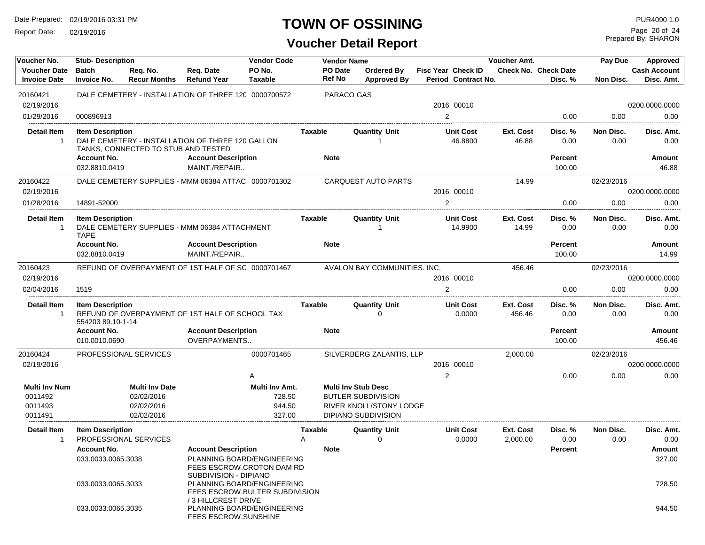Report Date: 02/19/2016

#### **TOWN OF OSSINING**

Prepared By: SHARON Page 20 of 24

| Voucher No.                                           | <b>Stub-Description</b><br><b>Vendor Code</b><br><b>Vendor Name</b><br>Voucher Amt. |                                                                 |                                                      |                                                              |                   |            | Pay Due                                                                                                   | Approved                  |                             |                            |                                        |                   |                                   |
|-------------------------------------------------------|-------------------------------------------------------------------------------------|-----------------------------------------------------------------|------------------------------------------------------|--------------------------------------------------------------|-------------------|------------|-----------------------------------------------------------------------------------------------------------|---------------------------|-----------------------------|----------------------------|----------------------------------------|-------------------|-----------------------------------|
| <b>Voucher Date</b><br><b>Invoice Date</b>            | <b>Batch</b><br><b>Invoice No.</b>                                                  | Req. No.<br><b>Recur Months</b>                                 | Req. Date<br><b>Refund Year</b>                      | PO No.<br><b>Taxable</b>                                     | PO Date<br>Ref No |            | Ordered By<br><b>Approved By</b>                                                                          | <b>Fisc Year Check ID</b> | Period Contract No.         |                            | <b>Check No. Check Date</b><br>Disc. % | Non Disc.         | <b>Cash Account</b><br>Disc. Amt. |
| 20160421                                              |                                                                                     |                                                                 | DALE CEMETERY - INSTALLATION OF THREE 120 0000700572 |                                                              |                   | PARACO GAS |                                                                                                           |                           |                             |                            |                                        |                   |                                   |
| 02/19/2016                                            |                                                                                     |                                                                 |                                                      |                                                              |                   |            |                                                                                                           | 2016 00010                |                             |                            |                                        |                   | 0200.0000.0000                    |
| 01/29/2016                                            | 000896913                                                                           |                                                                 |                                                      |                                                              |                   |            |                                                                                                           | $\overline{2}$            |                             |                            | 0.00                                   | 0.00              | 0.00                              |
|                                                       |                                                                                     |                                                                 |                                                      |                                                              |                   |            |                                                                                                           |                           |                             |                            |                                        |                   |                                   |
| <b>Detail Item</b><br>$\mathbf{1}$                    | <b>Item Description</b>                                                             | TANKS, CONNECTED TO STUB AND TESTED                             | DALE CEMETERY - INSTALLATION OF THREE 120 GALLON     |                                                              | Taxable           |            | <b>Quantity Unit</b>                                                                                      |                           | <b>Unit Cost</b><br>46.8800 | Ext. Cost<br>46.88         | Disc. %<br>0.00                        | Non Disc.<br>0.00 | Disc. Amt.<br>0.00                |
|                                                       | <b>Account No.</b><br>032.8810.0419                                                 |                                                                 | <b>Account Description</b><br>MAINT./REPAIR          |                                                              | <b>Note</b>       |            |                                                                                                           |                           |                             |                            | Percent<br>100.00                      |                   | <b>Amount</b><br>46.88            |
| 20160422                                              |                                                                                     |                                                                 | DALE CEMETERY SUPPLIES - MMM 06384 ATTAC 0000701302  |                                                              |                   |            | <b>CARQUEST AUTO PARTS</b>                                                                                |                           |                             | 14.99                      |                                        | 02/23/2016        |                                   |
| 02/19/2016                                            |                                                                                     |                                                                 |                                                      |                                                              |                   |            |                                                                                                           | 2016 00010                |                             |                            |                                        |                   | 0200.0000.0000                    |
| 01/28/2016                                            | 14891-52000                                                                         |                                                                 |                                                      |                                                              |                   |            |                                                                                                           | 2                         |                             |                            | 0.00                                   | 0.00              | 0.00                              |
| <b>Detail Item</b><br>$\mathbf 1$                     | <b>Item Description</b><br><b>TAPE</b>                                              |                                                                 | DALE CEMETERY SUPPLIES - MMM 06384 ATTACHMENT        |                                                              | Taxable           |            | <b>Quantity Unit</b>                                                                                      |                           | <b>Unit Cost</b><br>14.9900 | Ext. Cost<br>14.99         | Disc. %<br>0.00                        | Non Disc.<br>0.00 | Disc. Amt.<br>0.00                |
|                                                       | <b>Account No.</b>                                                                  |                                                                 | <b>Account Description</b>                           |                                                              | <b>Note</b>       |            |                                                                                                           |                           |                             |                            | Percent                                |                   | <b>Amount</b>                     |
|                                                       | 032.8810.0419                                                                       |                                                                 | MAINT./REPAIR                                        |                                                              |                   |            |                                                                                                           |                           |                             |                            | 100.00                                 |                   | 14.99                             |
| 20160423                                              |                                                                                     |                                                                 | REFUND OF OVERPAYMENT OF 1ST HALF OF SC 0000701467   |                                                              |                   |            | AVALON BAY COMMUNITIES. INC.                                                                              |                           |                             | 456.46                     |                                        | 02/23/2016        |                                   |
| 02/19/2016                                            |                                                                                     |                                                                 |                                                      |                                                              |                   |            |                                                                                                           | 2016 00010                |                             |                            |                                        |                   | 0200.0000.0000                    |
| 02/04/2016                                            | 1519                                                                                |                                                                 |                                                      |                                                              |                   |            |                                                                                                           | 2                         |                             |                            | 0.00                                   | 0.00              | 0.00                              |
| <b>Detail Item</b><br>$\mathbf{1}$                    | <b>Item Description</b><br>554203 89.10-1-14                                        |                                                                 | REFUND OF OVERPAYMENT OF 1ST HALF OF SCHOOL TAX      |                                                              | Taxable           |            | <b>Quantity Unit</b><br>0                                                                                 |                           | <b>Unit Cost</b><br>0.0000  | <b>Ext. Cost</b><br>456.46 | Disc. %<br>0.00                        | Non Disc.<br>0.00 | Disc. Amt.<br>0.00                |
|                                                       | <b>Account No.</b><br>010.0010.0690                                                 |                                                                 | <b>Account Description</b><br>OVERPAYMENTS           |                                                              | <b>Note</b>       |            |                                                                                                           |                           |                             |                            | Percent<br>100.00                      |                   | Amount<br>456.46                  |
| 20160424                                              |                                                                                     | PROFESSIONAL SERVICES                                           |                                                      | 0000701465                                                   |                   |            | SILVERBERG ZALANTIS, LLP                                                                                  |                           |                             | 2,000.00                   |                                        | 02/23/2016        |                                   |
| 02/19/2016                                            |                                                                                     |                                                                 |                                                      |                                                              |                   |            |                                                                                                           | 2016 00010                |                             |                            |                                        |                   | 0200.0000.0000                    |
|                                                       |                                                                                     |                                                                 |                                                      | Α                                                            |                   |            |                                                                                                           | $\overline{2}$            |                             |                            | 0.00                                   | 0.00              | 0.00                              |
| <b>Multi Inv Num</b><br>0011492<br>0011493<br>0011491 |                                                                                     | <b>Multi Inv Date</b><br>02/02/2016<br>02/02/2016<br>02/02/2016 |                                                      | Multi Inv Amt.<br>728.50<br>944.50<br>327.00                 |                   |            | <b>Multi Inv Stub Desc</b><br><b>BUTLER SUBDIVISION</b><br>RIVER KNOLL/STONY LODGE<br>DIPIANO SUBDIVISION |                           |                             |                            |                                        |                   |                                   |
| Detail Item                                           | <b>Item Description</b>                                                             |                                                                 |                                                      |                                                              | Taxable           |            | <b>Quantity Unit</b>                                                                                      |                           | <b>Unit Cost</b>            | Ext. Cost                  | Disc. %                                | Non Disc.         | Disc. Amt.                        |
| $\mathbf 1$                                           |                                                                                     | PROFESSIONAL SERVICES                                           |                                                      |                                                              | A                 |            | $\Omega$                                                                                                  |                           | 0.0000                      | 2,000.00                   | 0.00                                   | 0.00              | 0.00                              |
|                                                       | <b>Account No.</b>                                                                  |                                                                 | <b>Account Description</b>                           |                                                              | <b>Note</b>       |            |                                                                                                           |                           |                             |                            | Percent                                |                   | Amount                            |
|                                                       | 033.0033.0065.3038                                                                  |                                                                 | SUBDIVISION - DIPIANO                                | PLANNING BOARD/ENGINEERING<br>FEES ESCROW.CROTON DAM RD      |                   |            |                                                                                                           |                           |                             |                            |                                        |                   | 327.00                            |
|                                                       | 033.0033.0065.3033                                                                  |                                                                 |                                                      | PLANNING BOARD/ENGINEERING<br>FEES ESCROW.BULTER SUBDIVISION |                   |            |                                                                                                           |                           |                             |                            |                                        |                   | 728.50                            |
|                                                       | 033.0033.0065.3035                                                                  |                                                                 | /3 HILLCREST DRIVE<br><b>FEES ESCROW.SUNSHINE</b>    | PLANNING BOARD/ENGINEERING                                   |                   |            |                                                                                                           |                           |                             |                            |                                        |                   | 944.50                            |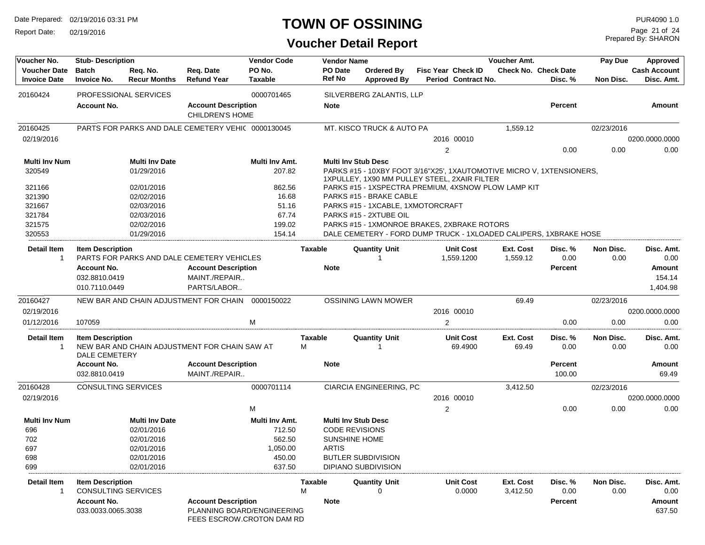Report Date: 02/19/2016

### **TOWN OF OSSINING**

Prepared By: SHARON Page 21 of 24

| Voucher No.                                | <b>Stub-Description</b>                  |                                 |                                                         | <b>Vendor Code</b>       |                     | <b>Vendor Name</b>         |                                                                                                                       |                                                  | Voucher Amt.          |                                        | Pay Due           | Approved                          |
|--------------------------------------------|------------------------------------------|---------------------------------|---------------------------------------------------------|--------------------------|---------------------|----------------------------|-----------------------------------------------------------------------------------------------------------------------|--------------------------------------------------|-----------------------|----------------------------------------|-------------------|-----------------------------------|
| <b>Voucher Date</b><br><b>Invoice Date</b> | <b>Batch</b><br><b>Invoice No.</b>       | Req. No.<br><b>Recur Months</b> | Req. Date<br><b>Refund Year</b>                         | PO No.<br><b>Taxable</b> |                     | PO Date<br>Ref No          | Ordered Bv<br><b>Approved By</b>                                                                                      | <b>Fisc Year Check ID</b><br>Period Contract No. |                       | <b>Check No. Check Date</b><br>Disc. % | Non Disc.         | <b>Cash Account</b><br>Disc. Amt. |
| 20160424                                   | <b>PROFESSIONAL SERVICES</b>             |                                 |                                                         | 0000701465               |                     |                            | SILVERBERG ZALANTIS, LLP                                                                                              |                                                  |                       |                                        |                   |                                   |
|                                            | <b>Account No.</b>                       |                                 | <b>Account Description</b><br><b>CHILDREN'S HOME</b>    |                          |                     | <b>Note</b>                |                                                                                                                       |                                                  |                       | <b>Percent</b>                         |                   | Amount                            |
| 20160425                                   |                                          |                                 | PARTS FOR PARKS AND DALE CEMETERY VEHIC 0000130045      |                          |                     |                            | MT. KISCO TRUCK & AUTO PA                                                                                             |                                                  | 1,559.12              |                                        | 02/23/2016        |                                   |
| 02/19/2016                                 |                                          |                                 |                                                         |                          |                     |                            |                                                                                                                       | 2016 00010                                       |                       |                                        |                   | 0200.0000.0000                    |
|                                            |                                          |                                 |                                                         |                          |                     |                            |                                                                                                                       | 2                                                |                       | 0.00                                   | 0.00              | 0.00                              |
| Multi Inv Num                              |                                          | <b>Multi Inv Date</b>           |                                                         | Multi Inv Amt.           |                     | <b>Multi Inv Stub Desc</b> |                                                                                                                       |                                                  |                       |                                        |                   |                                   |
| 320549                                     |                                          | 01/29/2016                      |                                                         | 207.82                   |                     |                            | PARKS #15 - 10XBY FOOT 3/16"X25', 1XAUTOMOTIVE MICRO V, 1XTENSIONERS,<br>1XPULLEY, 1X90 MM PULLEY STEEL, 2XAIR FILTER |                                                  |                       |                                        |                   |                                   |
| 321166                                     |                                          | 02/01/2016                      |                                                         | 862.56                   |                     |                            | PARKS #15 - 1XSPECTRA PREMIUM, 4XSNOW PLOW LAMP KIT                                                                   |                                                  |                       |                                        |                   |                                   |
| 321390                                     |                                          | 02/02/2016                      |                                                         | 16.68                    |                     |                            | PARKS #15 - BRAKE CABLE                                                                                               |                                                  |                       |                                        |                   |                                   |
| 321667                                     |                                          | 02/03/2016                      |                                                         | 51.16                    |                     |                            | PARKS #15 - 1XCABLE, 1XMOTORCRAFT                                                                                     |                                                  |                       |                                        |                   |                                   |
| 321784                                     |                                          | 02/03/2016                      |                                                         | 67.74                    |                     |                            | PARKS #15 - 2XTUBE OIL                                                                                                |                                                  |                       |                                        |                   |                                   |
| 321575<br>320553                           |                                          | 02/02/2016                      |                                                         | 199.02<br>154.14         |                     |                            | PARKS #15 - 1XMONROE BRAKES, 2XBRAKE ROTORS                                                                           |                                                  |                       |                                        |                   |                                   |
|                                            |                                          | 01/29/2016                      |                                                         |                          |                     |                            | DALE CEMETERY - FORD DUMP TRUCK - 1XLOADED CALIPERS, 1XBRAKE HOSE                                                     |                                                  |                       |                                        |                   |                                   |
| Detail Item<br>$\mathbf{1}$                | <b>Item Description</b>                  |                                 | PARTS FOR PARKS AND DALE CEMETERY VEHICLES              |                          | <b>Taxable</b>      |                            | <b>Quantity Unit</b>                                                                                                  | <b>Unit Cost</b><br>1,559.1200                   | Ext. Cost<br>1,559.12 | Disc. %<br>0.00                        | Non Disc.<br>0.00 | Disc. Amt.<br>0.00                |
|                                            | <b>Account No.</b>                       |                                 | <b>Account Description</b>                              |                          |                     | <b>Note</b>                |                                                                                                                       |                                                  |                       | <b>Percent</b>                         |                   | Amount                            |
|                                            | 032.8810.0419                            |                                 | MAINT./REPAIR                                           |                          |                     |                            |                                                                                                                       |                                                  |                       |                                        |                   | 154.14                            |
|                                            | 010.7110.0449                            |                                 | PARTS/LABOR                                             |                          |                     |                            |                                                                                                                       |                                                  |                       |                                        |                   | 1,404.98                          |
| 20160427                                   |                                          |                                 | NEW BAR AND CHAIN ADJUSTMENT FOR CHAIN 0000150022       |                          |                     |                            | <b>OSSINING LAWN MOWER</b>                                                                                            |                                                  | 69.49                 |                                        | 02/23/2016        |                                   |
| 02/19/2016                                 |                                          |                                 |                                                         |                          |                     |                            |                                                                                                                       | 2016 00010                                       |                       |                                        |                   | 0200.0000.0000                    |
| 01/12/2016                                 | 107059                                   |                                 |                                                         | M                        |                     |                            |                                                                                                                       | 2                                                |                       | 0.00                                   | 0.00              | 0.00                              |
| Detail Item<br>1                           | <b>Item Description</b><br>DALE CEMETERY |                                 | NEW BAR AND CHAIN ADJUSTMENT FOR CHAIN SAW AT           |                          | <b>Taxable</b><br>М |                            | <b>Quantity Unit</b><br>-1                                                                                            | <b>Unit Cost</b><br>69.4900                      | Ext. Cost<br>69.49    | Disc. %<br>0.00                        | Non Disc.<br>0.00 | Disc. Amt.<br>0.00                |
|                                            | <b>Account No.</b>                       |                                 | <b>Account Description</b>                              |                          |                     | <b>Note</b>                |                                                                                                                       |                                                  |                       | <b>Percent</b>                         |                   | Amount                            |
|                                            | 032.8810.0419                            |                                 | MAINT./REPAIR                                           |                          |                     |                            |                                                                                                                       |                                                  |                       | 100.00                                 |                   | 69.49                             |
| 20160428                                   | <b>CONSULTING SERVICES</b>               |                                 |                                                         | 0000701114               |                     |                            | CIARCIA ENGINEERING, PC                                                                                               |                                                  | 3,412.50              |                                        | 02/23/2016        |                                   |
| 02/19/2016                                 |                                          |                                 |                                                         |                          |                     |                            |                                                                                                                       | 2016 00010                                       |                       |                                        |                   | 0200.0000.0000                    |
|                                            |                                          |                                 |                                                         | М                        |                     |                            |                                                                                                                       | $\overline{2}$                                   |                       | 0.00                                   | 0.00              | 0.00                              |
| Multi Inv Num                              |                                          | <b>Multi Inv Date</b>           |                                                         | Multi Inv Amt.           |                     | <b>Multi Inv Stub Desc</b> |                                                                                                                       |                                                  |                       |                                        |                   |                                   |
| 696                                        |                                          | 02/01/2016                      |                                                         | 712.50                   |                     | <b>CODE REVISIONS</b>      |                                                                                                                       |                                                  |                       |                                        |                   |                                   |
| 702                                        |                                          | 02/01/2016                      |                                                         | 562.50                   |                     | <b>SUNSHINE HOME</b>       |                                                                                                                       |                                                  |                       |                                        |                   |                                   |
| 697                                        |                                          | 02/01/2016                      |                                                         | 1,050.00                 |                     | <b>ARTIS</b>               |                                                                                                                       |                                                  |                       |                                        |                   |                                   |
| 698                                        |                                          | 02/01/2016                      |                                                         | 450.00                   |                     |                            | <b>BUTLER SUBDIVISION</b>                                                                                             |                                                  |                       |                                        |                   |                                   |
| 699                                        |                                          | 02/01/2016                      |                                                         | 637.50                   |                     |                            | DIPIANO SUBDIVISION                                                                                                   |                                                  |                       |                                        |                   |                                   |
| Detail Item                                | <b>Item Description</b>                  |                                 |                                                         |                          | <b>Taxable</b>      |                            | <b>Quantity Unit</b>                                                                                                  | <b>Unit Cost</b>                                 | Ext. Cost             | Disc. %                                | Non Disc.         | Disc. Amt.                        |
| 1                                          | CONSULTING SERVICES                      |                                 |                                                         |                          | М                   |                            | 0                                                                                                                     | 0.0000                                           | 3,412.50              | 0.00                                   | 0.00              | 0.00                              |
|                                            | <b>Account No.</b>                       |                                 | <b>Account Description</b>                              |                          |                     | <b>Note</b>                |                                                                                                                       |                                                  |                       | <b>Percent</b>                         |                   | Amount                            |
|                                            | 033.0033.0065.3038                       |                                 | PLANNING BOARD/ENGINEERING<br>FEES ESCROW.CROTON DAM RD |                          |                     |                            |                                                                                                                       |                                                  |                       |                                        |                   | 637.50                            |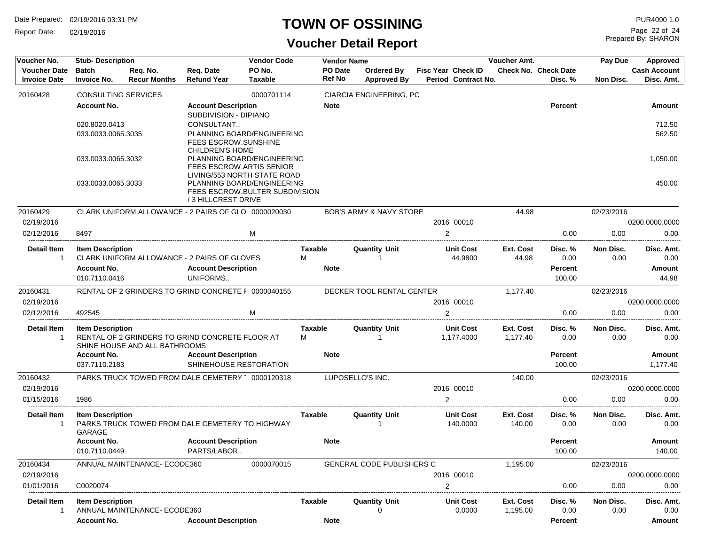Report Date: 02/19/2016

### **TOWN OF OSSINING**

Prepared By: SHARON Page 22 of 24

| Voucher No.                                | <b>Stub-Description</b>            |                                 |                                                               | <b>Vendor Code</b>       |                          | <b>Vendor Name</b>                      |                                                  | Voucher Amt.          |                                        | Pay Due           | Approved                          |
|--------------------------------------------|------------------------------------|---------------------------------|---------------------------------------------------------------|--------------------------|--------------------------|-----------------------------------------|--------------------------------------------------|-----------------------|----------------------------------------|-------------------|-----------------------------------|
| <b>Voucher Date</b><br><b>Invoice Date</b> | <b>Batch</b><br><b>Invoice No.</b> | Req. No.<br><b>Recur Months</b> | Req. Date<br><b>Refund Year</b>                               | PO No.<br><b>Taxable</b> | PO Date<br><b>Ref No</b> | <b>Ordered By</b><br><b>Approved By</b> | <b>Fisc Year Check ID</b><br>Period Contract No. |                       | <b>Check No. Check Date</b><br>Disc. % | Non Disc.         | <b>Cash Account</b><br>Disc. Amt. |
| 20160428                                   | CONSULTING SERVICES                |                                 |                                                               | 0000701114               |                          | CIARCIA ENGINEERING, PC                 |                                                  |                       |                                        |                   |                                   |
|                                            | <b>Account No.</b>                 |                                 | <b>Account Description</b>                                    |                          | <b>Note</b>              |                                         |                                                  |                       | <b>Percent</b>                         |                   | Amount                            |
|                                            |                                    |                                 | SUBDIVISION - DIPIANO                                         |                          |                          |                                         |                                                  |                       |                                        |                   |                                   |
|                                            | 020.8020.0413                      |                                 | CONSULTANT                                                    |                          |                          |                                         |                                                  |                       |                                        |                   | 712.50                            |
|                                            | 033.0033.0065.3035                 |                                 | PLANNING BOARD/ENGINEERING<br>FEES ESCROW.SUNSHINE            |                          |                          |                                         |                                                  |                       |                                        |                   | 562.50                            |
|                                            |                                    |                                 | <b>CHILDREN'S HOME</b>                                        |                          |                          |                                         |                                                  |                       |                                        |                   |                                   |
|                                            | 033.0033.0065.3032                 |                                 | PLANNING BOARD/ENGINEERING<br><b>FEES ESCROW.ARTIS SENIOR</b> |                          |                          |                                         |                                                  |                       |                                        |                   | 1,050.00                          |
|                                            |                                    |                                 | LIVING/553 NORTH STATE ROAD                                   |                          |                          |                                         |                                                  |                       |                                        |                   |                                   |
|                                            | 033.0033.0065.3033                 |                                 | PLANNING BOARD/ENGINEERING<br>FEES ESCROW.BULTER SUBDIVISION  |                          |                          |                                         |                                                  |                       |                                        |                   | 450.00                            |
|                                            |                                    |                                 | /3 HILLCREST DRIVE                                            |                          |                          |                                         |                                                  |                       |                                        |                   |                                   |
| 20160429                                   |                                    |                                 | CLARK UNIFORM ALLOWANCE - 2 PAIRS OF GLO 0000020030           |                          |                          | <b>BOB'S ARMY &amp; NAVY STORE</b>      |                                                  | 44.98                 |                                        | 02/23/2016        |                                   |
| 02/19/2016                                 |                                    |                                 |                                                               |                          |                          |                                         | 2016 00010                                       |                       |                                        |                   | 0200.0000.0000                    |
| 02/12/2016                                 | 8497                               |                                 |                                                               | M                        |                          |                                         | $\overline{2}$                                   |                       | 0.00                                   | 0.00              | 0.00                              |
| <b>Detail Item</b>                         | <b>Item Description</b>            |                                 |                                                               |                          | Taxable                  | <b>Quantity Unit</b>                    | <b>Unit Cost</b>                                 | Ext. Cost             | Disc. %                                | Non Disc.         | Disc. Amt.                        |
| -1                                         |                                    |                                 | CLARK UNIFORM ALLOWANCE - 2 PAIRS OF GLOVES                   |                          | м                        |                                         | 44.9800                                          | 44.98                 | 0.00                                   | 0.00              | 0.00                              |
|                                            | <b>Account No.</b>                 |                                 | <b>Account Description</b>                                    |                          | <b>Note</b>              |                                         |                                                  |                       | Percent                                |                   | Amount                            |
|                                            | 010.7110.0416                      |                                 | UNIFORMS                                                      |                          |                          |                                         |                                                  |                       | 100.00                                 |                   | 44.98                             |
| 20160431                                   |                                    |                                 | RENTAL OF 2 GRINDERS TO GRIND CONCRETE I 0000040155           |                          |                          | DECKER TOOL RENTAL CENTER               |                                                  | 1,177.40              |                                        | 02/23/2016        |                                   |
| 02/19/2016                                 |                                    |                                 |                                                               |                          |                          |                                         | 2016 00010                                       |                       |                                        |                   | 0200.0000.0000                    |
| 02/12/2016                                 | 492545                             |                                 |                                                               | M                        |                          |                                         | 2                                                |                       | 0.00                                   | 0.00              | 0.00                              |
| Detail Item                                | <b>Item Description</b>            |                                 |                                                               |                          | Taxable                  | <b>Quantity Unit</b>                    | <b>Unit Cost</b>                                 | Ext. Cost             | Disc. %                                | Non Disc.         | Disc. Amt.                        |
|                                            |                                    | SHINE HOUSE AND ALL BATHROOMS   | RENTAL OF 2 GRINDERS TO GRIND CONCRETE FLOOR AT               |                          | м                        |                                         | 1,177.4000                                       | 1,177.40              | 0.00                                   | 0.00              | 0.00                              |
|                                            | <b>Account No.</b>                 |                                 | <b>Account Description</b>                                    |                          | <b>Note</b>              |                                         |                                                  |                       | <b>Percent</b>                         |                   | <b>Amount</b>                     |
|                                            | 037.7110.2183                      |                                 | SHINEHOUSE RESTORATION                                        |                          |                          |                                         |                                                  |                       | 100.00                                 |                   | 1,177.40                          |
| 20160432                                   |                                    |                                 | PARKS TRUCK TOWED FROM DALE CEMETERY 0000120318               |                          |                          | LUPOSELLO'S INC.                        |                                                  | 140.00                |                                        | 02/23/2016        |                                   |
| 02/19/2016                                 |                                    |                                 |                                                               |                          |                          |                                         | 2016 00010                                       |                       |                                        |                   | 0200.0000.0000                    |
| 01/15/2016                                 | 1986                               |                                 |                                                               |                          |                          |                                         | 2                                                |                       | 0.00                                   | 0.00              | 0.00                              |
| <b>Detail Item</b>                         | <b>Item Description</b>            |                                 |                                                               |                          | Taxable                  | <b>Quantity Unit</b>                    | <b>Unit Cost</b>                                 | Ext. Cost             | Disc. %                                | Non Disc.         | Disc. Amt.                        |
| -1                                         | GARAGE                             |                                 | PARKS TRUCK TOWED FROM DALE CEMETERY TO HIGHWAY               |                          |                          | 1                                       | 140.0000                                         | 140.00                | 0.00                                   | 0.00              | 0.00                              |
|                                            | <b>Account No.</b>                 |                                 | <b>Account Description</b>                                    |                          | <b>Note</b>              |                                         |                                                  |                       | <b>Percent</b>                         |                   | Amount                            |
|                                            | 010.7110.0449                      |                                 | PARTS/LABOR                                                   |                          |                          |                                         |                                                  |                       | 100.00                                 |                   | 140.00                            |
| 20160434                                   |                                    | ANNUAL MAINTENANCE- ECODE360    |                                                               | 0000070015               |                          | GENERAL CODE PUBLISHERS C               |                                                  | 1,195.00              |                                        | 02/23/2016        |                                   |
| 02/19/2016                                 |                                    |                                 |                                                               |                          |                          |                                         | 2016 00010                                       |                       |                                        |                   | 0200.0000.0000                    |
| 01/01/2016                                 | C0020074                           |                                 |                                                               |                          |                          |                                         | $\overline{c}$                                   |                       | 0.00                                   | 0.00              | 0.00                              |
| <b>Detail Item</b><br>$\mathbf{1}$         | <b>Item Description</b>            | ANNUAL MAINTENANCE-ECODE360     |                                                               |                          | Taxable                  | <b>Quantity Unit</b><br>O               | <b>Unit Cost</b><br>0.0000                       | Ext. Cost<br>1,195.00 | Disc. %<br>0.00                        | Non Disc.<br>0.00 | Disc. Amt.<br>0.00                |
|                                            | <b>Account No.</b>                 |                                 | <b>Account Description</b>                                    |                          | <b>Note</b>              |                                         |                                                  |                       | Percent                                |                   | Amount                            |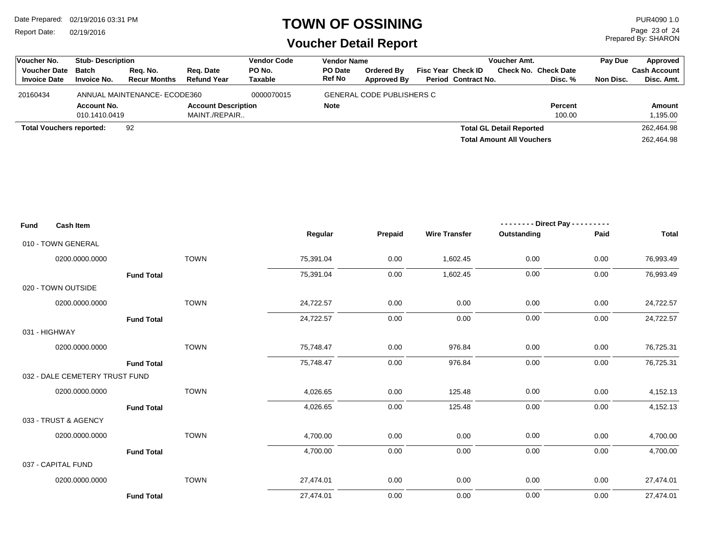Report Date: 02/19/2016

#### **TOWN OF OSSINING**

Prepared By: SHARON Page 23 of 24

| Voucher No.                                | <b>Stub-Description</b>                            |                                 |                                 | <b>Vendor Code</b>       | <b>Vendor Name</b>       |                                  |                                                         | <b>Voucher Amt.</b>              |                                        | Pay Due   | Approved                          |
|--------------------------------------------|----------------------------------------------------|---------------------------------|---------------------------------|--------------------------|--------------------------|----------------------------------|---------------------------------------------------------|----------------------------------|----------------------------------------|-----------|-----------------------------------|
| <b>Voucher Date</b><br><b>Invoice Date</b> | <b>Batch</b><br><b>Invoice No.</b>                 | Reg. No.<br><b>Recur Months</b> | Reg. Date<br><b>Refund Year</b> | PO No.<br><b>Taxable</b> | PO Date<br><b>Ref No</b> | Ordered By<br><b>Approved By</b> | <b>Fisc Year Check ID</b><br><b>Period Contract No.</b> |                                  | <b>Check No. Check Date</b><br>Disc. % | Non Disc. | <b>Cash Account</b><br>Disc. Amt. |
|                                            |                                                    |                                 |                                 |                          |                          |                                  |                                                         |                                  |                                        |           |                                   |
| 20160434                                   |                                                    |                                 |                                 | 0000070015               |                          | <b>GENERAL CODE PUBLISHERS C</b> |                                                         |                                  |                                        |           |                                   |
|                                            | ANNUAL MAINTENANCE- ECODE360<br><b>Account No.</b> |                                 | <b>Account Description</b>      |                          | <b>Note</b>              |                                  |                                                         |                                  | <b>Percent</b>                         |           | Amount                            |
|                                            | 010.1410.0419                                      |                                 | MAINT./REPAIR                   |                          |                          |                                  |                                                         |                                  | 100.00                                 |           | 1,195.00                          |
|                                            | 92<br><b>Total Vouchers reported:</b>              |                                 |                                 |                          |                          |                                  |                                                         | <b>Total GL Detail Reported</b>  |                                        |           | 262,464.98                        |
|                                            |                                                    |                                 |                                 |                          |                          |                                  |                                                         | <b>Total Amount All Vouchers</b> |                                        |           | 262.464.98                        |

| <b>Fund</b>       | <b>Cash Item</b>               |             |           |         |                      | -------- Direct Pay --------- |      |              |
|-------------------|--------------------------------|-------------|-----------|---------|----------------------|-------------------------------|------|--------------|
|                   |                                |             | Regular   | Prepaid | <b>Wire Transfer</b> | Outstanding                   | Paid | <b>Total</b> |
|                   | 010 - TOWN GENERAL             |             |           |         |                      |                               |      |              |
|                   | 0200.0000.0000                 | <b>TOWN</b> | 75,391.04 | 0.00    | 1,602.45             | 0.00                          | 0.00 | 76,993.49    |
| <b>Fund Total</b> |                                |             | 75,391.04 | 0.00    | 1,602.45             | 0.00                          | 0.00 | 76,993.49    |
|                   | 020 - TOWN OUTSIDE             |             |           |         |                      |                               |      |              |
|                   | 0200.0000.0000                 | <b>TOWN</b> | 24,722.57 | 0.00    | 0.00                 | 0.00                          | 0.00 | 24,722.57    |
|                   | <b>Fund Total</b>              |             | 24,722.57 | 0.00    | 0.00                 | 0.00                          | 0.00 | 24,722.57    |
|                   | 031 - HIGHWAY                  |             |           |         |                      |                               |      |              |
|                   | 0200.0000.0000                 | <b>TOWN</b> | 75,748.47 | 0.00    | 976.84               | 0.00                          | 0.00 | 76,725.31    |
|                   | <b>Fund Total</b>              |             | 75,748.47 | 0.00    | 976.84               | 0.00                          | 0.00 | 76,725.31    |
|                   | 032 - DALE CEMETERY TRUST FUND |             |           |         |                      |                               |      |              |
|                   | 0200.0000.0000                 | <b>TOWN</b> | 4,026.65  | 0.00    | 125.48               | 0.00                          | 0.00 | 4,152.13     |
|                   | <b>Fund Total</b>              |             | 4,026.65  | 0.00    | 125.48               | 0.00                          | 0.00 | 4,152.13     |
|                   | 033 - TRUST & AGENCY           |             |           |         |                      |                               |      |              |
|                   | 0200.0000.0000                 | <b>TOWN</b> | 4,700.00  | 0.00    | 0.00                 | 0.00                          | 0.00 | 4,700.00     |
|                   | <b>Fund Total</b>              |             | 4,700.00  | 0.00    | 0.00                 | 0.00                          | 0.00 | 4,700.00     |
|                   | 037 - CAPITAL FUND             |             |           |         |                      |                               |      |              |
|                   | 0200.0000.0000                 | <b>TOWN</b> | 27,474.01 | 0.00    | 0.00                 | 0.00                          | 0.00 | 27,474.01    |
|                   | <b>Fund Total</b>              |             | 27,474.01 | 0.00    | 0.00                 | 0.00                          | 0.00 | 27,474.01    |